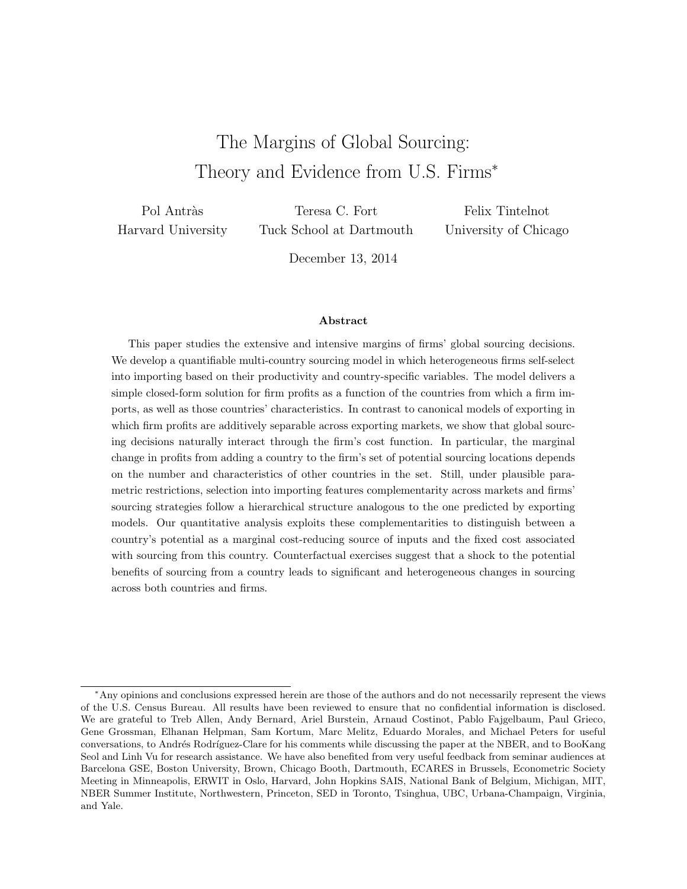# The Margins of Global Sourcing: Theory and Evidence from U.S. Firms<sup>∗</sup>

Pol Antràs Harvard University

Teresa C. Fort Tuck School at Dartmouth

Felix Tintelnot University of Chicago

December 13, 2014

#### Abstract

This paper studies the extensive and intensive margins of firms' global sourcing decisions. We develop a quantifiable multi-country sourcing model in which heterogeneous firms self-select into importing based on their productivity and country-specific variables. The model delivers a simple closed-form solution for firm profits as a function of the countries from which a firm imports, as well as those countries' characteristics. In contrast to canonical models of exporting in which firm profits are additively separable across exporting markets, we show that global sourcing decisions naturally interact through the firm's cost function. In particular, the marginal change in profits from adding a country to the firm's set of potential sourcing locations depends on the number and characteristics of other countries in the set. Still, under plausible parametric restrictions, selection into importing features complementarity across markets and firms' sourcing strategies follow a hierarchical structure analogous to the one predicted by exporting models. Our quantitative analysis exploits these complementarities to distinguish between a country's potential as a marginal cost-reducing source of inputs and the fixed cost associated with sourcing from this country. Counterfactual exercises suggest that a shock to the potential benefits of sourcing from a country leads to significant and heterogeneous changes in sourcing across both countries and firms.

<sup>∗</sup>Any opinions and conclusions expressed herein are those of the authors and do not necessarily represent the views of the U.S. Census Bureau. All results have been reviewed to ensure that no confidential information is disclosed. We are grateful to Treb Allen, Andy Bernard, Ariel Burstein, Arnaud Costinot, Pablo Fajgelbaum, Paul Grieco, Gene Grossman, Elhanan Helpman, Sam Kortum, Marc Melitz, Eduardo Morales, and Michael Peters for useful conversations, to Andrés Rodríguez-Clare for his comments while discussing the paper at the NBER, and to BooKang Seol and Linh Vu for research assistance. We have also benefited from very useful feedback from seminar audiences at Barcelona GSE, Boston University, Brown, Chicago Booth, Dartmouth, ECARES in Brussels, Econometric Society Meeting in Minneapolis, ERWIT in Oslo, Harvard, John Hopkins SAIS, National Bank of Belgium, Michigan, MIT, NBER Summer Institute, Northwestern, Princeton, SED in Toronto, Tsinghua, UBC, Urbana-Champaign, Virginia, and Yale.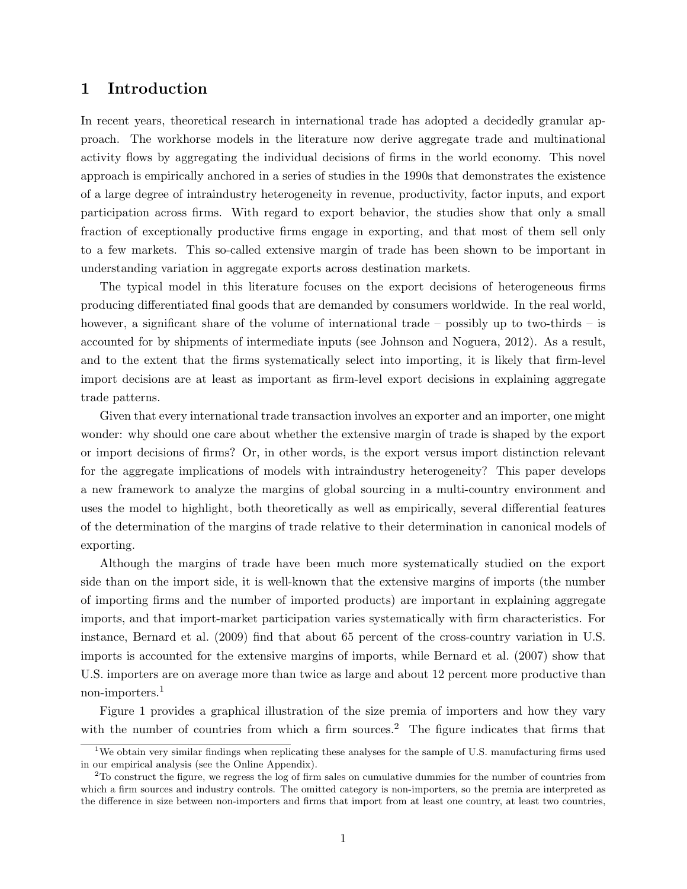# 1 Introduction

In recent years, theoretical research in international trade has adopted a decidedly granular approach. The workhorse models in the literature now derive aggregate trade and multinational activity flows by aggregating the individual decisions of firms in the world economy. This novel approach is empirically anchored in a series of studies in the 1990s that demonstrates the existence of a large degree of intraindustry heterogeneity in revenue, productivity, factor inputs, and export participation across firms. With regard to export behavior, the studies show that only a small fraction of exceptionally productive firms engage in exporting, and that most of them sell only to a few markets. This so-called extensive margin of trade has been shown to be important in understanding variation in aggregate exports across destination markets.

The typical model in this literature focuses on the export decisions of heterogeneous firms producing differentiated final goods that are demanded by consumers worldwide. In the real world, however, a significant share of the volume of international trade – possibly up to two-thirds – is accounted for by shipments of intermediate inputs (see Johnson and Noguera, 2012). As a result, and to the extent that the firms systematically select into importing, it is likely that firm-level import decisions are at least as important as firm-level export decisions in explaining aggregate trade patterns.

Given that every international trade transaction involves an exporter and an importer, one might wonder: why should one care about whether the extensive margin of trade is shaped by the export or import decisions of firms? Or, in other words, is the export versus import distinction relevant for the aggregate implications of models with intraindustry heterogeneity? This paper develops a new framework to analyze the margins of global sourcing in a multi-country environment and uses the model to highlight, both theoretically as well as empirically, several differential features of the determination of the margins of trade relative to their determination in canonical models of exporting.

Although the margins of trade have been much more systematically studied on the export side than on the import side, it is well-known that the extensive margins of imports (the number of importing firms and the number of imported products) are important in explaining aggregate imports, and that import-market participation varies systematically with firm characteristics. For instance, Bernard et al. (2009) find that about 65 percent of the cross-country variation in U.S. imports is accounted for the extensive margins of imports, while Bernard et al. (2007) show that U.S. importers are on average more than twice as large and about 12 percent more productive than non-importers.<sup>1</sup>

Figure 1 provides a graphical illustration of the size premia of importers and how they vary with the number of countries from which a firm sources.<sup>2</sup> The figure indicates that firms that

<sup>&</sup>lt;sup>1</sup>We obtain very similar findings when replicating these analyses for the sample of U.S. manufacturing firms used in our empirical analysis (see the Online Appendix).

 $2<sup>2</sup>$  To construct the figure, we regress the log of firm sales on cumulative dummies for the number of countries from which a firm sources and industry controls. The omitted category is non-importers, so the premia are interpreted as the difference in size between non-importers and firms that import from at least one country, at least two countries,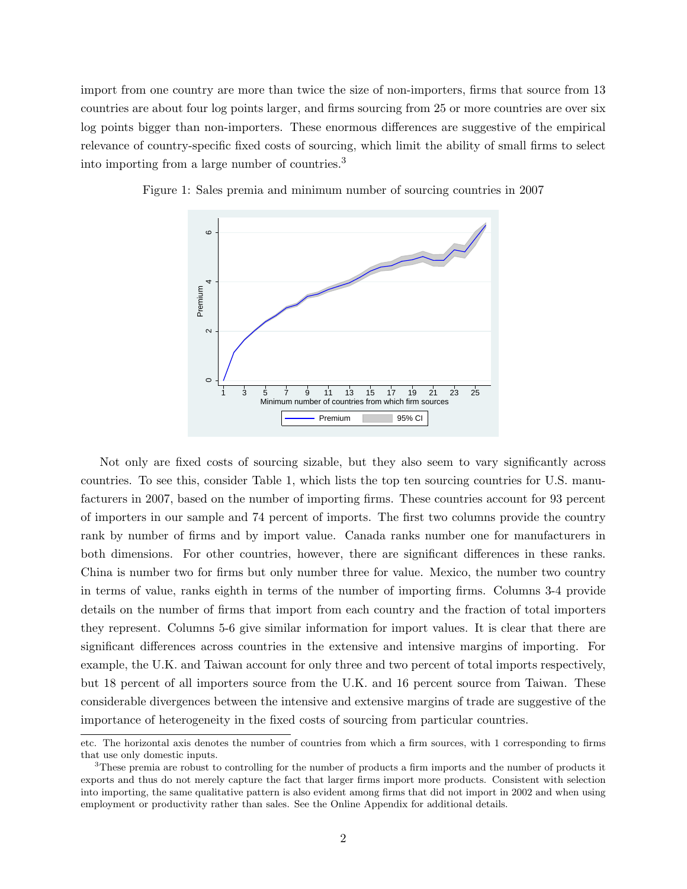import from one country are more than twice the size of non-importers, firms that source from 13 countries are about four log points larger, and firms sourcing from 25 or more countries are over six log points bigger than non-importers. These enormous differences are suggestive of the empirical relevance of country-specific fixed costs of sourcing, which limit the ability of small firms to select into importing from a large number of countries.<sup>3</sup>



Figure 1: Sales premia and minimum number of sourcing countries in 2007

Not only are fixed costs of sourcing sizable, but they also seem to vary significantly across countries. To see this, consider Table 1, which lists the top ten sourcing countries for U.S. manufacturers in 2007, based on the number of importing firms. These countries account for 93 percent of importers in our sample and 74 percent of imports. The first two columns provide the country rank by number of firms and by import value. Canada ranks number one for manufacturers in both dimensions. For other countries, however, there are significant differences in these ranks. China is number two for firms but only number three for value. Mexico, the number two country in terms of value, ranks eighth in terms of the number of importing firms. Columns 3-4 provide details on the number of firms that import from each country and the fraction of total importers they represent. Columns 5-6 give similar information for import values. It is clear that there are significant differences across countries in the extensive and intensive margins of importing. For example, the U.K. and Taiwan account for only three and two percent of total imports respectively, but 18 percent of all importers source from the U.K. and 16 percent source from Taiwan. These considerable divergences between the intensive and extensive margins of trade are suggestive of the importance of heterogeneity in the fixed costs of sourcing from particular countries.

etc. The horizontal axis denotes the number of countries from which a firm sources, with 1 corresponding to firms that use only domestic inputs.

<sup>&</sup>lt;sup>3</sup>These premia are robust to controlling for the number of products a firm imports and the number of products it exports and thus do not merely capture the fact that larger firms import more products. Consistent with selection into importing, the same qualitative pattern is also evident among firms that did not import in 2002 and when using employment or productivity rather than sales. See the Online Appendix for additional details.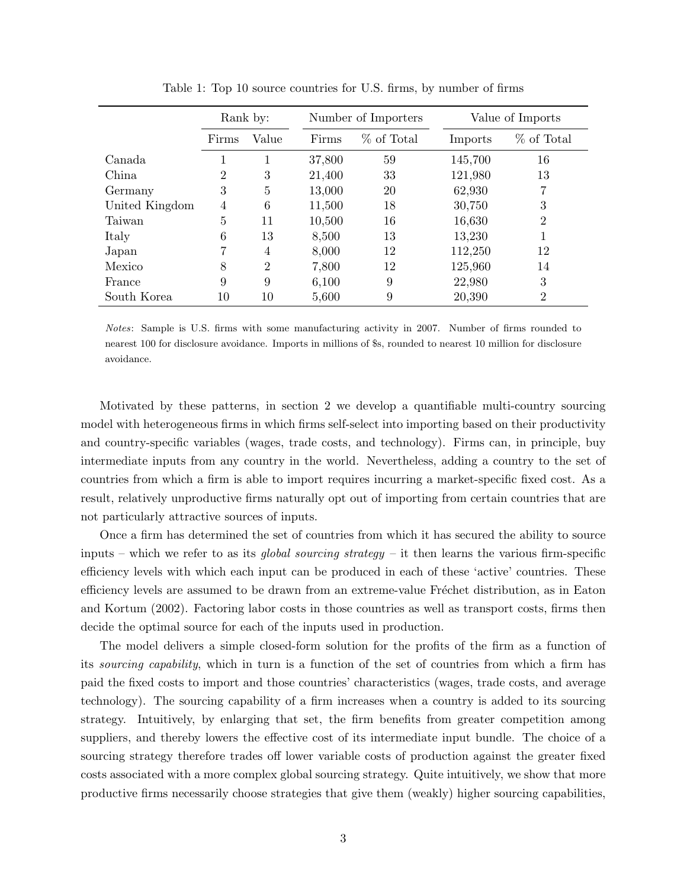|                |                | Rank by:       | Number of Importers |            | Value of Imports |                |
|----------------|----------------|----------------|---------------------|------------|------------------|----------------|
|                | Firms          | Value          | Firms               | % of Total | Imports          | % of Total     |
| Canada         |                |                | 37,800              | 59         | 145,700          | 16             |
| China          | $\overline{2}$ | 3              | 21,400              | 33         | 121,980          | 13             |
| Germany        | 3              | 5              | 13,000              | 20         | 62,930           | 7              |
| United Kingdom | 4              | 6              | 11,500              | 18         | 30,750           | 3              |
| Taiwan         | 5              | 11             | 10,500              | 16         | 16,630           | $\overline{2}$ |
| Italy          | 6              | 13             | 8,500               | 13         | 13,230           |                |
| Japan          |                | 4              | 8,000               | 12         | 112,250          | 12             |
| Mexico         | 8              | $\overline{2}$ | 7,800               | 12         | 125,960          | 14             |
| France         | 9              | 9              | 6,100               | 9          | 22,980           | 3              |
| South Korea    | 10             | 10             | 5,600               | 9          | 20,390           | $\overline{2}$ |

Table 1: Top 10 source countries for U.S. firms, by number of firms

Notes: Sample is U.S. firms with some manufacturing activity in 2007. Number of firms rounded to nearest 100 for disclosure avoidance. Imports in millions of \$s, rounded to nearest 10 million for disclosure avoidance.

Motivated by these patterns, in section 2 we develop a quantifiable multi-country sourcing model with heterogeneous firms in which firms self-select into importing based on their productivity and country-specific variables (wages, trade costs, and technology). Firms can, in principle, buy intermediate inputs from any country in the world. Nevertheless, adding a country to the set of countries from which a firm is able to import requires incurring a market-specific fixed cost. As a result, relatively unproductive firms naturally opt out of importing from certain countries that are not particularly attractive sources of inputs.

Once a firm has determined the set of countries from which it has secured the ability to source inputs – which we refer to as its *global sourcing strategy* – it then learns the various firm-specific efficiency levels with which each input can be produced in each of these 'active' countries. These efficiency levels are assumed to be drawn from an extreme-value Fréchet distribution, as in Eaton and Kortum (2002). Factoring labor costs in those countries as well as transport costs, firms then decide the optimal source for each of the inputs used in production.

The model delivers a simple closed-form solution for the profits of the firm as a function of its sourcing capability, which in turn is a function of the set of countries from which a firm has paid the fixed costs to import and those countries' characteristics (wages, trade costs, and average technology). The sourcing capability of a firm increases when a country is added to its sourcing strategy. Intuitively, by enlarging that set, the firm benefits from greater competition among suppliers, and thereby lowers the effective cost of its intermediate input bundle. The choice of a sourcing strategy therefore trades off lower variable costs of production against the greater fixed costs associated with a more complex global sourcing strategy. Quite intuitively, we show that more productive firms necessarily choose strategies that give them (weakly) higher sourcing capabilities,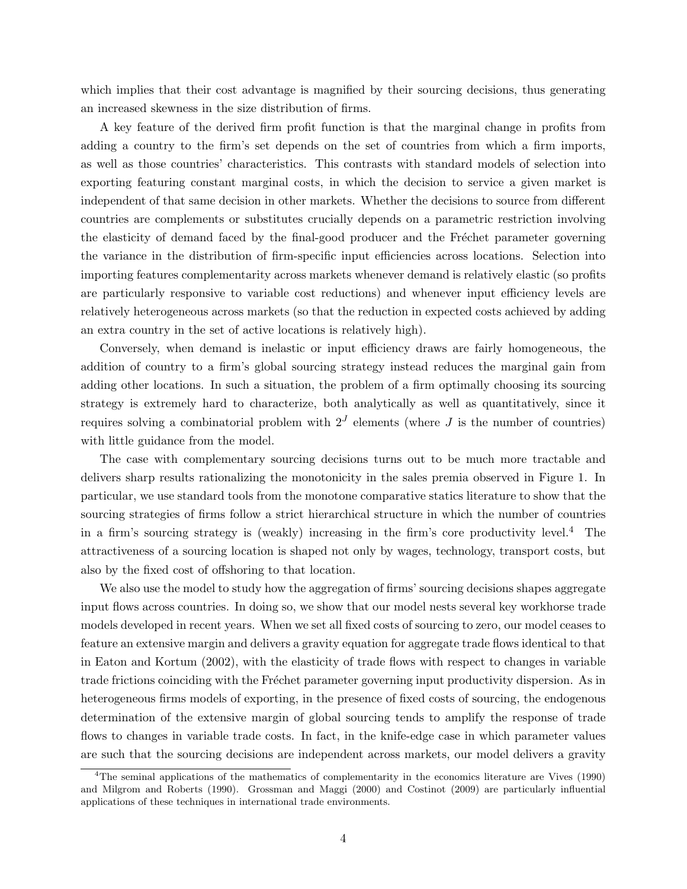which implies that their cost advantage is magnified by their sourcing decisions, thus generating an increased skewness in the size distribution of firms.

A key feature of the derived firm profit function is that the marginal change in profits from adding a country to the firm's set depends on the set of countries from which a firm imports, as well as those countries' characteristics. This contrasts with standard models of selection into exporting featuring constant marginal costs, in which the decision to service a given market is independent of that same decision in other markets. Whether the decisions to source from different countries are complements or substitutes crucially depends on a parametric restriction involving the elasticity of demand faced by the final-good producer and the Fréchet parameter governing the variance in the distribution of firm-specific input efficiencies across locations. Selection into importing features complementarity across markets whenever demand is relatively elastic (so profits are particularly responsive to variable cost reductions) and whenever input efficiency levels are relatively heterogeneous across markets (so that the reduction in expected costs achieved by adding an extra country in the set of active locations is relatively high).

Conversely, when demand is inelastic or input efficiency draws are fairly homogeneous, the addition of country to a firm's global sourcing strategy instead reduces the marginal gain from adding other locations. In such a situation, the problem of a firm optimally choosing its sourcing strategy is extremely hard to characterize, both analytically as well as quantitatively, since it requires solving a combinatorial problem with  $2^J$  elements (where J is the number of countries) with little guidance from the model.

The case with complementary sourcing decisions turns out to be much more tractable and delivers sharp results rationalizing the monotonicity in the sales premia observed in Figure 1. In particular, we use standard tools from the monotone comparative statics literature to show that the sourcing strategies of firms follow a strict hierarchical structure in which the number of countries in a firm's sourcing strategy is (weakly) increasing in the firm's core productivity level.<sup>4</sup> The attractiveness of a sourcing location is shaped not only by wages, technology, transport costs, but also by the fixed cost of offshoring to that location.

We also use the model to study how the aggregation of firms' sourcing decisions shapes aggregate input flows across countries. In doing so, we show that our model nests several key workhorse trade models developed in recent years. When we set all fixed costs of sourcing to zero, our model ceases to feature an extensive margin and delivers a gravity equation for aggregate trade flows identical to that in Eaton and Kortum (2002), with the elasticity of trade flows with respect to changes in variable trade frictions coinciding with the Fréchet parameter governing input productivity dispersion. As in heterogeneous firms models of exporting, in the presence of fixed costs of sourcing, the endogenous determination of the extensive margin of global sourcing tends to amplify the response of trade flows to changes in variable trade costs. In fact, in the knife-edge case in which parameter values are such that the sourcing decisions are independent across markets, our model delivers a gravity

<sup>4</sup>The seminal applications of the mathematics of complementarity in the economics literature are Vives (1990) and Milgrom and Roberts (1990). Grossman and Maggi (2000) and Costinot (2009) are particularly influential applications of these techniques in international trade environments.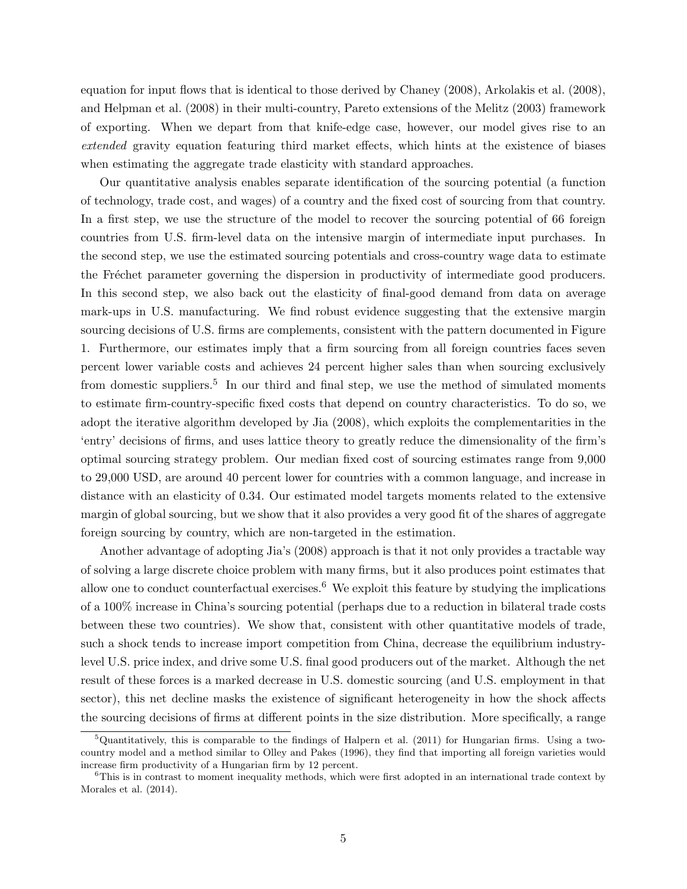equation for input flows that is identical to those derived by Chaney (2008), Arkolakis et al. (2008), and Helpman et al. (2008) in their multi-country, Pareto extensions of the Melitz (2003) framework of exporting. When we depart from that knife-edge case, however, our model gives rise to an extended gravity equation featuring third market effects, which hints at the existence of biases when estimating the aggregate trade elasticity with standard approaches.

Our quantitative analysis enables separate identification of the sourcing potential (a function of technology, trade cost, and wages) of a country and the fixed cost of sourcing from that country. In a first step, we use the structure of the model to recover the sourcing potential of 66 foreign countries from U.S. firm-level data on the intensive margin of intermediate input purchases. In the second step, we use the estimated sourcing potentials and cross-country wage data to estimate the Fréchet parameter governing the dispersion in productivity of intermediate good producers. In this second step, we also back out the elasticity of final-good demand from data on average mark-ups in U.S. manufacturing. We find robust evidence suggesting that the extensive margin sourcing decisions of U.S. firms are complements, consistent with the pattern documented in Figure 1. Furthermore, our estimates imply that a firm sourcing from all foreign countries faces seven percent lower variable costs and achieves 24 percent higher sales than when sourcing exclusively from domestic suppliers.<sup>5</sup> In our third and final step, we use the method of simulated moments to estimate firm-country-specific fixed costs that depend on country characteristics. To do so, we adopt the iterative algorithm developed by Jia (2008), which exploits the complementarities in the 'entry' decisions of firms, and uses lattice theory to greatly reduce the dimensionality of the firm's optimal sourcing strategy problem. Our median fixed cost of sourcing estimates range from 9,000 to 29,000 USD, are around 40 percent lower for countries with a common language, and increase in distance with an elasticity of 0.34. Our estimated model targets moments related to the extensive margin of global sourcing, but we show that it also provides a very good fit of the shares of aggregate foreign sourcing by country, which are non-targeted in the estimation.

Another advantage of adopting Jia's (2008) approach is that it not only provides a tractable way of solving a large discrete choice problem with many firms, but it also produces point estimates that allow one to conduct counterfactual exercises.<sup>6</sup> We exploit this feature by studying the implications of a 100% increase in China's sourcing potential (perhaps due to a reduction in bilateral trade costs between these two countries). We show that, consistent with other quantitative models of trade, such a shock tends to increase import competition from China, decrease the equilibrium industrylevel U.S. price index, and drive some U.S. final good producers out of the market. Although the net result of these forces is a marked decrease in U.S. domestic sourcing (and U.S. employment in that sector), this net decline masks the existence of significant heterogeneity in how the shock affects the sourcing decisions of firms at different points in the size distribution. More specifically, a range

 $5$ Quantitatively, this is comparable to the findings of Halpern et al. (2011) for Hungarian firms. Using a twocountry model and a method similar to Olley and Pakes (1996), they find that importing all foreign varieties would increase firm productivity of a Hungarian firm by 12 percent.

 $6$ This is in contrast to moment inequality methods, which were first adopted in an international trade context by Morales et al. (2014).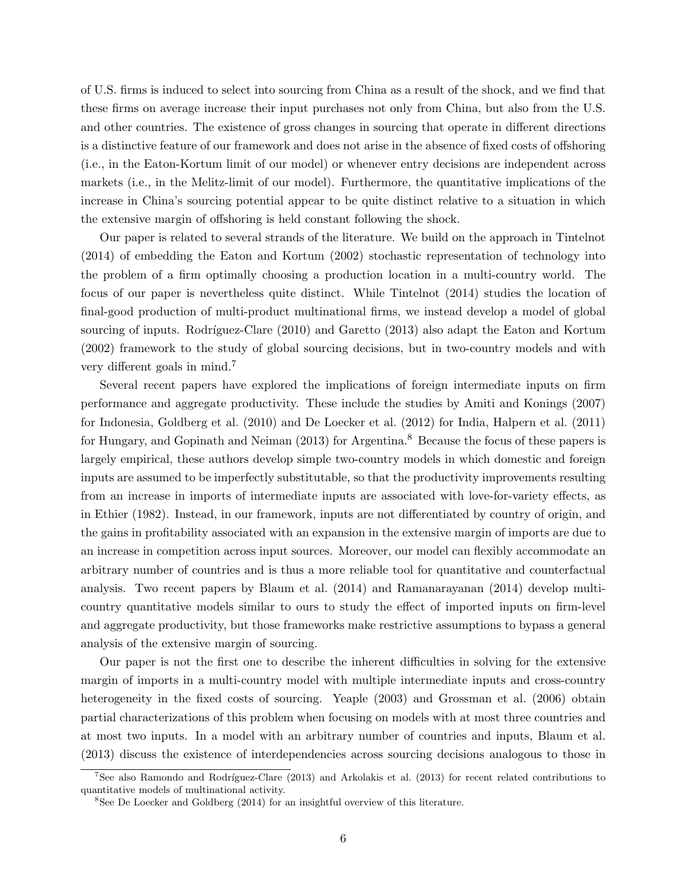of U.S. firms is induced to select into sourcing from China as a result of the shock, and we find that these firms on average increase their input purchases not only from China, but also from the U.S. and other countries. The existence of gross changes in sourcing that operate in different directions is a distinctive feature of our framework and does not arise in the absence of fixed costs of offshoring (i.e., in the Eaton-Kortum limit of our model) or whenever entry decisions are independent across markets (i.e., in the Melitz-limit of our model). Furthermore, the quantitative implications of the increase in China's sourcing potential appear to be quite distinct relative to a situation in which the extensive margin of offshoring is held constant following the shock.

Our paper is related to several strands of the literature. We build on the approach in Tintelnot (2014) of embedding the Eaton and Kortum (2002) stochastic representation of technology into the problem of a firm optimally choosing a production location in a multi-country world. The focus of our paper is nevertheless quite distinct. While Tintelnot (2014) studies the location of final-good production of multi-product multinational firms, we instead develop a model of global sourcing of inputs. Rodríguez-Clare (2010) and Garetto (2013) also adapt the Eaton and Kortum (2002) framework to the study of global sourcing decisions, but in two-country models and with very different goals in mind.<sup>7</sup>

Several recent papers have explored the implications of foreign intermediate inputs on firm performance and aggregate productivity. These include the studies by Amiti and Konings (2007) for Indonesia, Goldberg et al. (2010) and De Loecker et al. (2012) for India, Halpern et al. (2011) for Hungary, and Gopinath and Neiman (2013) for Argentina.<sup>8</sup> Because the focus of these papers is largely empirical, these authors develop simple two-country models in which domestic and foreign inputs are assumed to be imperfectly substitutable, so that the productivity improvements resulting from an increase in imports of intermediate inputs are associated with love-for-variety effects, as in Ethier (1982). Instead, in our framework, inputs are not differentiated by country of origin, and the gains in profitability associated with an expansion in the extensive margin of imports are due to an increase in competition across input sources. Moreover, our model can flexibly accommodate an arbitrary number of countries and is thus a more reliable tool for quantitative and counterfactual analysis. Two recent papers by Blaum et al. (2014) and Ramanarayanan (2014) develop multicountry quantitative models similar to ours to study the effect of imported inputs on firm-level and aggregate productivity, but those frameworks make restrictive assumptions to bypass a general analysis of the extensive margin of sourcing.

Our paper is not the first one to describe the inherent difficulties in solving for the extensive margin of imports in a multi-country model with multiple intermediate inputs and cross-country heterogeneity in the fixed costs of sourcing. Yeaple  $(2003)$  and Grossman et al.  $(2006)$  obtain partial characterizations of this problem when focusing on models with at most three countries and at most two inputs. In a model with an arbitrary number of countries and inputs, Blaum et al. (2013) discuss the existence of interdependencies across sourcing decisions analogous to those in

<sup>&</sup>lt;sup>7</sup>See also Ramondo and Rodríguez-Clare (2013) and Arkolakis et al. (2013) for recent related contributions to quantitative models of multinational activity.

<sup>&</sup>lt;sup>8</sup>See De Loecker and Goldberg (2014) for an insightful overview of this literature.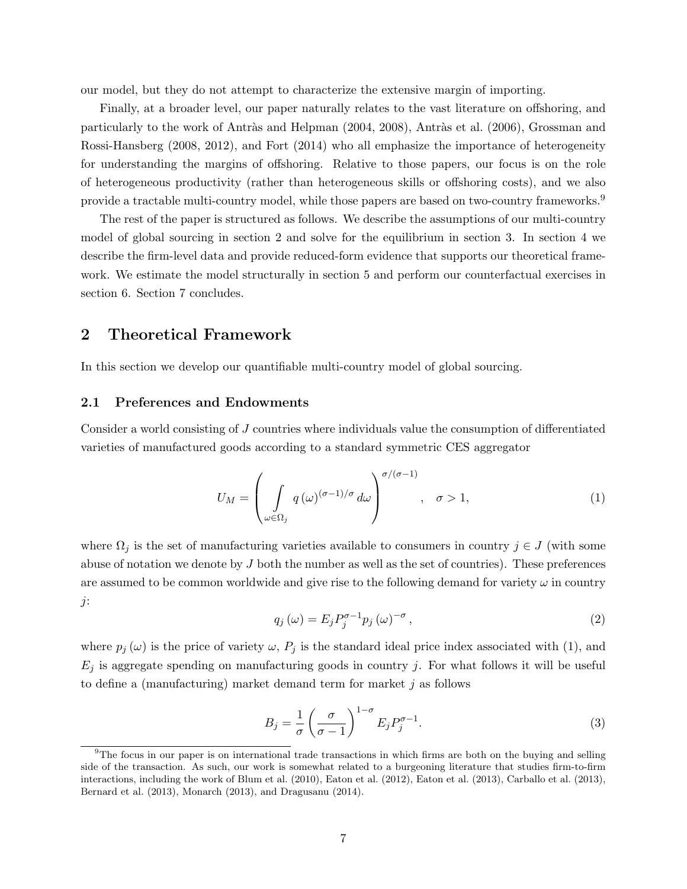our model, but they do not attempt to characterize the extensive margin of importing.

Finally, at a broader level, our paper naturally relates to the vast literature on offshoring, and particularly to the work of Antràs and Helpman (2004, 2008), Antràs et al. (2006), Grossman and Rossi-Hansberg (2008, 2012), and Fort (2014) who all emphasize the importance of heterogeneity for understanding the margins of offshoring. Relative to those papers, our focus is on the role of heterogeneous productivity (rather than heterogeneous skills or offshoring costs), and we also provide a tractable multi-country model, while those papers are based on two-country frameworks.<sup>9</sup>

The rest of the paper is structured as follows. We describe the assumptions of our multi-country model of global sourcing in section 2 and solve for the equilibrium in section 3. In section 4 we describe the firm-level data and provide reduced-form evidence that supports our theoretical framework. We estimate the model structurally in section 5 and perform our counterfactual exercises in section 6. Section 7 concludes.

# 2 Theoretical Framework

In this section we develop our quantifiable multi-country model of global sourcing.

### 2.1 Preferences and Endowments

Consider a world consisting of J countries where individuals value the consumption of differentiated varieties of manufactured goods according to a standard symmetric CES aggregator

$$
U_M = \left(\int\limits_{\omega \in \Omega_j} q(\omega)^{(\sigma - 1)/\sigma} d\omega \right)^{\sigma/(\sigma - 1)}, \quad \sigma > 1,
$$
\n(1)

where  $\Omega_j$  is the set of manufacturing varieties available to consumers in country  $j \in J$  (with some abuse of notation we denote by  $J$  both the number as well as the set of countries). These preferences are assumed to be common worldwide and give rise to the following demand for variety  $\omega$  in country j:

$$
q_j(\omega) = E_j P_j^{\sigma - 1} p_j(\omega)^{-\sigma}, \qquad (2)
$$

where  $p_j(\omega)$  is the price of variety  $\omega$ ,  $P_j$  is the standard ideal price index associated with (1), and  $E_j$  is aggregate spending on manufacturing goods in country j. For what follows it will be useful to define a (manufacturing) market demand term for market  $j$  as follows

$$
B_j = \frac{1}{\sigma} \left( \frac{\sigma}{\sigma - 1} \right)^{1 - \sigma} E_j P_j^{\sigma - 1}.
$$
 (3)

<sup>&</sup>lt;sup>9</sup>The focus in our paper is on international trade transactions in which firms are both on the buying and selling side of the transaction. As such, our work is somewhat related to a burgeoning literature that studies firm-to-firm interactions, including the work of Blum et al. (2010), Eaton et al. (2012), Eaton et al. (2013), Carballo et al. (2013), Bernard et al. (2013), Monarch (2013), and Dragusanu (2014).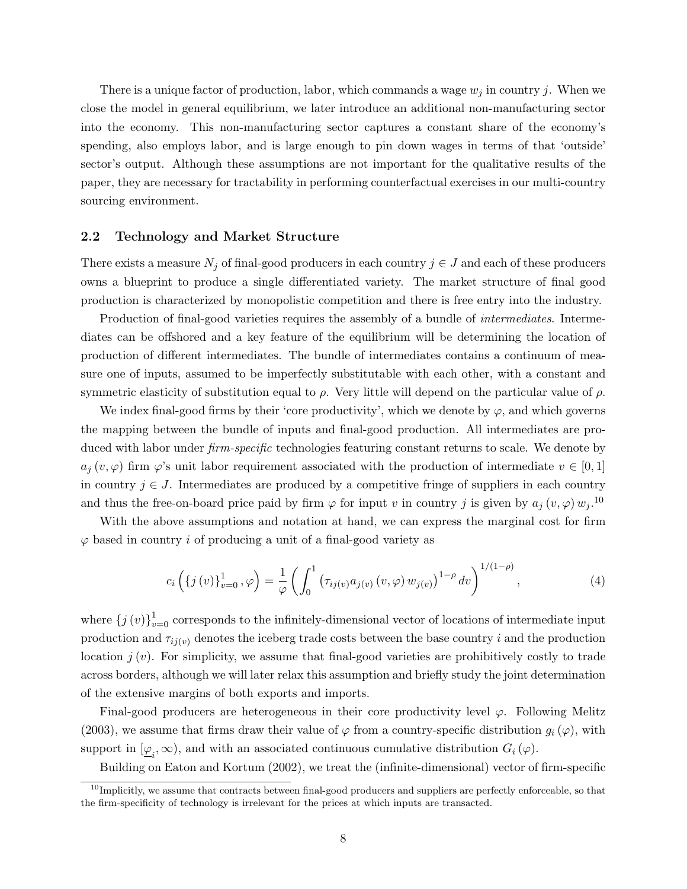There is a unique factor of production, labor, which commands a wage  $w_j$  in country j. When we close the model in general equilibrium, we later introduce an additional non-manufacturing sector into the economy. This non-manufacturing sector captures a constant share of the economy's spending, also employs labor, and is large enough to pin down wages in terms of that 'outside' sector's output. Although these assumptions are not important for the qualitative results of the paper, they are necessary for tractability in performing counterfactual exercises in our multi-country sourcing environment.

### 2.2 Technology and Market Structure

There exists a measure  $N_j$  of final-good producers in each country  $j \in J$  and each of these producers owns a blueprint to produce a single differentiated variety. The market structure of final good production is characterized by monopolistic competition and there is free entry into the industry.

Production of final-good varieties requires the assembly of a bundle of *intermediates*. Intermediates can be offshored and a key feature of the equilibrium will be determining the location of production of different intermediates. The bundle of intermediates contains a continuum of measure one of inputs, assumed to be imperfectly substitutable with each other, with a constant and symmetric elasticity of substitution equal to  $\rho$ . Very little will depend on the particular value of  $\rho$ .

We index final-good firms by their 'core productivity', which we denote by  $\varphi$ , and which governs the mapping between the bundle of inputs and final-good production. All intermediates are produced with labor under *firm-specific* technologies featuring constant returns to scale. We denote by  $a_j(v, \varphi)$  firm  $\varphi$ 's unit labor requirement associated with the production of intermediate  $v \in [0,1]$ in country  $j \in J$ . Intermediates are produced by a competitive fringe of suppliers in each country and thus the free-on-board price paid by firm  $\varphi$  for input v in country j is given by  $a_j(v, \varphi) w_j$ .<sup>10</sup>

With the above assumptions and notation at hand, we can express the marginal cost for firm  $\varphi$  based in country *i* of producing a unit of a final-good variety as

$$
c_i\left(\{j(v)\}_{v=0}^1, \varphi\right) = \frac{1}{\varphi} \left(\int_0^1 \left(\tau_{ij(v)} a_{j(v)}(v, \varphi) w_{j(v)}\right)^{1-\rho} dv\right)^{1/(1-\rho)},\tag{4}
$$

where  $\{j(v)\}_{v=0}^1$  corresponds to the infinitely-dimensional vector of locations of intermediate input production and  $\tau_{ij(v)}$  denotes the iceberg trade costs between the base country i and the production location  $j(v)$ . For simplicity, we assume that final-good varieties are prohibitively costly to trade across borders, although we will later relax this assumption and briefly study the joint determination of the extensive margins of both exports and imports.

Final-good producers are heterogeneous in their core productivity level  $\varphi$ . Following Melitz (2003), we assume that firms draw their value of  $\varphi$  from a country-specific distribution  $g_i(\varphi)$ , with support in  $[\underline{\varphi}_i, \infty)$ , and with an associated continuous cumulative distribution  $G_i(\varphi)$ .

Building on Eaton and Kortum (2002), we treat the (infinite-dimensional) vector of firm-specific

 $10$ Implicitly, we assume that contracts between final-good producers and suppliers are perfectly enforceable, so that the firm-specificity of technology is irrelevant for the prices at which inputs are transacted.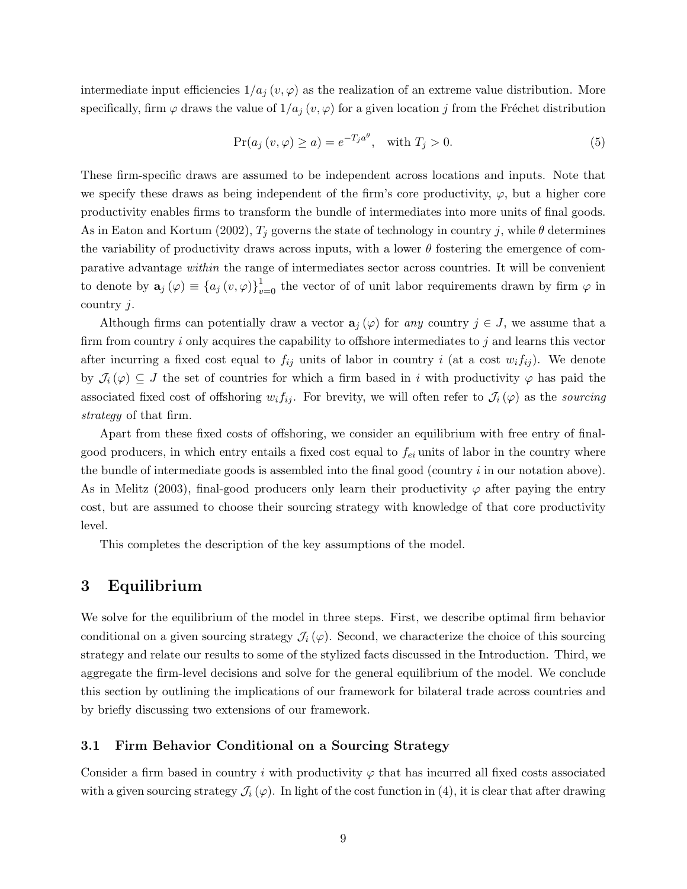intermediate input efficiencies  $1/a_j (v, \varphi)$  as the realization of an extreme value distribution. More specifically, firm  $\varphi$  draws the value of  $1/a_j(v, \varphi)$  for a given location j from the Fréchet distribution

$$
\Pr(a_j\left(v,\varphi\right) \ge a) = e^{-T_j a^{\theta}}, \quad \text{with } T_j > 0. \tag{5}
$$

These firm-specific draws are assumed to be independent across locations and inputs. Note that we specify these draws as being independent of the firm's core productivity,  $\varphi$ , but a higher core productivity enables firms to transform the bundle of intermediates into more units of final goods. As in Eaton and Kortum (2002),  $T_j$  governs the state of technology in country j, while  $\theta$  determines the variability of productivity draws across inputs, with a lower  $\theta$  fostering the emergence of comparative advantage within the range of intermediates sector across countries. It will be convenient to denote by  $\mathbf{a}_j(\varphi) \equiv \{a_j(v,\varphi)\}_{v=0}^1$  the vector of of unit labor requirements drawn by firm  $\varphi$  in country  $j$ .

Although firms can potentially draw a vector  $a_j(\varphi)$  for any country  $j \in J$ , we assume that a firm from country i only acquires the capability to offshore intermediates to j and learns this vector after incurring a fixed cost equal to  $f_{ij}$  units of labor in country i (at a cost  $w_i f_{ij}$ ). We denote by  $\mathcal{J}_i(\varphi) \subseteq J$  the set of countries for which a firm based in i with productivity  $\varphi$  has paid the associated fixed cost of offshoring  $w_i f_{ij}$ . For brevity, we will often refer to  $\mathcal{J}_i(\varphi)$  as the sourcing strategy of that firm.

Apart from these fixed costs of offshoring, we consider an equilibrium with free entry of finalgood producers, in which entry entails a fixed cost equal to  $f_{ei}$  units of labor in the country where the bundle of intermediate goods is assembled into the final good (country  $i$  in our notation above). As in Melitz (2003), final-good producers only learn their productivity  $\varphi$  after paying the entry cost, but are assumed to choose their sourcing strategy with knowledge of that core productivity level.

This completes the description of the key assumptions of the model.

# 3 Equilibrium

We solve for the equilibrium of the model in three steps. First, we describe optimal firm behavior conditional on a given sourcing strategy  $\mathcal{J}_i(\varphi)$ . Second, we characterize the choice of this sourcing strategy and relate our results to some of the stylized facts discussed in the Introduction. Third, we aggregate the firm-level decisions and solve for the general equilibrium of the model. We conclude this section by outlining the implications of our framework for bilateral trade across countries and by briefly discussing two extensions of our framework.

# 3.1 Firm Behavior Conditional on a Sourcing Strategy

Consider a firm based in country i with productivity  $\varphi$  that has incurred all fixed costs associated with a given sourcing strategy  $\mathcal{J}_i(\varphi)$ . In light of the cost function in (4), it is clear that after drawing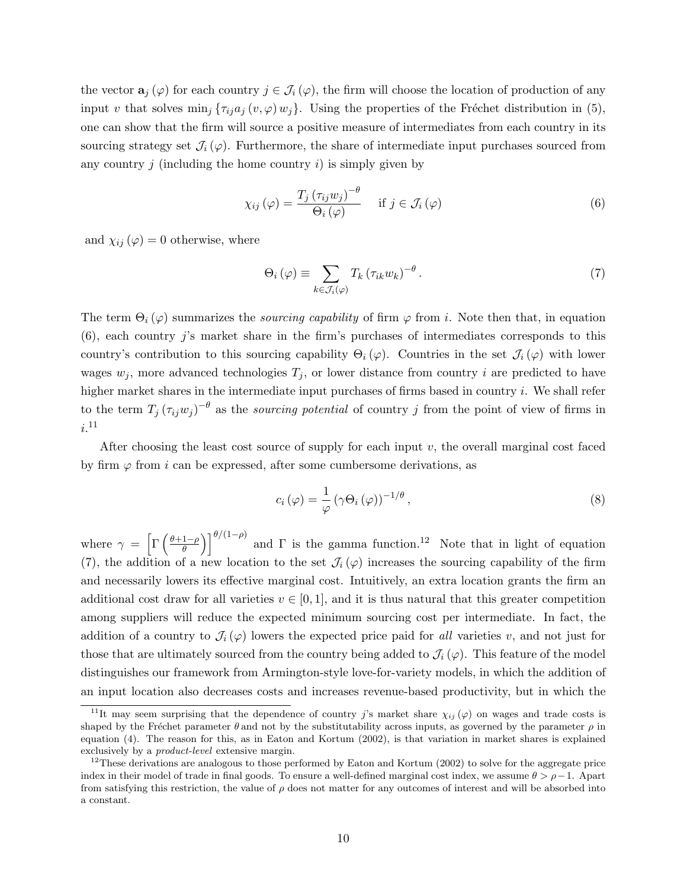the vector  $\mathbf{a}_j(\varphi)$  for each country  $j \in \mathcal{J}_i(\varphi)$ , the firm will choose the location of production of any input v that solves  $\min_j \{\tau_{ij}a_j(v,\varphi)\}_{ij}\}\.$  Using the properties of the Fréchet distribution in (5), one can show that the firm will source a positive measure of intermediates from each country in its sourcing strategy set  $\mathcal{J}_i(\varphi)$ . Furthermore, the share of intermediate input purchases sourced from any country  $j$  (including the home country  $i$ ) is simply given by

$$
\chi_{ij}(\varphi) = \frac{T_j(\tau_{ij}w_j)^{-\theta}}{\Theta_i(\varphi)} \quad \text{if } j \in \mathcal{J}_i(\varphi)
$$
\n
$$
(6)
$$

and  $\chi_{ij}(\varphi) = 0$  otherwise, where

$$
\Theta_i(\varphi) \equiv \sum_{k \in \mathcal{J}_i(\varphi)} T_k (\tau_{ik} w_k)^{-\theta} . \tag{7}
$$

The term  $\Theta_i(\varphi)$  summarizes the *sourcing capability* of firm  $\varphi$  from *i*. Note then that, in equation (6), each country j's market share in the firm's purchases of intermediates corresponds to this country's contribution to this sourcing capability  $\Theta_i(\varphi)$ . Countries in the set  $\mathcal{J}_i(\varphi)$  with lower wages  $w_j$ , more advanced technologies  $T_j$ , or lower distance from country i are predicted to have higher market shares in the intermediate input purchases of firms based in country i. We shall refer to the term  $T_j(\tau_{ij}w_j)^{-\theta}$  as the *sourcing potential* of country j from the point of view of firms in  $i.^{11}$ 

After choosing the least cost source of supply for each input  $v$ , the overall marginal cost faced by firm  $\varphi$  from i can be expressed, after some cumbersome derivations, as

$$
c_i(\varphi) = \frac{1}{\varphi} \left( \gamma \Theta_i(\varphi) \right)^{-1/\theta}, \tag{8}
$$

where  $\gamma = \left[ \Gamma \left( \frac{\theta + 1 - \rho}{\theta} \right) \right]$  $\left(\frac{1-\rho}{\theta}\right)^{1-\rho}$  and  $\Gamma$  is the gamma function.<sup>12</sup> Note that in light of equation (7), the addition of a new location to the set  $\mathcal{J}_i(\varphi)$  increases the sourcing capability of the firm and necessarily lowers its effective marginal cost. Intuitively, an extra location grants the firm an additional cost draw for all varieties  $v \in [0, 1]$ , and it is thus natural that this greater competition among suppliers will reduce the expected minimum sourcing cost per intermediate. In fact, the addition of a country to  $\mathcal{J}_i(\varphi)$  lowers the expected price paid for *all* varieties v, and not just for those that are ultimately sourced from the country being added to  $\mathcal{J}_i(\varphi)$ . This feature of the model distinguishes our framework from Armington-style love-for-variety models, in which the addition of an input location also decreases costs and increases revenue-based productivity, but in which the

<sup>&</sup>lt;sup>11</sup>It may seem surprising that the dependence of country j's market share  $\chi_{ij}(\varphi)$  on wages and trade costs is shaped by the Fréchet parameter  $\theta$  and not by the substitutability across inputs, as governed by the parameter  $\rho$  in equation (4). The reason for this, as in Eaton and Kortum (2002), is that variation in market shares is explained exclusively by a product-level extensive margin.

 $12$ These derivations are analogous to those performed by Eaton and Kortum (2002) to solve for the aggregate price index in their model of trade in final goods. To ensure a well-defined marginal cost index, we assume  $\theta > \rho - 1$ . Apart from satisfying this restriction, the value of  $\rho$  does not matter for any outcomes of interest and will be absorbed into a constant.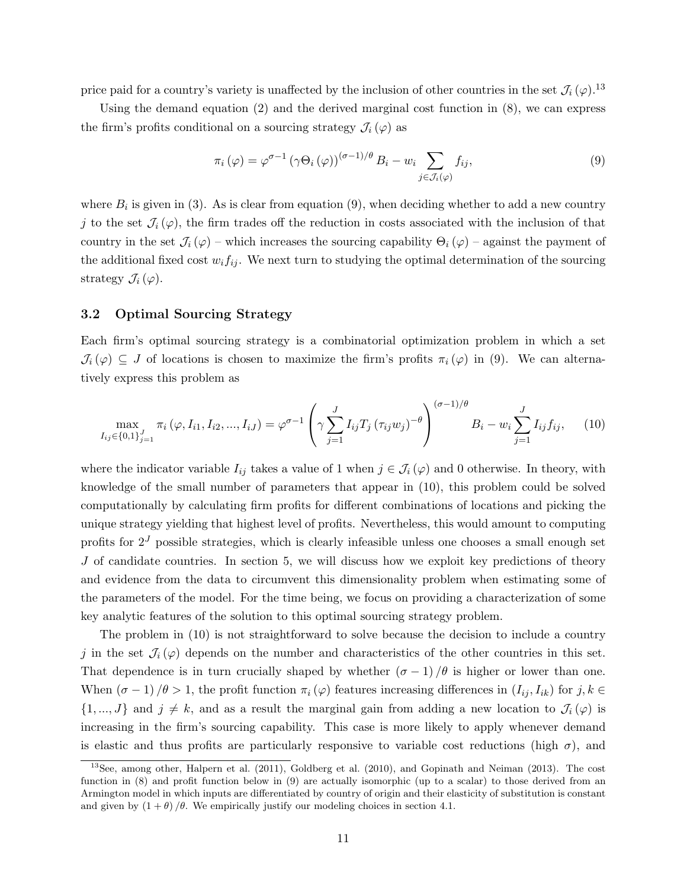price paid for a country's variety is unaffected by the inclusion of other countries in the set  $\mathcal{J}_i(\varphi)$ .<sup>13</sup>

Using the demand equation (2) and the derived marginal cost function in (8), we can express the firm's profits conditional on a sourcing strategy  $\mathcal{J}_i(\varphi)$  as

$$
\pi_i(\varphi) = \varphi^{\sigma-1} \left( \gamma \Theta_i(\varphi) \right)^{(\sigma-1)/\theta} B_i - w_i \sum_{j \in \mathcal{J}_i(\varphi)} f_{ij},\tag{9}
$$

where  $B_i$  is given in (3). As is clear from equation (9), when deciding whether to add a new country j to the set  $\mathcal{J}_i(\varphi)$ , the firm trades off the reduction in costs associated with the inclusion of that country in the set  $\mathcal{J}_i(\varphi)$  – which increases the sourcing capability  $\Theta_i(\varphi)$  – against the payment of the additional fixed cost  $w_i f_{ij}$ . We next turn to studying the optimal determination of the sourcing strategy  $\mathcal{J}_i(\varphi)$ .

# 3.2 Optimal Sourcing Strategy

Each firm's optimal sourcing strategy is a combinatorial optimization problem in which a set  $\mathcal{J}_i(\varphi) \subseteq J$  of locations is chosen to maximize the firm's profits  $\pi_i(\varphi)$  in (9). We can alternatively express this problem as

$$
\max_{I_{ij}\in\{0,1\}_{j=1}^J} \pi_i(\varphi, I_{i1}, I_{i2}, ..., I_{iJ}) = \varphi^{\sigma-1}\left(\gamma \sum_{j=1}^J I_{ij} T_j (\tau_{ij} w_j)^{-\theta}\right)^{(\sigma-1)/\theta} B_i - w_i \sum_{j=1}^J I_{ij} f_{ij}, \quad (10)
$$

where the indicator variable  $I_{ij}$  takes a value of 1 when  $j \in \mathcal{J}_i(\varphi)$  and 0 otherwise. In theory, with knowledge of the small number of parameters that appear in (10), this problem could be solved computationally by calculating firm profits for different combinations of locations and picking the unique strategy yielding that highest level of profits. Nevertheless, this would amount to computing profits for  $2<sup>J</sup>$  possible strategies, which is clearly infeasible unless one chooses a small enough set  $J$  of candidate countries. In section 5, we will discuss how we exploit key predictions of theory and evidence from the data to circumvent this dimensionality problem when estimating some of the parameters of the model. For the time being, we focus on providing a characterization of some key analytic features of the solution to this optimal sourcing strategy problem.

The problem in (10) is not straightforward to solve because the decision to include a country j in the set  $\mathcal{J}_i(\varphi)$  depends on the number and characteristics of the other countries in this set. That dependence is in turn crucially shaped by whether  $(\sigma - 1)/\theta$  is higher or lower than one. When  $(\sigma - 1)/\theta > 1$ , the profit function  $\pi_i(\varphi)$  features increasing differences in  $(I_{ij}, I_{ik})$  for  $j, k \in$  $\{1, ..., J\}$  and  $j \neq k$ , and as a result the marginal gain from adding a new location to  $\mathcal{J}_i(\varphi)$  is increasing in the firm's sourcing capability. This case is more likely to apply whenever demand is elastic and thus profits are particularly responsive to variable cost reductions (high  $\sigma$ ), and

<sup>13</sup>See, among other, Halpern et al. (2011), Goldberg et al. (2010), and Gopinath and Neiman (2013). The cost function in (8) and profit function below in (9) are actually isomorphic (up to a scalar) to those derived from an Armington model in which inputs are differentiated by country of origin and their elasticity of substitution is constant and given by  $(1 + \theta)$  / $\theta$ . We empirically justify our modeling choices in section 4.1.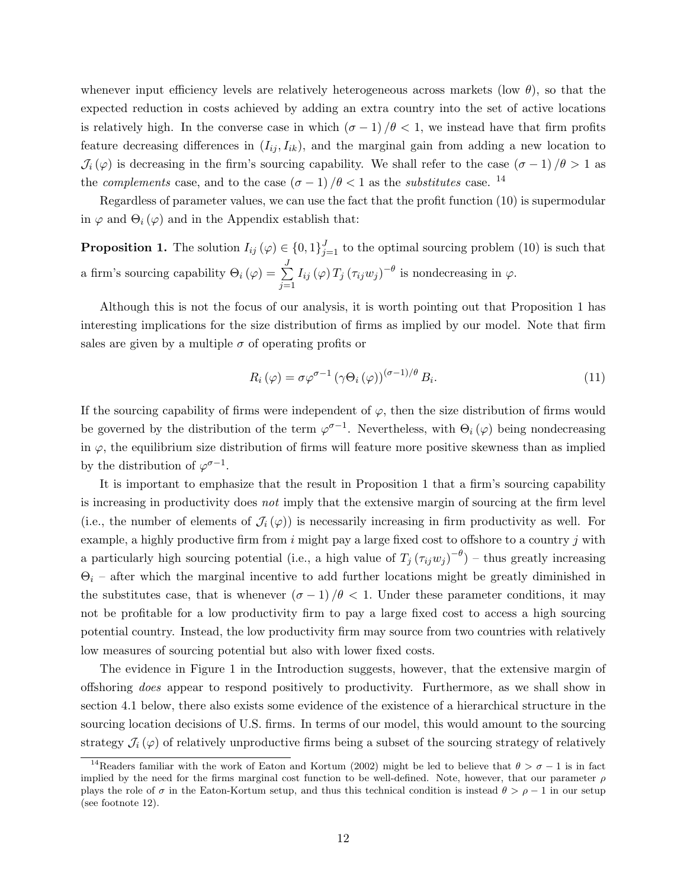whenever input efficiency levels are relatively heterogeneous across markets (low  $\theta$ ), so that the expected reduction in costs achieved by adding an extra country into the set of active locations is relatively high. In the converse case in which  $(\sigma - 1)/\theta < 1$ , we instead have that firm profits feature decreasing differences in  $(I_{ij}, I_{ik})$ , and the marginal gain from adding a new location to  $\mathcal{J}_i(\varphi)$  is decreasing in the firm's sourcing capability. We shall refer to the case  $(\sigma - 1)/\theta > 1$  as the *complements* case, and to the case  $(\sigma - 1)/\theta < 1$  as the *substitutes* case. <sup>14</sup>

Regardless of parameter values, we can use the fact that the profit function (10) is supermodular in  $\varphi$  and  $\Theta_i(\varphi)$  and in the Appendix establish that:

**Proposition 1.** The solution  $I_{ij}(\varphi) \in \{0,1\}_{j=1}^J$  to the optimal sourcing problem (10) is such that a firm's sourcing capability  $\Theta_i(\varphi) = \sum_{i=1}^{J}$  $j=1$  $I_{ij}(\varphi) T_j (\tau_{ij} w_j)^{-\theta}$  is nondecreasing in  $\varphi$ .

Although this is not the focus of our analysis, it is worth pointing out that Proposition 1 has interesting implications for the size distribution of firms as implied by our model. Note that firm sales are given by a multiple  $\sigma$  of operating profits or

$$
R_i(\varphi) = \sigma \varphi^{\sigma - 1} \left( \gamma \Theta_i(\varphi) \right)^{(\sigma - 1)/\theta} B_i.
$$
\n(11)

If the sourcing capability of firms were independent of  $\varphi$ , then the size distribution of firms would be governed by the distribution of the term  $\varphi^{\sigma-1}$ . Nevertheless, with  $\Theta_i(\varphi)$  being nondecreasing in  $\varphi$ , the equilibrium size distribution of firms will feature more positive skewness than as implied by the distribution of  $\varphi^{\sigma-1}$ .

It is important to emphasize that the result in Proposition 1 that a firm's sourcing capability is increasing in productivity does not imply that the extensive margin of sourcing at the firm level (i.e., the number of elements of  $\mathcal{J}_i(\varphi)$ ) is necessarily increasing in firm productivity as well. For example, a highly productive firm from  $i$  might pay a large fixed cost to offshore to a country  $j$  with a particularly high sourcing potential (i.e., a high value of  $T_j (\tau_{ij} w_j)^{-\theta}$ ) – thus greatly increasing  $\Theta_i$  – after which the marginal incentive to add further locations might be greatly diminished in the substitutes case, that is whenever  $(\sigma - 1)/\theta < 1$ . Under these parameter conditions, it may not be profitable for a low productivity firm to pay a large fixed cost to access a high sourcing potential country. Instead, the low productivity firm may source from two countries with relatively low measures of sourcing potential but also with lower fixed costs.

The evidence in Figure 1 in the Introduction suggests, however, that the extensive margin of offshoring does appear to respond positively to productivity. Furthermore, as we shall show in section 4.1 below, there also exists some evidence of the existence of a hierarchical structure in the sourcing location decisions of U.S. firms. In terms of our model, this would amount to the sourcing strategy  $\mathcal{J}_i(\varphi)$  of relatively unproductive firms being a subset of the sourcing strategy of relatively

<sup>&</sup>lt;sup>14</sup>Readers familiar with the work of Eaton and Kortum (2002) might be led to believe that  $\theta > \sigma - 1$  is in fact implied by the need for the firms marginal cost function to be well-defined. Note, however, that our parameter  $\rho$ plays the role of  $\sigma$  in the Eaton-Kortum setup, and thus this technical condition is instead  $\theta > \rho - 1$  in our setup (see footnote 12).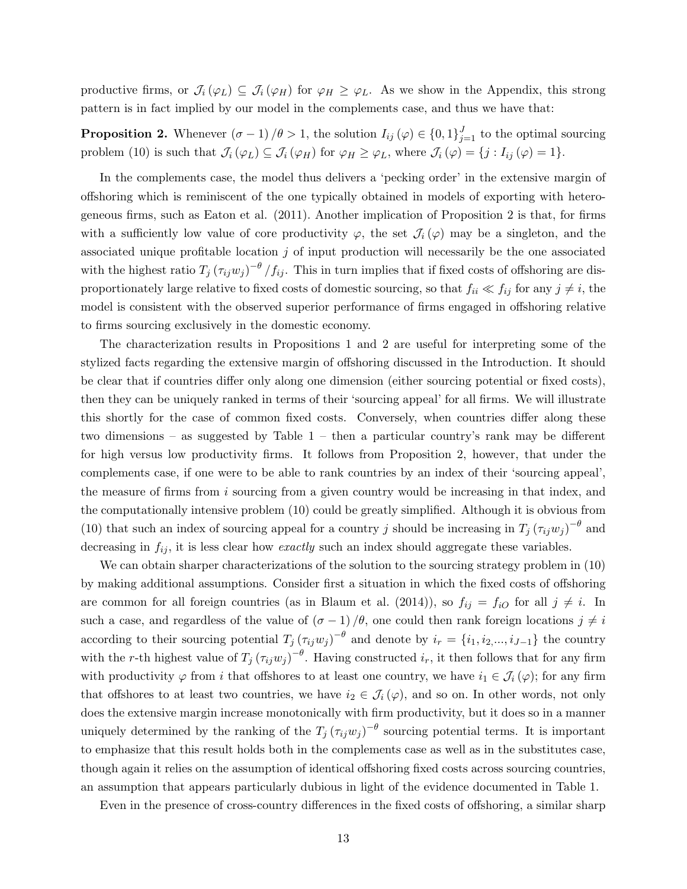productive firms, or  $\mathcal{J}_i(\varphi_L) \subseteq \mathcal{J}_i(\varphi_H)$  for  $\varphi_H \geq \varphi_L$ . As we show in the Appendix, this strong pattern is in fact implied by our model in the complements case, and thus we have that:

**Proposition 2.** Whenever  $(\sigma - 1) / \theta > 1$ , the solution  $I_{ij}(\varphi) \in \{0, 1\}_{j=1}^J$  to the optimal sourcing problem (10) is such that  $\mathcal{J}_i(\varphi_L) \subseteq \mathcal{J}_i(\varphi_H)$  for  $\varphi_H \geq \varphi_L$ , where  $\mathcal{J}_i(\varphi) = \{j : I_{ij}(\varphi) = 1\}$ .

In the complements case, the model thus delivers a 'pecking order' in the extensive margin of offshoring which is reminiscent of the one typically obtained in models of exporting with heterogeneous firms, such as Eaton et al. (2011). Another implication of Proposition 2 is that, for firms with a sufficiently low value of core productivity  $\varphi$ , the set  $\mathcal{J}_i(\varphi)$  may be a singleton, and the associated unique profitable location  $j$  of input production will necessarily be the one associated with the highest ratio  $T_j (\tau_{ij} w_j)^{-\theta} / f_{ij}$ . This in turn implies that if fixed costs of offshoring are disproportionately large relative to fixed costs of domestic sourcing, so that  $f_{ii} \ll f_{ij}$  for any  $j \neq i$ , the model is consistent with the observed superior performance of firms engaged in offshoring relative to firms sourcing exclusively in the domestic economy.

The characterization results in Propositions 1 and 2 are useful for interpreting some of the stylized facts regarding the extensive margin of offshoring discussed in the Introduction. It should be clear that if countries differ only along one dimension (either sourcing potential or fixed costs), then they can be uniquely ranked in terms of their 'sourcing appeal' for all firms. We will illustrate this shortly for the case of common fixed costs. Conversely, when countries differ along these two dimensions – as suggested by Table 1 – then a particular country's rank may be different for high versus low productivity firms. It follows from Proposition 2, however, that under the complements case, if one were to be able to rank countries by an index of their 'sourcing appeal', the measure of firms from i sourcing from a given country would be increasing in that index, and the computationally intensive problem (10) could be greatly simplified. Although it is obvious from (10) that such an index of sourcing appeal for a country j should be increasing in  $T_j (\tau_{ij} w_j)^{-\theta}$  and decreasing in  $f_{ij}$ , it is less clear how *exactly* such an index should aggregate these variables.

We can obtain sharper characterizations of the solution to the sourcing strategy problem in (10) by making additional assumptions. Consider first a situation in which the fixed costs of offshoring are common for all foreign countries (as in Blaum et al. (2014)), so  $f_{ij} = f_{iO}$  for all  $j \neq i$ . In such a case, and regardless of the value of  $(\sigma - 1)/\theta$ , one could then rank foreign locations  $j \neq i$ according to their sourcing potential  $T_j (\tau_{ij} w_j)^{-\theta}$  and denote by  $i_r = \{i_1, i_2, ..., i_{J-1}\}$  the country with the r-th highest value of  $T_j (\tau_{ij} w_j)^{-\theta}$ . Having constructed  $i_r$ , it then follows that for any firm with productivity  $\varphi$  from i that offshores to at least one country, we have  $i_1 \in \mathcal{J}_i(\varphi)$ ; for any firm that offshores to at least two countries, we have  $i_2 \in \mathcal{J}_i(\varphi)$ , and so on. In other words, not only does the extensive margin increase monotonically with firm productivity, but it does so in a manner uniquely determined by the ranking of the  $T_j(\tau_{ij}w_j)^{-\theta}$  sourcing potential terms. It is important to emphasize that this result holds both in the complements case as well as in the substitutes case, though again it relies on the assumption of identical offshoring fixed costs across sourcing countries, an assumption that appears particularly dubious in light of the evidence documented in Table 1.

Even in the presence of cross-country differences in the fixed costs of offshoring, a similar sharp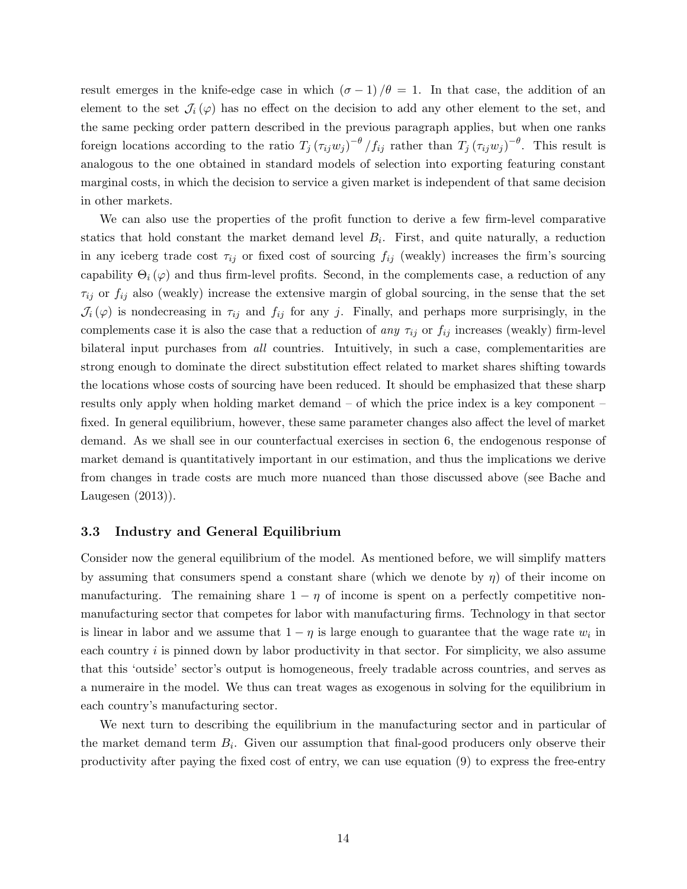result emerges in the knife-edge case in which  $(\sigma - 1)/\theta = 1$ . In that case, the addition of an element to the set  $\mathcal{J}_i(\varphi)$  has no effect on the decision to add any other element to the set, and the same pecking order pattern described in the previous paragraph applies, but when one ranks foreign locations according to the ratio  $T_j (\tau_{ij} w_j)^{-\theta}/f_{ij}$  rather than  $T_j (\tau_{ij} w_j)^{-\theta}$ . This result is analogous to the one obtained in standard models of selection into exporting featuring constant marginal costs, in which the decision to service a given market is independent of that same decision in other markets.

We can also use the properties of the profit function to derive a few firm-level comparative statics that hold constant the market demand level  $B_i$ . First, and quite naturally, a reduction in any iceberg trade cost  $\tau_{ij}$  or fixed cost of sourcing  $f_{ij}$  (weakly) increases the firm's sourcing capability  $\Theta_i(\varphi)$  and thus firm-level profits. Second, in the complements case, a reduction of any  $\tau_{ij}$  or  $f_{ij}$  also (weakly) increase the extensive margin of global sourcing, in the sense that the set  $\mathcal{J}_i(\varphi)$  is nondecreasing in  $\tau_{ij}$  and  $f_{ij}$  for any j. Finally, and perhaps more surprisingly, in the complements case it is also the case that a reduction of any  $\tau_{ij}$  or  $f_{ij}$  increases (weakly) firm-level bilateral input purchases from *all* countries. Intuitively, in such a case, complementarities are strong enough to dominate the direct substitution effect related to market shares shifting towards the locations whose costs of sourcing have been reduced. It should be emphasized that these sharp results only apply when holding market demand – of which the price index is a key component – fixed. In general equilibrium, however, these same parameter changes also affect the level of market demand. As we shall see in our counterfactual exercises in section 6, the endogenous response of market demand is quantitatively important in our estimation, and thus the implications we derive from changes in trade costs are much more nuanced than those discussed above (see Bache and Laugesen (2013)).

### 3.3 Industry and General Equilibrium

Consider now the general equilibrium of the model. As mentioned before, we will simplify matters by assuming that consumers spend a constant share (which we denote by  $\eta$ ) of their income on manufacturing. The remaining share  $1 - \eta$  of income is spent on a perfectly competitive nonmanufacturing sector that competes for labor with manufacturing firms. Technology in that sector is linear in labor and we assume that  $1 - \eta$  is large enough to guarantee that the wage rate  $w_i$  in each country  $i$  is pinned down by labor productivity in that sector. For simplicity, we also assume that this 'outside' sector's output is homogeneous, freely tradable across countries, and serves as a numeraire in the model. We thus can treat wages as exogenous in solving for the equilibrium in each country's manufacturing sector.

We next turn to describing the equilibrium in the manufacturing sector and in particular of the market demand term  $B_i$ . Given our assumption that final-good producers only observe their productivity after paying the fixed cost of entry, we can use equation (9) to express the free-entry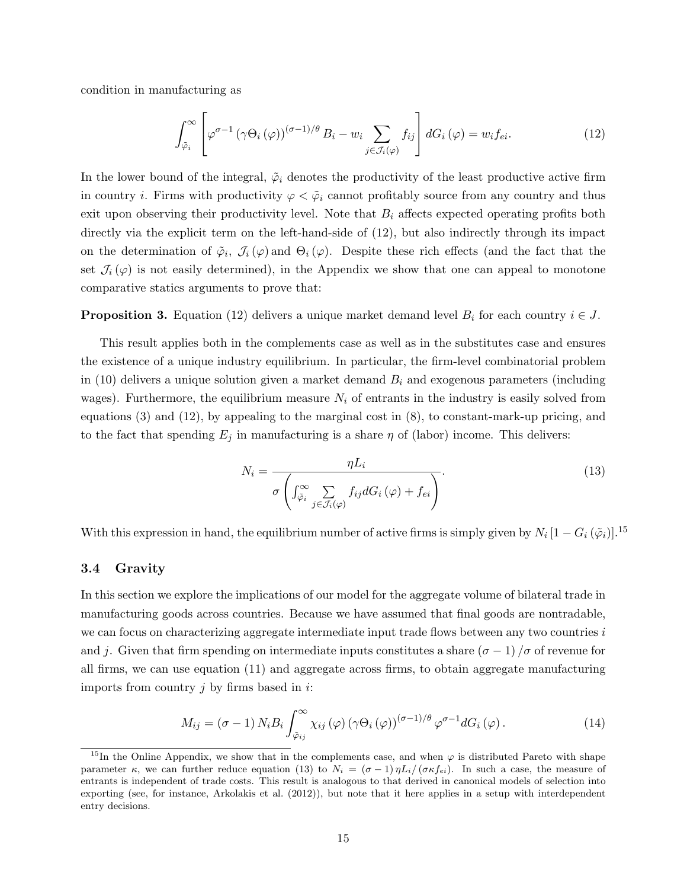condition in manufacturing as

$$
\int_{\tilde{\varphi}_i}^{\infty} \left[ \varphi^{\sigma-1} \left( \gamma \Theta_i \left( \varphi \right) \right)^{(\sigma-1)/\theta} B_i - w_i \sum_{j \in \mathcal{J}_i(\varphi)} f_{ij} \right] dG_i \left( \varphi \right) = w_i f_{ei}.
$$
\n(12)

In the lower bound of the integral,  $\tilde{\varphi}_i$  denotes the productivity of the least productive active firm in country *i*. Firms with productivity  $\varphi < \tilde{\varphi}_i$  cannot profitably source from any country and thus exit upon observing their productivity level. Note that  $B_i$  affects expected operating profits both directly via the explicit term on the left-hand-side of (12), but also indirectly through its impact on the determination of  $\tilde{\varphi}_i$ ,  $\mathcal{J}_i(\varphi)$  and  $\Theta_i(\varphi)$ . Despite these rich effects (and the fact that the set  $\mathcal{J}_i(\varphi)$  is not easily determined), in the Appendix we show that one can appeal to monotone comparative statics arguments to prove that:

**Proposition 3.** Equation (12) delivers a unique market demand level  $B_i$  for each country  $i \in J$ .

This result applies both in the complements case as well as in the substitutes case and ensures the existence of a unique industry equilibrium. In particular, the firm-level combinatorial problem in (10) delivers a unique solution given a market demand  $B_i$  and exogenous parameters (including wages). Furthermore, the equilibrium measure  $N_i$  of entrants in the industry is easily solved from equations  $(3)$  and  $(12)$ , by appealing to the marginal cost in  $(8)$ , to constant-mark-up pricing, and to the fact that spending  $E_j$  in manufacturing is a share  $\eta$  of (labor) income. This delivers:

$$
N_{i} = \frac{\eta L_{i}}{\sigma \left( \int_{\tilde{\varphi}_{i}}^{\infty} \sum_{j \in \mathcal{J}_{i}(\varphi)} f_{ij} dG_{i}(\varphi) + f_{ei} \right)}.
$$
(13)

With this expression in hand, the equilibrium number of active firms is simply given by  $N_i$   $[1-G_i\left(\tilde{\varphi}_i\right)]$ .<sup>15</sup>

### 3.4 Gravity

In this section we explore the implications of our model for the aggregate volume of bilateral trade in manufacturing goods across countries. Because we have assumed that final goods are nontradable, we can focus on characterizing aggregate intermediate input trade flows between any two countries i and j. Given that firm spending on intermediate inputs constitutes a share  $(\sigma - 1)/\sigma$  of revenue for all firms, we can use equation (11) and aggregate across firms, to obtain aggregate manufacturing imports from country  $j$  by firms based in  $i$ :

$$
M_{ij} = (\sigma - 1) N_i B_i \int_{\tilde{\varphi}_{ij}}^{\infty} \chi_{ij} (\varphi) (\gamma \Theta_i (\varphi))^{(\sigma - 1)/\theta} \varphi^{\sigma - 1} dG_i (\varphi).
$$
 (14)

<sup>&</sup>lt;sup>15</sup>In the Online Appendix, we show that in the complements case, and when  $\varphi$  is distributed Pareto with shape parameter  $\kappa$ , we can further reduce equation (13) to  $N_i = (\sigma - 1) \eta L_i/(\sigma \kappa f_{ei})$ . In such a case, the measure of entrants is independent of trade costs. This result is analogous to that derived in canonical models of selection into exporting (see, for instance, Arkolakis et al. (2012)), but note that it here applies in a setup with interdependent entry decisions.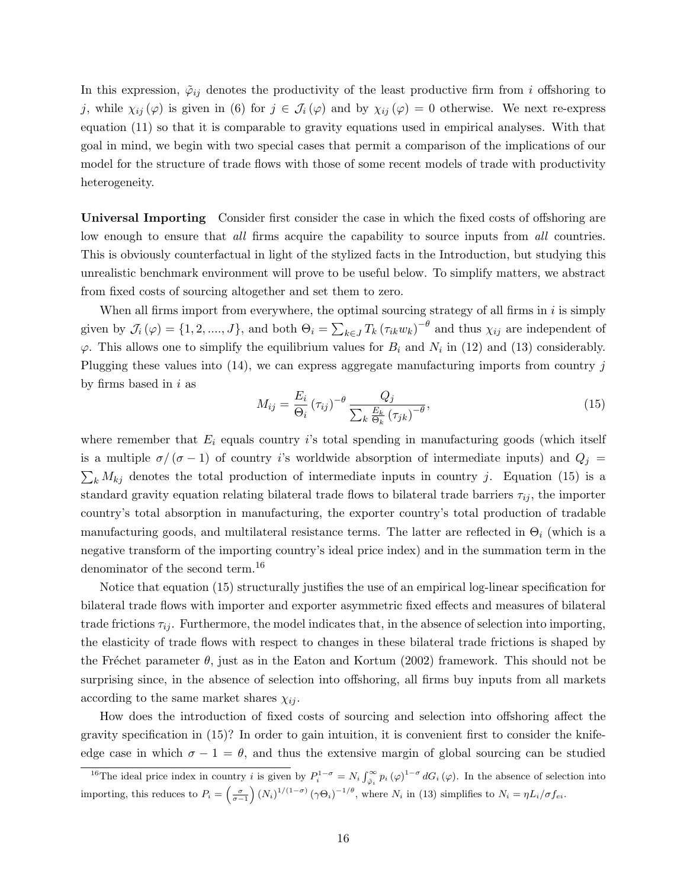In this expression,  $\tilde{\varphi}_{ij}$  denotes the productivity of the least productive firm from i offshoring to j, while  $\chi_{ij}(\varphi)$  is given in (6) for  $j \in \mathcal{J}_i(\varphi)$  and by  $\chi_{ij}(\varphi) = 0$  otherwise. We next re-express equation (11) so that it is comparable to gravity equations used in empirical analyses. With that goal in mind, we begin with two special cases that permit a comparison of the implications of our model for the structure of trade flows with those of some recent models of trade with productivity heterogeneity.

Universal Importing Consider first consider the case in which the fixed costs of offshoring are low enough to ensure that all firms acquire the capability to source inputs from all countries. This is obviously counterfactual in light of the stylized facts in the Introduction, but studying this unrealistic benchmark environment will prove to be useful below. To simplify matters, we abstract from fixed costs of sourcing altogether and set them to zero.

When all firms import from everywhere, the optimal sourcing strategy of all firms in  $i$  is simply given by  $\mathcal{J}_i(\varphi) = \{1, 2, ..., J\}$ , and both  $\Theta_i = \sum_{k \in J} T_k (\tau_{ik} w_k)^{-\theta}$  and thus  $\chi_{ij}$  are independent of  $\varphi$ . This allows one to simplify the equilibrium values for  $B_i$  and  $N_i$  in (12) and (13) considerably. Plugging these values into  $(14)$ , we can express aggregate manufacturing imports from country j by firms based in  $i$  as

$$
M_{ij} = \frac{E_i}{\Theta_i} \left(\tau_{ij}\right)^{-\theta} \frac{Q_j}{\sum_k \frac{E_k}{\Theta_k} \left(\tau_{jk}\right)^{-\theta}},\tag{15}
$$

where remember that  $E_i$  equals country is total spending in manufacturing goods (which itself is a multiple  $\sigma/(\sigma-1)$  of country i's worldwide absorption of intermediate inputs) and  $Q_j =$  $\sum_{k} M_{kj}$  denotes the total production of intermediate inputs in country j. Equation (15) is a standard gravity equation relating bilateral trade flows to bilateral trade barriers  $\tau_{ij}$ , the importer country's total absorption in manufacturing, the exporter country's total production of tradable manufacturing goods, and multilateral resistance terms. The latter are reflected in  $\Theta_i$  (which is a negative transform of the importing country's ideal price index) and in the summation term in the denominator of the second term.<sup>16</sup>

Notice that equation (15) structurally justifies the use of an empirical log-linear specification for bilateral trade flows with importer and exporter asymmetric fixed effects and measures of bilateral trade frictions  $\tau_{ij}$ . Furthermore, the model indicates that, in the absence of selection into importing, the elasticity of trade flows with respect to changes in these bilateral trade frictions is shaped by the Fréchet parameter  $\theta$ , just as in the Eaton and Kortum (2002) framework. This should not be surprising since, in the absence of selection into offshoring, all firms buy inputs from all markets according to the same market shares  $\chi_{ij}$ .

How does the introduction of fixed costs of sourcing and selection into offshoring affect the gravity specification in (15)? In order to gain intuition, it is convenient first to consider the knifeedge case in which  $\sigma - 1 = \theta$ , and thus the extensive margin of global sourcing can be studied

<sup>&</sup>lt;sup>16</sup>The ideal price index in country *i* is given by  $P_i^{1-\sigma} = N_i \int_{\tilde{\varphi}_i}^{\infty} p_i(\varphi)^{1-\sigma} dG_i(\varphi)$ . In the absence of selection into importing, this reduces to  $P_i = \left(\frac{\sigma}{\sigma-1}\right) (N_i)^{1/(1-\sigma)} (\gamma \Theta_i)^{-1/\theta}$ , where  $N_i$  in (13) simplifies to  $N_i = \eta L_i / \sigma f_{ei}$ .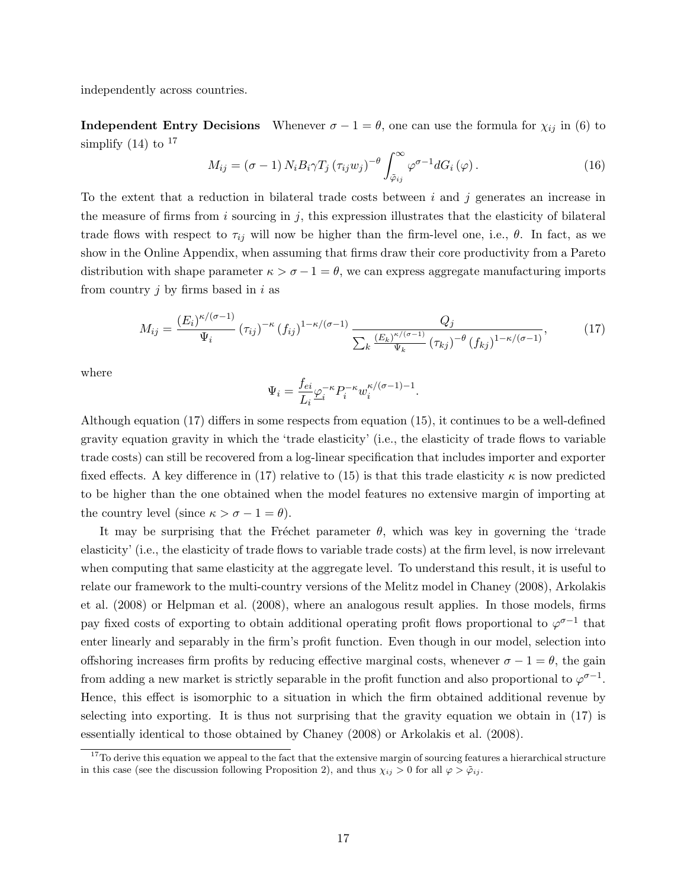independently across countries.

**Independent Entry Decisions** Whenever  $\sigma - 1 = \theta$ , one can use the formula for  $\chi_{ij}$  in (6) to simplify  $(14)$  to  $^{17}$ 

$$
M_{ij} = (\sigma - 1) N_i B_i \gamma T_j (\tau_{ij} w_j)^{-\theta} \int_{\tilde{\varphi}_{ij}}^{\infty} \varphi^{\sigma - 1} dG_i (\varphi).
$$
 (16)

To the extent that a reduction in bilateral trade costs between  $i$  and  $j$  generates an increase in the measure of firms from  $i$  sourcing in  $j$ , this expression illustrates that the elasticity of bilateral trade flows with respect to  $\tau_{ij}$  will now be higher than the firm-level one, i.e.,  $\theta$ . In fact, as we show in the Online Appendix, when assuming that firms draw their core productivity from a Pareto distribution with shape parameter  $\kappa > \sigma - 1 = \theta$ , we can express aggregate manufacturing imports from country  $j$  by firms based in  $i$  as

$$
M_{ij} = \frac{(E_i)^{\kappa/(\sigma - 1)}}{\Psi_i} (\tau_{ij})^{-\kappa} (f_{ij})^{1 - \kappa/(\sigma - 1)} \frac{Q_j}{\sum_k \frac{(E_k)^{\kappa/(\sigma - 1)}}{\Psi_k} (\tau_{kj})^{-\theta} (f_{kj})^{1 - \kappa/(\sigma - 1)}},
$$
(17)

where

$$
\Psi_i = \frac{f_{ei}}{L_i} \underline{\varphi}_i^{-\kappa} P_i^{-\kappa} w_i^{\kappa/(\sigma-1)-1}.
$$

Although equation (17) differs in some respects from equation (15), it continues to be a well-defined gravity equation gravity in which the 'trade elasticity' (i.e., the elasticity of trade flows to variable trade costs) can still be recovered from a log-linear specification that includes importer and exporter fixed effects. A key difference in (17) relative to (15) is that this trade elasticity  $\kappa$  is now predicted to be higher than the one obtained when the model features no extensive margin of importing at the country level (since  $\kappa > \sigma - 1 = \theta$ ).

It may be surprising that the Fréchet parameter  $\theta$ , which was key in governing the 'trade elasticity' (i.e., the elasticity of trade flows to variable trade costs) at the firm level, is now irrelevant when computing that same elasticity at the aggregate level. To understand this result, it is useful to relate our framework to the multi-country versions of the Melitz model in Chaney (2008), Arkolakis et al. (2008) or Helpman et al. (2008), where an analogous result applies. In those models, firms pay fixed costs of exporting to obtain additional operating profit flows proportional to  $\varphi^{\sigma-1}$  that enter linearly and separably in the firm's profit function. Even though in our model, selection into offshoring increases firm profits by reducing effective marginal costs, whenever  $\sigma - 1 = \theta$ , the gain from adding a new market is strictly separable in the profit function and also proportional to  $\varphi^{\sigma-1}$ . Hence, this effect is isomorphic to a situation in which the firm obtained additional revenue by selecting into exporting. It is thus not surprising that the gravity equation we obtain in (17) is essentially identical to those obtained by Chaney (2008) or Arkolakis et al. (2008).

 $17$ To derive this equation we appeal to the fact that the extensive margin of sourcing features a hierarchical structure in this case (see the discussion following Proposition 2), and thus  $\chi_{ij} > 0$  for all  $\varphi > \tilde{\varphi}_{ij}$ .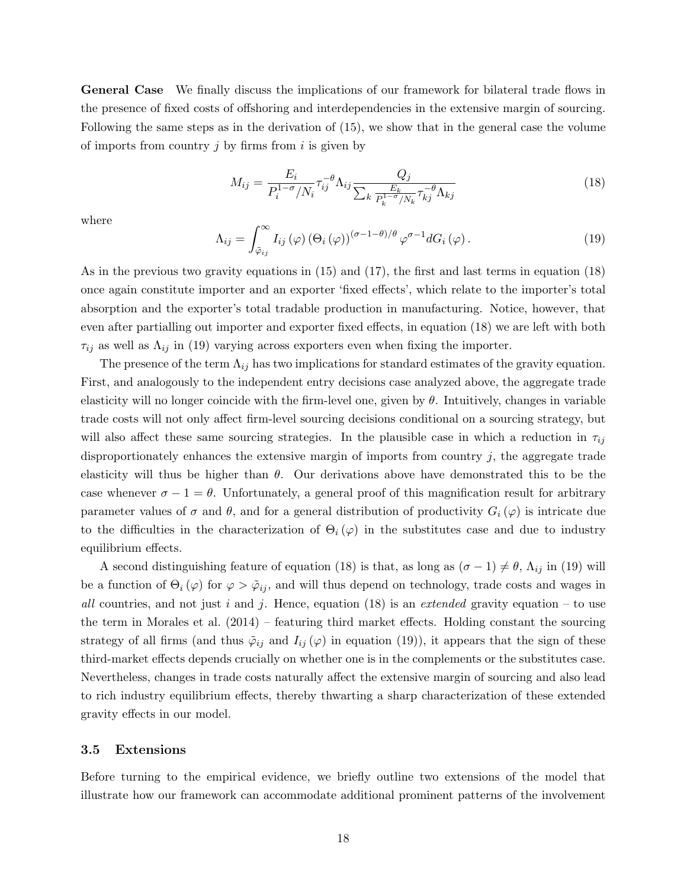General Case We finally discuss the implications of our framework for bilateral trade flows in the presence of fixed costs of offshoring and interdependencies in the extensive margin of sourcing. Following the same steps as in the derivation of (15), we show that in the general case the volume of imports from country  $j$  by firms from  $i$  is given by

$$
M_{ij} = \frac{E_i}{P_i^{1-\sigma}/N_i} \tau_{ij}^{-\theta} \Lambda_{ij} \frac{Q_j}{\sum_k \frac{E_k}{P_k^{1-\sigma}/N_k} \tau_{kj}^{-\theta} \Lambda_{kj}}
$$
(18)

where

$$
\Lambda_{ij} = \int_{\tilde{\varphi}_{ij}}^{\infty} I_{ij}(\varphi) \left(\Theta_i(\varphi)\right)^{(\sigma - 1 - \theta)/\theta} \varphi^{\sigma - 1} dG_i(\varphi).
$$
\n(19)

As in the previous two gravity equations in (15) and (17), the first and last terms in equation (18) once again constitute importer and an exporter 'fixed effects', which relate to the importer's total absorption and the exporter's total tradable production in manufacturing. Notice, however, that even after partialling out importer and exporter fixed effects, in equation (18) we are left with both  $\tau_{ij}$  as well as  $\Lambda_{ij}$  in (19) varying across exporters even when fixing the importer.

The presence of the term  $\Lambda_{ij}$  has two implications for standard estimates of the gravity equation. First, and analogously to the independent entry decisions case analyzed above, the aggregate trade elasticity will no longer coincide with the firm-level one, given by  $\theta$ . Intuitively, changes in variable trade costs will not only affect firm-level sourcing decisions conditional on a sourcing strategy, but will also affect these same sourcing strategies. In the plausible case in which a reduction in  $\tau_{ij}$ disproportionately enhances the extensive margin of imports from country  $j$ , the aggregate trade elasticity will thus be higher than  $\theta$ . Our derivations above have demonstrated this to be the case whenever  $\sigma - 1 = \theta$ . Unfortunately, a general proof of this magnification result for arbitrary parameter values of  $\sigma$  and  $\theta$ , and for a general distribution of productivity  $G_i(\varphi)$  is intricate due to the difficulties in the characterization of  $\Theta_i(\varphi)$  in the substitutes case and due to industry equilibrium effects.

A second distinguishing feature of equation (18) is that, as long as  $(\sigma - 1) \neq \theta$ ,  $\Lambda_{ij}$  in (19) will be a function of  $\Theta_i(\varphi)$  for  $\varphi > \tilde{\varphi}_{ij}$ , and will thus depend on technology, trade costs and wages in all countries, and not just i and j. Hence, equation (18) is an extended gravity equation – to use the term in Morales et al. (2014) – featuring third market effects. Holding constant the sourcing strategy of all firms (and thus  $\tilde{\varphi}_{ij}$  and  $I_{ij}(\varphi)$  in equation (19)), it appears that the sign of these third-market effects depends crucially on whether one is in the complements or the substitutes case. Nevertheless, changes in trade costs naturally affect the extensive margin of sourcing and also lead to rich industry equilibrium effects, thereby thwarting a sharp characterization of these extended gravity effects in our model.

# 3.5 Extensions

Before turning to the empirical evidence, we briefly outline two extensions of the model that illustrate how our framework can accommodate additional prominent patterns of the involvement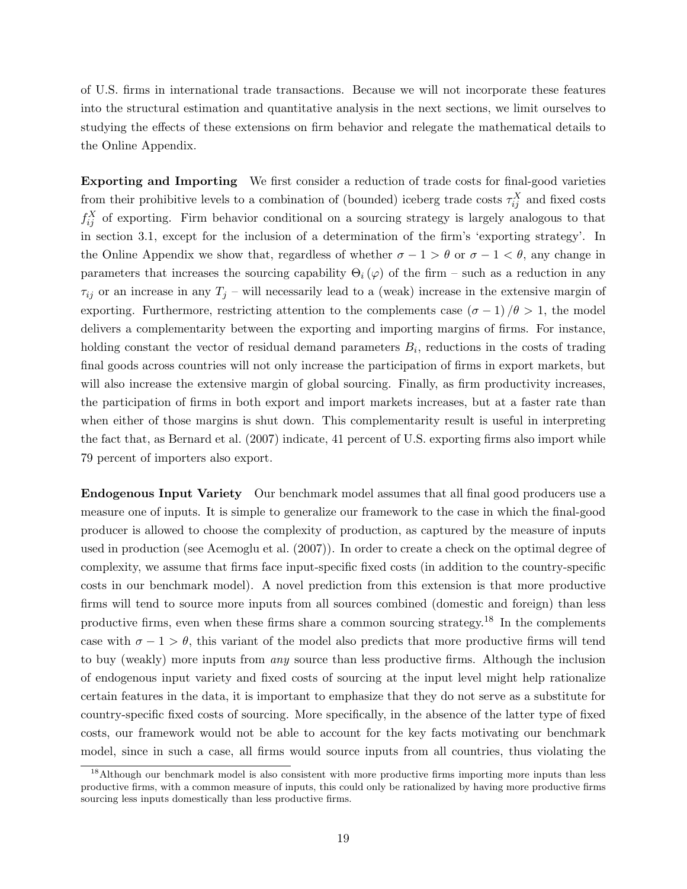of U.S. firms in international trade transactions. Because we will not incorporate these features into the structural estimation and quantitative analysis in the next sections, we limit ourselves to studying the effects of these extensions on firm behavior and relegate the mathematical details to the Online Appendix.

Exporting and Importing We first consider a reduction of trade costs for final-good varieties from their prohibitive levels to a combination of (bounded) iceberg trade costs  $\tau_{ij}^X$  and fixed costs  $f_{ij}^X$  of exporting. Firm behavior conditional on a sourcing strategy is largely analogous to that in section 3.1, except for the inclusion of a determination of the firm's 'exporting strategy'. In the Online Appendix we show that, regardless of whether  $\sigma - 1 > \theta$  or  $\sigma - 1 < \theta$ , any change in parameters that increases the sourcing capability  $\Theta_i(\varphi)$  of the firm – such as a reduction in any  $\tau_{ij}$  or an increase in any  $T_j$  – will necessarily lead to a (weak) increase in the extensive margin of exporting. Furthermore, restricting attention to the complements case  $(\sigma - 1)/\theta > 1$ , the model delivers a complementarity between the exporting and importing margins of firms. For instance, holding constant the vector of residual demand parameters  $B_i$ , reductions in the costs of trading final goods across countries will not only increase the participation of firms in export markets, but will also increase the extensive margin of global sourcing. Finally, as firm productivity increases, the participation of firms in both export and import markets increases, but at a faster rate than when either of those margins is shut down. This complementarity result is useful in interpreting the fact that, as Bernard et al. (2007) indicate, 41 percent of U.S. exporting firms also import while 79 percent of importers also export.

Endogenous Input Variety Our benchmark model assumes that all final good producers use a measure one of inputs. It is simple to generalize our framework to the case in which the final-good producer is allowed to choose the complexity of production, as captured by the measure of inputs used in production (see Acemoglu et al. (2007)). In order to create a check on the optimal degree of complexity, we assume that firms face input-specific fixed costs (in addition to the country-specific costs in our benchmark model). A novel prediction from this extension is that more productive firms will tend to source more inputs from all sources combined (domestic and foreign) than less productive firms, even when these firms share a common sourcing strategy.<sup>18</sup> In the complements case with  $\sigma - 1 > \theta$ , this variant of the model also predicts that more productive firms will tend to buy (weakly) more inputs from any source than less productive firms. Although the inclusion of endogenous input variety and fixed costs of sourcing at the input level might help rationalize certain features in the data, it is important to emphasize that they do not serve as a substitute for country-specific fixed costs of sourcing. More specifically, in the absence of the latter type of fixed costs, our framework would not be able to account for the key facts motivating our benchmark model, since in such a case, all firms would source inputs from all countries, thus violating the

<sup>&</sup>lt;sup>18</sup>Although our benchmark model is also consistent with more productive firms importing more inputs than less productive firms, with a common measure of inputs, this could only be rationalized by having more productive firms sourcing less inputs domestically than less productive firms.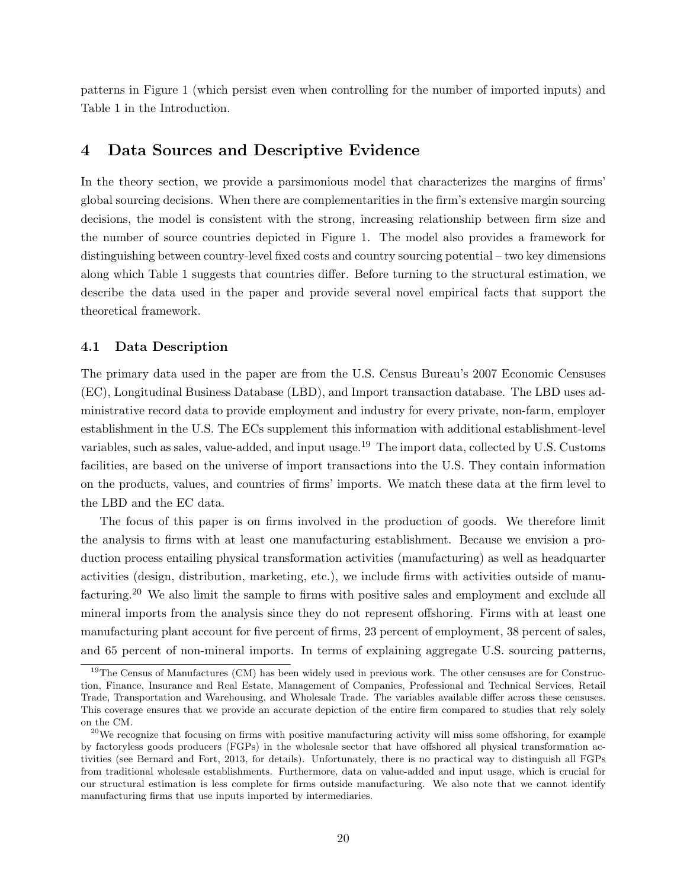patterns in Figure 1 (which persist even when controlling for the number of imported inputs) and Table 1 in the Introduction.

# 4 Data Sources and Descriptive Evidence

In the theory section, we provide a parsimonious model that characterizes the margins of firms' global sourcing decisions. When there are complementarities in the firm's extensive margin sourcing decisions, the model is consistent with the strong, increasing relationship between firm size and the number of source countries depicted in Figure 1. The model also provides a framework for distinguishing between country-level fixed costs and country sourcing potential – two key dimensions along which Table 1 suggests that countries differ. Before turning to the structural estimation, we describe the data used in the paper and provide several novel empirical facts that support the theoretical framework.

# 4.1 Data Description

The primary data used in the paper are from the U.S. Census Bureau's 2007 Economic Censuses (EC), Longitudinal Business Database (LBD), and Import transaction database. The LBD uses administrative record data to provide employment and industry for every private, non-farm, employer establishment in the U.S. The ECs supplement this information with additional establishment-level variables, such as sales, value-added, and input usage.<sup>19</sup> The import data, collected by U.S. Customs facilities, are based on the universe of import transactions into the U.S. They contain information on the products, values, and countries of firms' imports. We match these data at the firm level to the LBD and the EC data.

The focus of this paper is on firms involved in the production of goods. We therefore limit the analysis to firms with at least one manufacturing establishment. Because we envision a production process entailing physical transformation activities (manufacturing) as well as headquarter activities (design, distribution, marketing, etc.), we include firms with activities outside of manufacturing.<sup>20</sup> We also limit the sample to firms with positive sales and employment and exclude all mineral imports from the analysis since they do not represent offshoring. Firms with at least one manufacturing plant account for five percent of firms, 23 percent of employment, 38 percent of sales, and 65 percent of non-mineral imports. In terms of explaining aggregate U.S. sourcing patterns,

<sup>&</sup>lt;sup>19</sup>The Census of Manufactures (CM) has been widely used in previous work. The other censuses are for Construction, Finance, Insurance and Real Estate, Management of Companies, Professional and Technical Services, Retail Trade, Transportation and Warehousing, and Wholesale Trade. The variables available differ across these censuses. This coverage ensures that we provide an accurate depiction of the entire firm compared to studies that rely solely on the CM.

 $^{20}$ We recognize that focusing on firms with positive manufacturing activity will miss some offshoring, for example by factoryless goods producers (FGPs) in the wholesale sector that have offshored all physical transformation activities (see Bernard and Fort, 2013, for details). Unfortunately, there is no practical way to distinguish all FGPs from traditional wholesale establishments. Furthermore, data on value-added and input usage, which is crucial for our structural estimation is less complete for firms outside manufacturing. We also note that we cannot identify manufacturing firms that use inputs imported by intermediaries.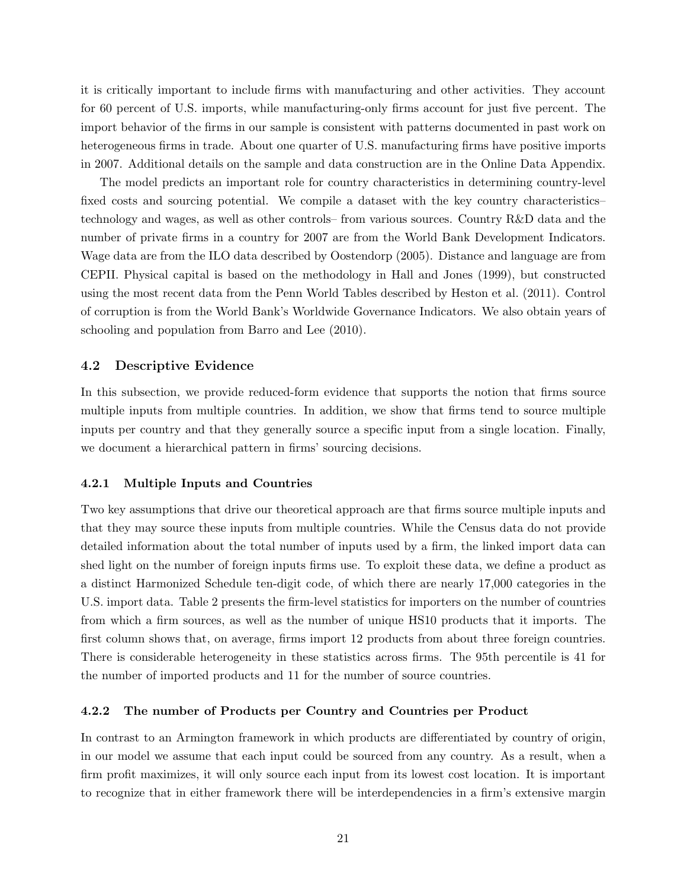it is critically important to include firms with manufacturing and other activities. They account for 60 percent of U.S. imports, while manufacturing-only firms account for just five percent. The import behavior of the firms in our sample is consistent with patterns documented in past work on heterogeneous firms in trade. About one quarter of U.S. manufacturing firms have positive imports in 2007. Additional details on the sample and data construction are in the Online Data Appendix.

The model predicts an important role for country characteristics in determining country-level fixed costs and sourcing potential. We compile a dataset with the key country characteristics– technology and wages, as well as other controls– from various sources. Country R&D data and the number of private firms in a country for 2007 are from the World Bank Development Indicators. Wage data are from the ILO data described by Oostendorp (2005). Distance and language are from CEPII. Physical capital is based on the methodology in Hall and Jones (1999), but constructed using the most recent data from the Penn World Tables described by Heston et al. (2011). Control of corruption is from the World Bank's Worldwide Governance Indicators. We also obtain years of schooling and population from Barro and Lee (2010).

# 4.2 Descriptive Evidence

In this subsection, we provide reduced-form evidence that supports the notion that firms source multiple inputs from multiple countries. In addition, we show that firms tend to source multiple inputs per country and that they generally source a specific input from a single location. Finally, we document a hierarchical pattern in firms' sourcing decisions.

### 4.2.1 Multiple Inputs and Countries

Two key assumptions that drive our theoretical approach are that firms source multiple inputs and that they may source these inputs from multiple countries. While the Census data do not provide detailed information about the total number of inputs used by a firm, the linked import data can shed light on the number of foreign inputs firms use. To exploit these data, we define a product as a distinct Harmonized Schedule ten-digit code, of which there are nearly 17,000 categories in the U.S. import data. Table 2 presents the firm-level statistics for importers on the number of countries from which a firm sources, as well as the number of unique HS10 products that it imports. The first column shows that, on average, firms import 12 products from about three foreign countries. There is considerable heterogeneity in these statistics across firms. The 95th percentile is 41 for the number of imported products and 11 for the number of source countries.

### 4.2.2 The number of Products per Country and Countries per Product

In contrast to an Armington framework in which products are differentiated by country of origin, in our model we assume that each input could be sourced from any country. As a result, when a firm profit maximizes, it will only source each input from its lowest cost location. It is important to recognize that in either framework there will be interdependencies in a firm's extensive margin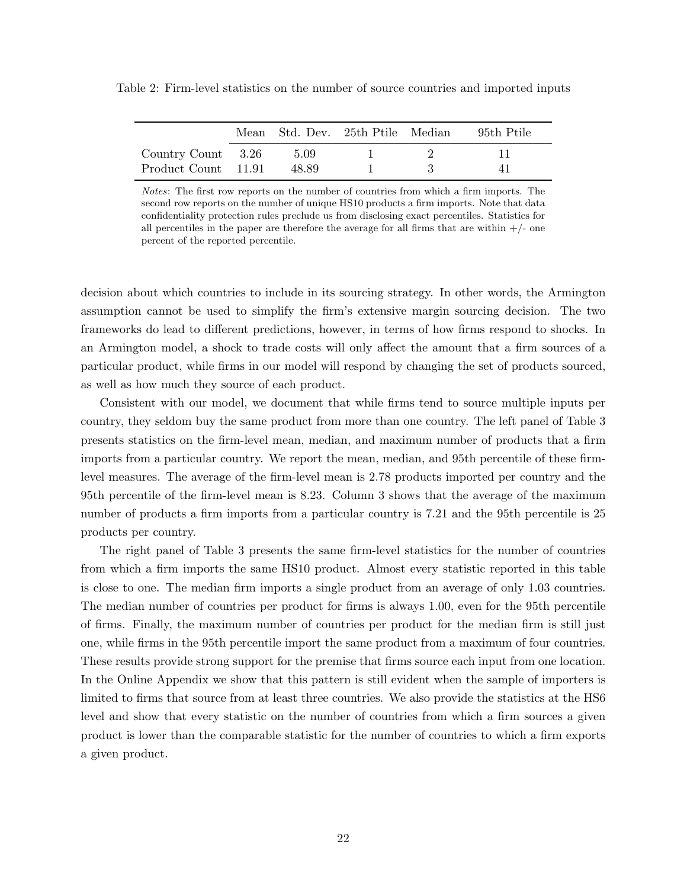|                     |       | Mean Std. Dev. 25th Ptile Median | -95th Ptile |
|---------------------|-------|----------------------------------|-------------|
| Country Count 3.26  | 5.09  |                                  |             |
| Product Count 11.91 | 48.89 |                                  |             |

Table 2: Firm-level statistics on the number of source countries and imported inputs

Notes: The first row reports on the number of countries from which a firm imports. The second row reports on the number of unique HS10 products a firm imports. Note that data confidentiality protection rules preclude us from disclosing exact percentiles. Statistics for all percentiles in the paper are therefore the average for all firms that are within  $+/-$  one percent of the reported percentile.

decision about which countries to include in its sourcing strategy. In other words, the Armington assumption cannot be used to simplify the firm's extensive margin sourcing decision. The two frameworks do lead to different predictions, however, in terms of how firms respond to shocks. In an Armington model, a shock to trade costs will only affect the amount that a firm sources of a particular product, while firms in our model will respond by changing the set of products sourced, as well as how much they source of each product.

Consistent with our model, we document that while firms tend to source multiple inputs per country, they seldom buy the same product from more than one country. The left panel of Table 3 presents statistics on the firm-level mean, median, and maximum number of products that a firm imports from a particular country. We report the mean, median, and 95th percentile of these firmlevel measures. The average of the firm-level mean is 2.78 products imported per country and the 95th percentile of the firm-level mean is 8.23. Column 3 shows that the average of the maximum number of products a firm imports from a particular country is 7.21 and the 95th percentile is 25 products per country.

The right panel of Table 3 presents the same firm-level statistics for the number of countries from which a firm imports the same HS10 product. Almost every statistic reported in this table is close to one. The median firm imports a single product from an average of only 1.03 countries. The median number of countries per product for firms is always 1.00, even for the 95th percentile of firms. Finally, the maximum number of countries per product for the median firm is still just one, while firms in the 95th percentile import the same product from a maximum of four countries. These results provide strong support for the premise that firms source each input from one location. In the Online Appendix we show that this pattern is still evident when the sample of importers is limited to firms that source from at least three countries. We also provide the statistics at the HS6 level and show that every statistic on the number of countries from which a firm sources a given product is lower than the comparable statistic for the number of countries to which a firm exports a given product.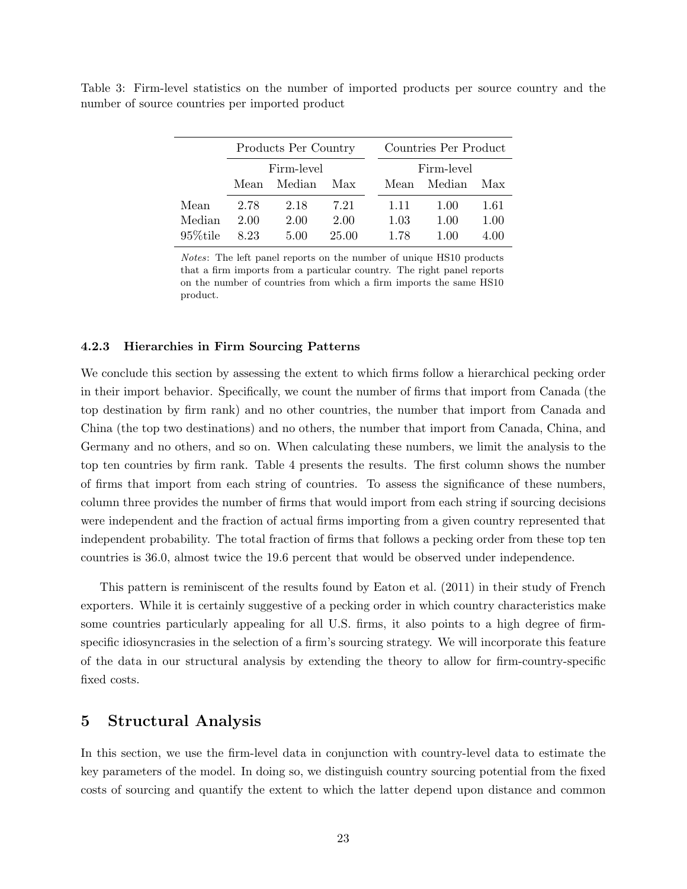|             | Products Per Country |        |       |  |            | Countries Per Product |      |
|-------------|----------------------|--------|-------|--|------------|-----------------------|------|
|             | Firm-level           |        |       |  | Firm-level |                       |      |
|             | Mean                 | Median | Max   |  | Mean       | Median                | Max  |
| Mean        | 2.78                 | 2.18   | 7.21  |  | 1.11       | 1.00                  | 1.61 |
| Median      | 2.00                 | 2.00   | 2.00  |  | 1.03       | 1.00                  | 1.00 |
| $95\%$ tile | 8.23                 | 5.00   | 25.00 |  | 1.78       | 1.00                  | 4.00 |
|             |                      |        |       |  |            |                       |      |

Table 3: Firm-level statistics on the number of imported products per source country and the number of source countries per imported product

Notes: The left panel reports on the number of unique HS10 products that a firm imports from a particular country. The right panel reports on the number of countries from which a firm imports the same HS10 product.

# 4.2.3 Hierarchies in Firm Sourcing Patterns

We conclude this section by assessing the extent to which firms follow a hierarchical pecking order in their import behavior. Specifically, we count the number of firms that import from Canada (the top destination by firm rank) and no other countries, the number that import from Canada and China (the top two destinations) and no others, the number that import from Canada, China, and Germany and no others, and so on. When calculating these numbers, we limit the analysis to the top ten countries by firm rank. Table 4 presents the results. The first column shows the number of firms that import from each string of countries. To assess the significance of these numbers, column three provides the number of firms that would import from each string if sourcing decisions were independent and the fraction of actual firms importing from a given country represented that independent probability. The total fraction of firms that follows a pecking order from these top ten countries is 36.0, almost twice the 19.6 percent that would be observed under independence.

This pattern is reminiscent of the results found by Eaton et al. (2011) in their study of French exporters. While it is certainly suggestive of a pecking order in which country characteristics make some countries particularly appealing for all U.S. firms, it also points to a high degree of firmspecific idiosyncrasies in the selection of a firm's sourcing strategy. We will incorporate this feature of the data in our structural analysis by extending the theory to allow for firm-country-specific fixed costs.

# 5 Structural Analysis

In this section, we use the firm-level data in conjunction with country-level data to estimate the key parameters of the model. In doing so, we distinguish country sourcing potential from the fixed costs of sourcing and quantify the extent to which the latter depend upon distance and common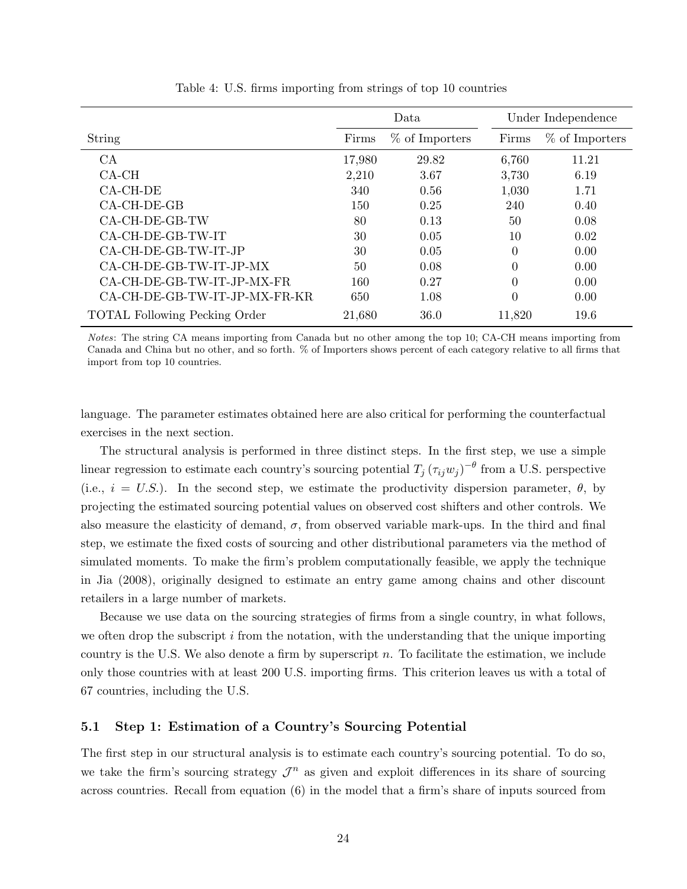|                                      |        | Data             |          | Under Independence |
|--------------------------------------|--------|------------------|----------|--------------------|
| String                               | Firms  | $%$ of Importers | Firms    | $%$ of Importers   |
| CA                                   | 17,980 | 29.82            | 6,760    | 11.21              |
| $CA-CH$                              | 2,210  | 3.67             | 3,730    | 6.19               |
| $CA-CH-DE$                           | 340    | 0.56             | 1,030    | 1.71               |
| $CA$ -CH-DE-GB                       | 150    | 0.25             | 240      | 0.40               |
| CA-CH-DE-GB-TW                       | 80     | 0.13             | 50       | 0.08               |
| CA-CH-DE-GB-TW-IT                    | 30     | 0.05             | 10       | 0.02               |
| CA-CH-DE-GB-TW-IT-JP                 | 30     | 0.05             | $\Omega$ | 0.00               |
| CA-CH-DE-GB-TW-IT-JP-MX              | 50     | 0.08             | $\theta$ | 0.00               |
| CA-CH-DE-GB-TW-IT-JP-MX-FR           | 160    | 0.27             | $\Omega$ | 0.00               |
| CA-CH-DE-GB-TW-IT-JP-MX-FR-KR        | 650    | 1.08             | $\theta$ | 0.00               |
| <b>TOTAL Following Pecking Order</b> | 21,680 | 36.0             | 11,820   | 19.6               |

Table 4: U.S. firms importing from strings of top 10 countries

Notes: The string CA means importing from Canada but no other among the top 10; CA-CH means importing from Canada and China but no other, and so forth. % of Importers shows percent of each category relative to all firms that import from top 10 countries.

language. The parameter estimates obtained here are also critical for performing the counterfactual exercises in the next section.

The structural analysis is performed in three distinct steps. In the first step, we use a simple linear regression to estimate each country's sourcing potential  $T_j(\tau_{ij}w_j)^{-\theta}$  from a U.S. perspective (i.e.,  $i = U.S.$ ). In the second step, we estimate the productivity dispersion parameter,  $\theta$ , by projecting the estimated sourcing potential values on observed cost shifters and other controls. We also measure the elasticity of demand,  $\sigma$ , from observed variable mark-ups. In the third and final step, we estimate the fixed costs of sourcing and other distributional parameters via the method of simulated moments. To make the firm's problem computationally feasible, we apply the technique in Jia (2008), originally designed to estimate an entry game among chains and other discount retailers in a large number of markets.

Because we use data on the sourcing strategies of firms from a single country, in what follows, we often drop the subscript i from the notation, with the understanding that the unique importing country is the U.S. We also denote a firm by superscript  $n$ . To facilitate the estimation, we include only those countries with at least 200 U.S. importing firms. This criterion leaves us with a total of 67 countries, including the U.S.

# 5.1 Step 1: Estimation of a Country's Sourcing Potential

The first step in our structural analysis is to estimate each country's sourcing potential. To do so, we take the firm's sourcing strategy  $\mathcal{J}^n$  as given and exploit differences in its share of sourcing across countries. Recall from equation (6) in the model that a firm's share of inputs sourced from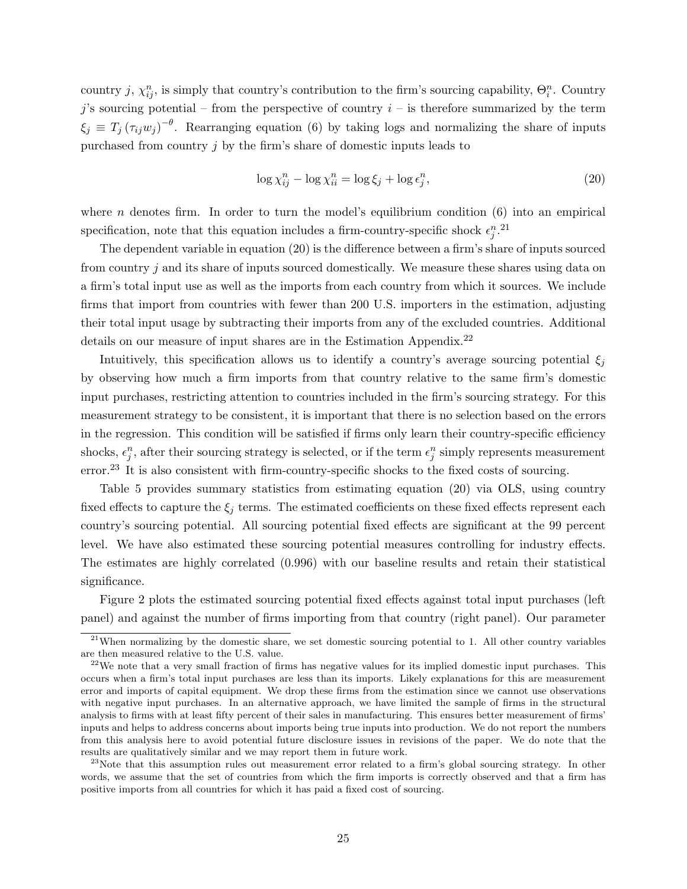country j,  $\chi_{ij}^n$ , is simply that country's contribution to the firm's sourcing capability,  $\Theta_i^n$ . Country  $j$ 's sourcing potential – from the perspective of country  $i$  – is therefore summarized by the term  $\xi_j \equiv T_j (\tau_{ij} w_j )^{-\theta}$ . Rearranging equation (6) by taking logs and normalizing the share of inputs purchased from country  $j$  by the firm's share of domestic inputs leads to

$$
\log \chi_{ij}^n - \log \chi_{ii}^n = \log \xi_j + \log \epsilon_j^n,\tag{20}
$$

where n denotes firm. In order to turn the model's equilibrium condition  $(6)$  into an empirical specification, note that this equation includes a firm-country-specific shock  $\epsilon_j^n$ .<sup>21</sup>

The dependent variable in equation (20) is the difference between a firm's share of inputs sourced from country j and its share of inputs sourced domestically. We measure these shares using data on a firm's total input use as well as the imports from each country from which it sources. We include firms that import from countries with fewer than 200 U.S. importers in the estimation, adjusting their total input usage by subtracting their imports from any of the excluded countries. Additional details on our measure of input shares are in the Estimation Appendix.<sup>22</sup>

Intuitively, this specification allows us to identify a country's average sourcing potential  $\xi_i$ by observing how much a firm imports from that country relative to the same firm's domestic input purchases, restricting attention to countries included in the firm's sourcing strategy. For this measurement strategy to be consistent, it is important that there is no selection based on the errors in the regression. This condition will be satisfied if firms only learn their country-specific efficiency shocks,  $\epsilon_j^n$ , after their sourcing strategy is selected, or if the term  $\epsilon_j^n$  simply represents measurement error.<sup>23</sup> It is also consistent with firm-country-specific shocks to the fixed costs of sourcing.

Table 5 provides summary statistics from estimating equation (20) via OLS, using country fixed effects to capture the  $\xi_i$  terms. The estimated coefficients on these fixed effects represent each country's sourcing potential. All sourcing potential fixed effects are significant at the 99 percent level. We have also estimated these sourcing potential measures controlling for industry effects. The estimates are highly correlated (0.996) with our baseline results and retain their statistical significance.

Figure 2 plots the estimated sourcing potential fixed effects against total input purchases (left panel) and against the number of firms importing from that country (right panel). Our parameter

<sup>&</sup>lt;sup>21</sup>When normalizing by the domestic share, we set domestic sourcing potential to 1. All other country variables are then measured relative to the U.S. value.

 $22$ We note that a very small fraction of firms has negative values for its implied domestic input purchases. This occurs when a firm's total input purchases are less than its imports. Likely explanations for this are measurement error and imports of capital equipment. We drop these firms from the estimation since we cannot use observations with negative input purchases. In an alternative approach, we have limited the sample of firms in the structural analysis to firms with at least fifty percent of their sales in manufacturing. This ensures better measurement of firms' inputs and helps to address concerns about imports being true inputs into production. We do not report the numbers from this analysis here to avoid potential future disclosure issues in revisions of the paper. We do note that the results are qualitatively similar and we may report them in future work.

<sup>&</sup>lt;sup>23</sup>Note that this assumption rules out measurement error related to a firm's global sourcing strategy. In other words, we assume that the set of countries from which the firm imports is correctly observed and that a firm has positive imports from all countries for which it has paid a fixed cost of sourcing.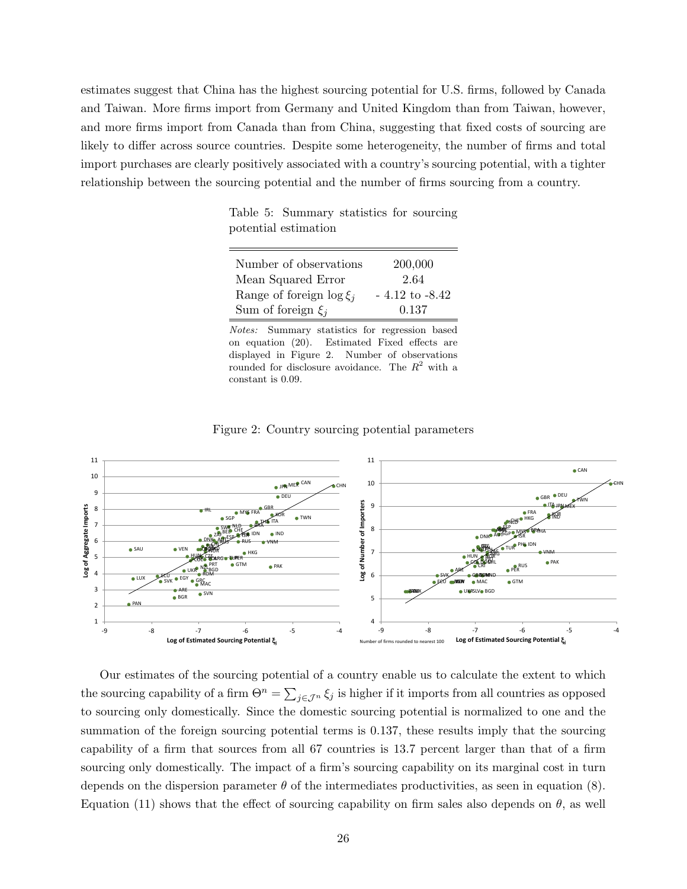estimates suggest that China has the highest sourcing potential for U.S. firms, followed by Canada and Taiwan. More firms import from Germany and United Kingdom than from Taiwan, however, and more firms import from Canada than from China, suggesting that fixed costs of sourcing are likely to differ across source countries. Despite some heterogeneity, the number of firms and total import purchases are clearly positively associated with a country's sourcing potential, with a tighter relationship between the sourcing potential and the number of firms sourcing from a country.

Table 5: Summary statistics for sourcing potential estimation

| Number of observations        | 200,000            |
|-------------------------------|--------------------|
| Mean Squared Error            | 2.64               |
| Range of foreign $\log \xi_i$ | $-4.12$ to $-8.42$ |
| Sum of foreign $\xi_i$        | 0.137              |
|                               |                    |

Notes: Summary statistics for regression based on equation (20). Estimated Fixed effects are displayed in Figure 2. Number of observations rounded for disclosure avoidance. The  $R^2$  with a constant is 0.09.



Figure 2: Country sourcing potential parameters

Our estimates of the sourcing potential of a country enable us to calculate the extent to which the sourcing capability of a firm  $\Theta^n = \sum_{j \in \mathcal{J}^n} \xi_j$  is higher if it imports from all countries as opposed to sourcing only domestically. Since the domestic sourcing potential is normalized to one and the summation of the foreign sourcing potential terms is 0.137, these results imply that the sourcing capability of a firm that sources from all 67 countries is 13.7 percent larger than that of a firm sourcing only domestically. The impact of a firm's sourcing capability on its marginal cost in turn depends on the dispersion parameter  $\theta$  of the intermediates productivities, as seen in equation (8). Equation (11) shows that the effect of sourcing capability on firm sales also depends on  $\theta$ , as well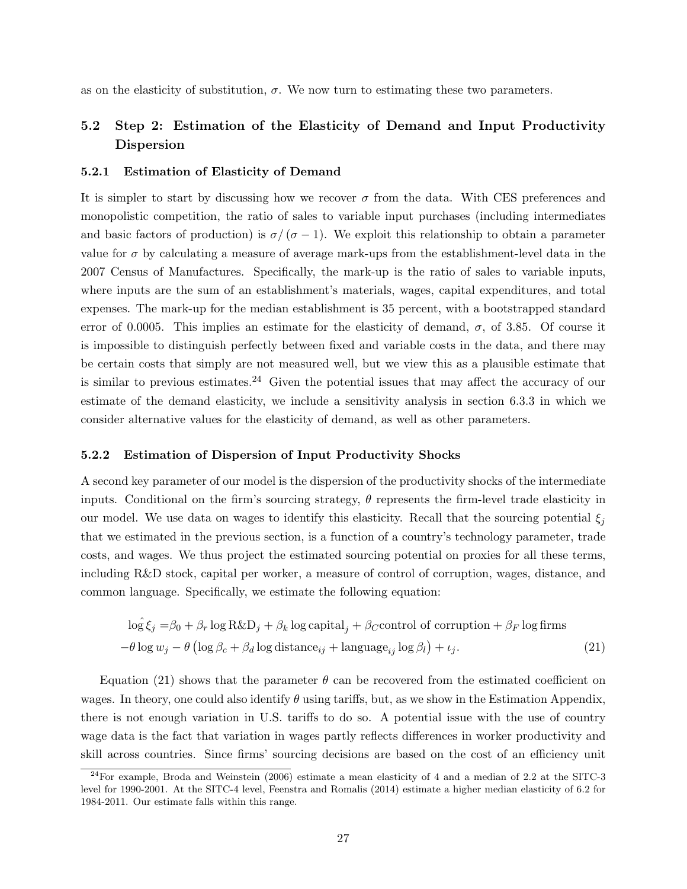as on the elasticity of substitution,  $\sigma$ . We now turn to estimating these two parameters.

# 5.2 Step 2: Estimation of the Elasticity of Demand and Input Productivity Dispersion

# 5.2.1 Estimation of Elasticity of Demand

It is simpler to start by discussing how we recover  $\sigma$  from the data. With CES preferences and monopolistic competition, the ratio of sales to variable input purchases (including intermediates and basic factors of production) is  $\sigma/(\sigma-1)$ . We exploit this relationship to obtain a parameter value for  $\sigma$  by calculating a measure of average mark-ups from the establishment-level data in the 2007 Census of Manufactures. Specifically, the mark-up is the ratio of sales to variable inputs, where inputs are the sum of an establishment's materials, wages, capital expenditures, and total expenses. The mark-up for the median establishment is 35 percent, with a bootstrapped standard error of 0.0005. This implies an estimate for the elasticity of demand,  $\sigma$ , of 3.85. Of course it is impossible to distinguish perfectly between fixed and variable costs in the data, and there may be certain costs that simply are not measured well, but we view this as a plausible estimate that is similar to previous estimates.<sup>24</sup> Given the potential issues that may affect the accuracy of our estimate of the demand elasticity, we include a sensitivity analysis in section 6.3.3 in which we consider alternative values for the elasticity of demand, as well as other parameters.

#### 5.2.2 Estimation of Dispersion of Input Productivity Shocks

A second key parameter of our model is the dispersion of the productivity shocks of the intermediate inputs. Conditional on the firm's sourcing strategy,  $\theta$  represents the firm-level trade elasticity in our model. We use data on wages to identify this elasticity. Recall that the sourcing potential  $\xi_i$ that we estimated in the previous section, is a function of a country's technology parameter, trade costs, and wages. We thus project the estimated sourcing potential on proxies for all these terms, including R&D stock, capital per worker, a measure of control of corruption, wages, distance, and common language. Specifically, we estimate the following equation:

$$
\log \xi_j = \beta_0 + \beta_r \log R \& D_j + \beta_k \log \text{capital}_j + \beta_C \text{control of corruption} + \beta_F \log \text{ firms}
$$
  
- $\theta \log w_j - \theta (\log \beta_c + \beta_d \log \text{distance}_{ij} + \text{language}_{ij} \log \beta_l) + \iota_j.$  (21)

Equation (21) shows that the parameter  $\theta$  can be recovered from the estimated coefficient on wages. In theory, one could also identify  $\theta$  using tariffs, but, as we show in the Estimation Appendix, there is not enough variation in U.S. tariffs to do so. A potential issue with the use of country wage data is the fact that variation in wages partly reflects differences in worker productivity and skill across countries. Since firms' sourcing decisions are based on the cost of an efficiency unit

 $^{24}$ For example, Broda and Weinstein (2006) estimate a mean elasticity of 4 and a median of 2.2 at the SITC-3 level for 1990-2001. At the SITC-4 level, Feenstra and Romalis (2014) estimate a higher median elasticity of 6.2 for 1984-2011. Our estimate falls within this range.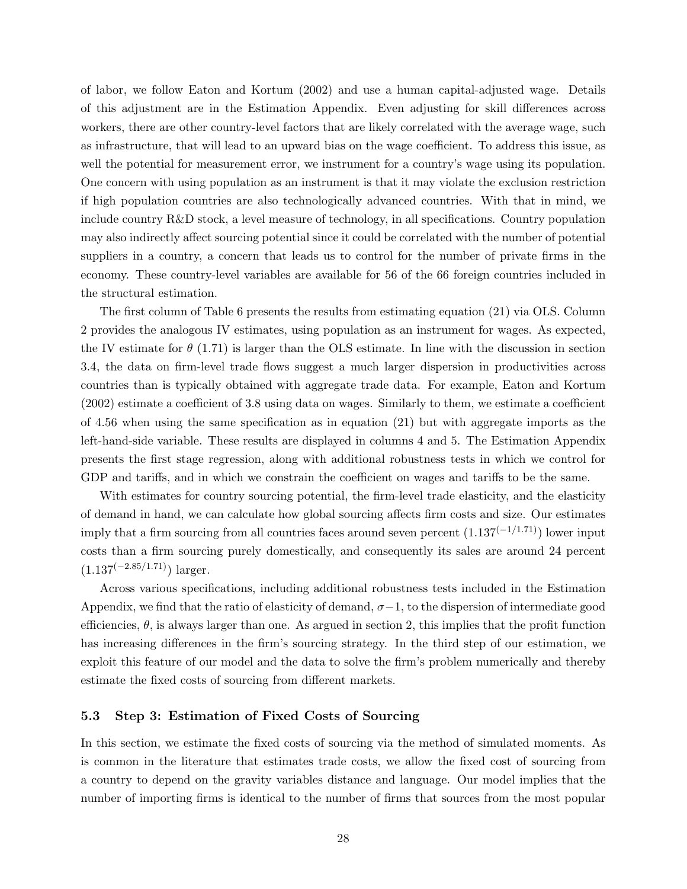of labor, we follow Eaton and Kortum (2002) and use a human capital-adjusted wage. Details of this adjustment are in the Estimation Appendix. Even adjusting for skill differences across workers, there are other country-level factors that are likely correlated with the average wage, such as infrastructure, that will lead to an upward bias on the wage coefficient. To address this issue, as well the potential for measurement error, we instrument for a country's wage using its population. One concern with using population as an instrument is that it may violate the exclusion restriction if high population countries are also technologically advanced countries. With that in mind, we include country R&D stock, a level measure of technology, in all specifications. Country population may also indirectly affect sourcing potential since it could be correlated with the number of potential suppliers in a country, a concern that leads us to control for the number of private firms in the economy. These country-level variables are available for 56 of the 66 foreign countries included in the structural estimation.

The first column of Table 6 presents the results from estimating equation (21) via OLS. Column 2 provides the analogous IV estimates, using population as an instrument for wages. As expected, the IV estimate for  $\theta$  (1.71) is larger than the OLS estimate. In line with the discussion in section 3.4, the data on firm-level trade flows suggest a much larger dispersion in productivities across countries than is typically obtained with aggregate trade data. For example, Eaton and Kortum (2002) estimate a coefficient of 3.8 using data on wages. Similarly to them, we estimate a coefficient of 4.56 when using the same specification as in equation (21) but with aggregate imports as the left-hand-side variable. These results are displayed in columns 4 and 5. The Estimation Appendix presents the first stage regression, along with additional robustness tests in which we control for GDP and tariffs, and in which we constrain the coefficient on wages and tariffs to be the same.

With estimates for country sourcing potential, the firm-level trade elasticity, and the elasticity of demand in hand, we can calculate how global sourcing affects firm costs and size. Our estimates imply that a firm sourcing from all countries faces around seven percent  $(1.137<sup>(−1/1.71)</sup>)$  lower input costs than a firm sourcing purely domestically, and consequently its sales are around 24 percent  $(1.137^{(-2.85/1.71)})$  larger.

Across various specifications, including additional robustness tests included in the Estimation Appendix, we find that the ratio of elasticity of demand,  $\sigma-1$ , to the dispersion of intermediate good efficiencies,  $\theta$ , is always larger than one. As argued in section 2, this implies that the profit function has increasing differences in the firm's sourcing strategy. In the third step of our estimation, we exploit this feature of our model and the data to solve the firm's problem numerically and thereby estimate the fixed costs of sourcing from different markets.

# 5.3 Step 3: Estimation of Fixed Costs of Sourcing

In this section, we estimate the fixed costs of sourcing via the method of simulated moments. As is common in the literature that estimates trade costs, we allow the fixed cost of sourcing from a country to depend on the gravity variables distance and language. Our model implies that the number of importing firms is identical to the number of firms that sources from the most popular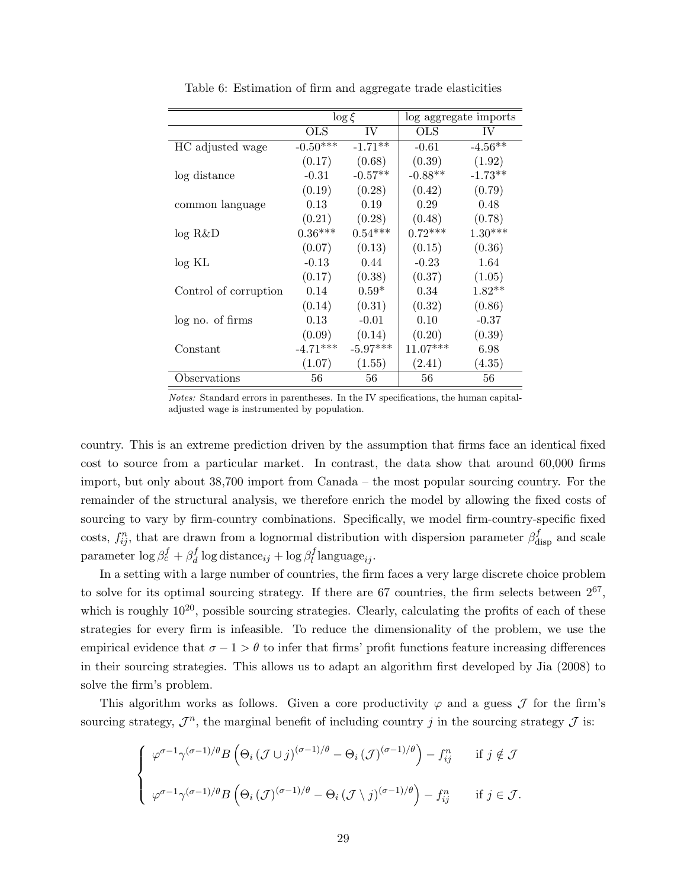|                       |            | $\log \xi$ |              | log aggregate imports |
|-----------------------|------------|------------|--------------|-----------------------|
|                       | <b>OLS</b> | IV         | $_{\rm OLS}$ | IV                    |
| HC adjusted wage      | $-0.50***$ | $-1.71**$  | $-0.61$      | $-4.56**$             |
|                       | (0.17)     | (0.68)     | (0.39)       | (1.92)                |
| log distance          | $-0.31$    | $-0.57**$  | $-0.88**$    | $-1.73**$             |
|                       | (0.19)     | (0.28)     | (0.42)       | (0.79)                |
| common language       | 0.13       | 0.19       | 0.29         | 0.48                  |
|                       | (0.21)     | (0.28)     | (0.48)       | (0.78)                |
| log R&D               | $0.36***$  | $0.54***$  | $0.72***$    | $1.30***$             |
|                       | (0.07)     | (0.13)     | (0.15)       | (0.36)                |
| log KL                | $-0.13$    | 0.44       | $-0.23$      | 1.64                  |
|                       | (0.17)     | (0.38)     | (0.37)       | (1.05)                |
| Control of corruption | 0.14       | $0.59*$    | 0.34         | $1.82**$              |
|                       | (0.14)     | (0.31)     | (0.32)       | (0.86)                |
| log no. of firms      | 0.13       | $-0.01$    | 0.10         | $-0.37$               |
|                       | (0.09)     | (0.14)     | (0.20)       | (0.39)                |
| Constant              | $-4.71***$ | $-5.97***$ | $11.07***$   | 6.98                  |
|                       | (1.07)     | (1.55)     | (2.41)       | (4.35)                |
| Observations          | 56         | 56         | 56           | 56                    |

Table 6: Estimation of firm and aggregate trade elasticities

Notes: Standard errors in parentheses. In the IV specifications, the human capitaladjusted wage is instrumented by population.

country. This is an extreme prediction driven by the assumption that firms face an identical fixed cost to source from a particular market. In contrast, the data show that around 60,000 firms import, but only about 38,700 import from Canada – the most popular sourcing country. For the remainder of the structural analysis, we therefore enrich the model by allowing the fixed costs of sourcing to vary by firm-country combinations. Specifically, we model firm-country-specific fixed costs,  $f_{ij}^n$ , that are drawn from a lognormal distribution with dispersion parameter  $\beta_{\text{disp}}^f$  and scale parameter  $\log \beta_c^f + \beta_d^f$  $\frac{d}{d} \log \text{distance}_{ij} + \log \beta_l^f$  $l_i$ language<sub>ij</sub>.

In a setting with a large number of countries, the firm faces a very large discrete choice problem to solve for its optimal sourcing strategy. If there are  $67$  countries, the firm selects between  $2^{67}$ , which is roughly  $10^{20}$ , possible sourcing strategies. Clearly, calculating the profits of each of these strategies for every firm is infeasible. To reduce the dimensionality of the problem, we use the empirical evidence that  $\sigma - 1 > \theta$  to infer that firms' profit functions feature increasing differences in their sourcing strategies. This allows us to adapt an algorithm first developed by Jia (2008) to solve the firm's problem.

This algorithm works as follows. Given a core productivity  $\varphi$  and a guess  $\mathcal J$  for the firm's sourcing strategy,  $\mathcal{J}^n$ , the marginal benefit of including country j in the sourcing strategy  $\mathcal{J}$  is:

$$
\begin{cases}\n\varphi^{\sigma-1}\gamma^{(\sigma-1)/\theta}B\left(\Theta_i\left(\mathcal{J}\cup j\right)^{(\sigma-1)/\theta}-\Theta_i\left(\mathcal{J}\right)^{(\sigma-1)/\theta}\right)-f_{ij}^n & \text{if } j \notin \mathcal{J} \\
\varphi^{\sigma-1}\gamma^{(\sigma-1)/\theta}B\left(\Theta_i\left(\mathcal{J}\right)^{(\sigma-1)/\theta}-\Theta_i\left(\mathcal{J}\setminus j\right)^{(\sigma-1)/\theta}\right)-f_{ij}^n & \text{if } j \in \mathcal{J}.\n\end{cases}
$$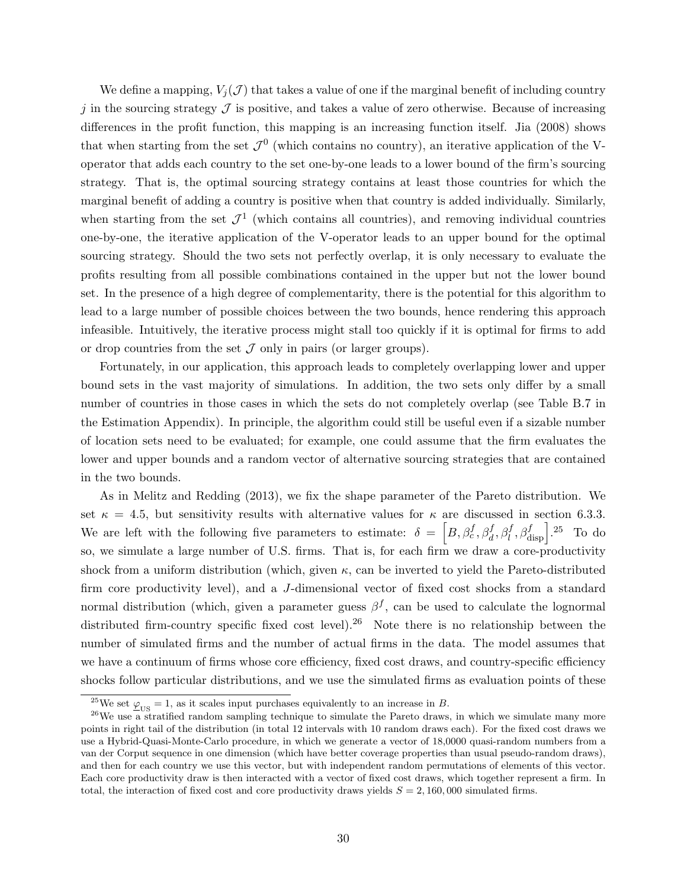We define a mapping,  $V_i(\mathcal{J})$  that takes a value of one if the marginal benefit of including country j in the sourcing strategy  $\mathcal J$  is positive, and takes a value of zero otherwise. Because of increasing differences in the profit function, this mapping is an increasing function itself. Jia (2008) shows that when starting from the set  $\mathcal{J}^0$  (which contains no country), an iterative application of the Voperator that adds each country to the set one-by-one leads to a lower bound of the firm's sourcing strategy. That is, the optimal sourcing strategy contains at least those countries for which the marginal benefit of adding a country is positive when that country is added individually. Similarly, when starting from the set  $\mathcal{J}^1$  (which contains all countries), and removing individual countries one-by-one, the iterative application of the V-operator leads to an upper bound for the optimal sourcing strategy. Should the two sets not perfectly overlap, it is only necessary to evaluate the profits resulting from all possible combinations contained in the upper but not the lower bound set. In the presence of a high degree of complementarity, there is the potential for this algorithm to lead to a large number of possible choices between the two bounds, hence rendering this approach infeasible. Intuitively, the iterative process might stall too quickly if it is optimal for firms to add or drop countries from the set  $\mathcal J$  only in pairs (or larger groups).

Fortunately, in our application, this approach leads to completely overlapping lower and upper bound sets in the vast majority of simulations. In addition, the two sets only differ by a small number of countries in those cases in which the sets do not completely overlap (see Table B.7 in the Estimation Appendix). In principle, the algorithm could still be useful even if a sizable number of location sets need to be evaluated; for example, one could assume that the firm evaluates the lower and upper bounds and a random vector of alternative sourcing strategies that are contained in the two bounds.

As in Melitz and Redding (2013), we fix the shape parameter of the Pareto distribution. We set  $\kappa = 4.5$ , but sensitivity results with alternative values for  $\kappa$  are discussed in section 6.3.3. We are left with the following five parameters to estimate:  $\delta = \left[ B, \beta_c^f, \beta_d^f, \beta_l^f, \beta_{\text{disp}}^f \right]$ .<sup>25</sup> To do so, we simulate a large number of U.S. firms. That is, for each firm we draw a core-productivity shock from a uniform distribution (which, given  $\kappa$ , can be inverted to yield the Pareto-distributed firm core productivity level), and a J-dimensional vector of fixed cost shocks from a standard normal distribution (which, given a parameter guess  $\beta^f$ , can be used to calculate the lognormal distributed firm-country specific fixed cost level).<sup>26</sup> Note there is no relationship between the number of simulated firms and the number of actual firms in the data. The model assumes that we have a continuum of firms whose core efficiency, fixed cost draws, and country-specific efficiency shocks follow particular distributions, and we use the simulated firms as evaluation points of these

<sup>&</sup>lt;sup>25</sup>We set  $\varphi_{\text{US}} = 1$ , as it scales input purchases equivalently to an increase in B.

 $^{26}$ We use a stratified random sampling technique to simulate the Pareto draws, in which we simulate many more points in right tail of the distribution (in total 12 intervals with 10 random draws each). For the fixed cost draws we use a Hybrid-Quasi-Monte-Carlo procedure, in which we generate a vector of 18,0000 quasi-random numbers from a van der Corput sequence in one dimension (which have better coverage properties than usual pseudo-random draws), and then for each country we use this vector, but with independent random permutations of elements of this vector. Each core productivity draw is then interacted with a vector of fixed cost draws, which together represent a firm. In total, the interaction of fixed cost and core productivity draws yields  $S = 2,160,000$  simulated firms.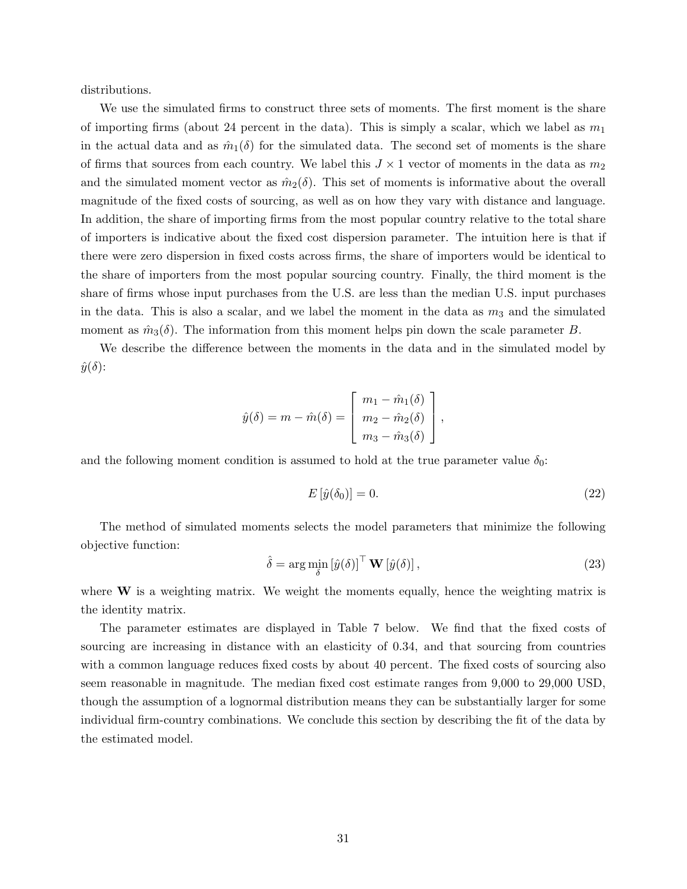distributions.

We use the simulated firms to construct three sets of moments. The first moment is the share of importing firms (about 24 percent in the data). This is simply a scalar, which we label as  $m_1$ in the actual data and as  $\hat{m}_1(\delta)$  for the simulated data. The second set of moments is the share of firms that sources from each country. We label this  $J \times 1$  vector of moments in the data as  $m_2$ and the simulated moment vector as  $\hat{m}_2(\delta)$ . This set of moments is informative about the overall magnitude of the fixed costs of sourcing, as well as on how they vary with distance and language. In addition, the share of importing firms from the most popular country relative to the total share of importers is indicative about the fixed cost dispersion parameter. The intuition here is that if there were zero dispersion in fixed costs across firms, the share of importers would be identical to the share of importers from the most popular sourcing country. Finally, the third moment is the share of firms whose input purchases from the U.S. are less than the median U.S. input purchases in the data. This is also a scalar, and we label the moment in the data as  $m_3$  and the simulated moment as  $\hat{m}_3(\delta)$ . The information from this moment helps pin down the scale parameter B.

We describe the difference between the moments in the data and in the simulated model by  $\hat{y}(\delta)$ :

$$
\hat{y}(\delta) = m - \hat{m}(\delta) = \begin{bmatrix} m_1 - \hat{m}_1(\delta) \\ m_2 - \hat{m}_2(\delta) \\ m_3 - \hat{m}_3(\delta) \end{bmatrix},
$$

and the following moment condition is assumed to hold at the true parameter value  $\delta_0$ :

$$
E\left[\hat{y}(\delta_0)\right] = 0.\tag{22}
$$

The method of simulated moments selects the model parameters that minimize the following objective function:

$$
\hat{\delta} = \arg\min_{\delta} \left[ \hat{y}(\delta) \right]^\top \mathbf{W} \left[ \hat{y}(\delta) \right],\tag{23}
$$

where  $W$  is a weighting matrix. We weight the moments equally, hence the weighting matrix is the identity matrix.

The parameter estimates are displayed in Table 7 below. We find that the fixed costs of sourcing are increasing in distance with an elasticity of 0.34, and that sourcing from countries with a common language reduces fixed costs by about 40 percent. The fixed costs of sourcing also seem reasonable in magnitude. The median fixed cost estimate ranges from 9,000 to 29,000 USD, though the assumption of a lognormal distribution means they can be substantially larger for some individual firm-country combinations. We conclude this section by describing the fit of the data by the estimated model.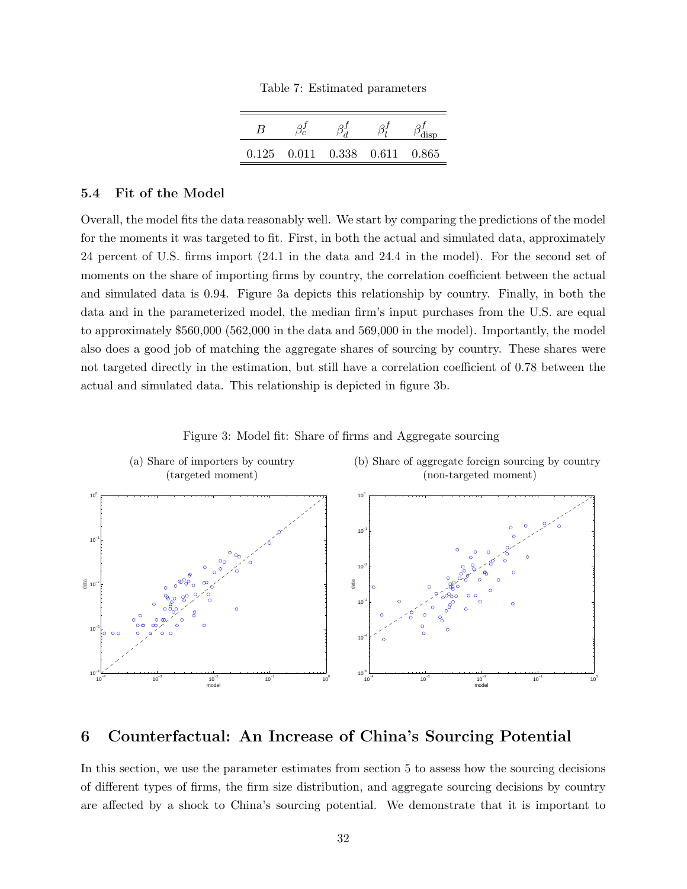|  |  |  | Table 7: Estimated parameters |
|--|--|--|-------------------------------|
|--|--|--|-------------------------------|

| R     |                         |           |
|-------|-------------------------|-----------|
| 0.125 | $0.011$ $0.338$ $0.611$ | $0.865\,$ |

# 5.4 Fit of the Model

Overall, the model fits the data reasonably well. We start by comparing the predictions of the model for the moments it was targeted to fit. First, in both the actual and simulated data, approximately 24 percent of U.S. firms import (24.1 in the data and 24.4 in the model). For the second set of moments on the share of importing firms by country, the correlation coefficient between the actual and simulated data is 0.94. Figure 3a depicts this relationship by country. Finally, in both the data and in the parameterized model, the median firm's input purchases from the U.S. are equal to approximately \$560,000 (562,000 in the data and 569,000 in the model). Importantly, the model also does a good job of matching the aggregate shares of sourcing by country. These shares were not targeted directly in the estimation, but still have a correlation coefficient of 0.78 between the actual and simulated data. This relationship is depicted in figure 3b.





# 6 Counterfactual: An Increase of China's Sourcing Potential

In this section, we use the parameter estimates from section 5 to assess how the sourcing decisions of different types of firms, the firm size distribution, and aggregate sourcing decisions by country are affected by a shock to China's sourcing potential. We demonstrate that it is important to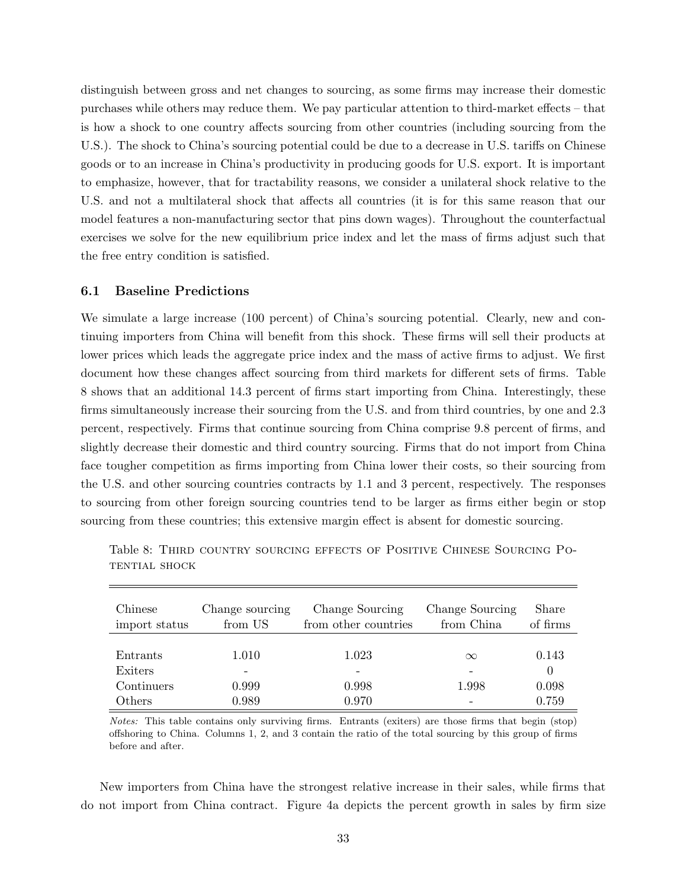distinguish between gross and net changes to sourcing, as some firms may increase their domestic purchases while others may reduce them. We pay particular attention to third-market effects – that is how a shock to one country affects sourcing from other countries (including sourcing from the U.S.). The shock to China's sourcing potential could be due to a decrease in U.S. tariffs on Chinese goods or to an increase in China's productivity in producing goods for U.S. export. It is important to emphasize, however, that for tractability reasons, we consider a unilateral shock relative to the U.S. and not a multilateral shock that affects all countries (it is for this same reason that our model features a non-manufacturing sector that pins down wages). Throughout the counterfactual exercises we solve for the new equilibrium price index and let the mass of firms adjust such that the free entry condition is satisfied.

# 6.1 Baseline Predictions

We simulate a large increase (100 percent) of China's sourcing potential. Clearly, new and continuing importers from China will benefit from this shock. These firms will sell their products at lower prices which leads the aggregate price index and the mass of active firms to adjust. We first document how these changes affect sourcing from third markets for different sets of firms. Table 8 shows that an additional 14.3 percent of firms start importing from China. Interestingly, these firms simultaneously increase their sourcing from the U.S. and from third countries, by one and 2.3 percent, respectively. Firms that continue sourcing from China comprise 9.8 percent of firms, and slightly decrease their domestic and third country sourcing. Firms that do not import from China face tougher competition as firms importing from China lower their costs, so their sourcing from the U.S. and other sourcing countries contracts by 1.1 and 3 percent, respectively. The responses to sourcing from other foreign sourcing countries tend to be larger as firms either begin or stop sourcing from these countries; this extensive margin effect is absent for domestic sourcing.

| Chinese<br>import status | Change sourcing<br>from US | Change Sourcing<br>from other countries | Change Sourcing<br>from China | Share<br>of firms |
|--------------------------|----------------------------|-----------------------------------------|-------------------------------|-------------------|
|                          |                            |                                         |                               |                   |
| Entrants                 | 1.010                      | 1.023                                   | $\infty$                      | 0.143             |
| Exiters                  |                            |                                         |                               | $\theta$          |
| Continuers               | 0.999                      | 0.998                                   | 1.998                         | 0.098             |
| Others                   | 0.989                      | 0.970                                   |                               | 0.759             |

Table 8: Third country sourcing effects of Positive Chinese Sourcing Potential shock

Notes: This table contains only surviving firms. Entrants (exiters) are those firms that begin (stop) offshoring to China. Columns 1, 2, and 3 contain the ratio of the total sourcing by this group of firms before and after.

New importers from China have the strongest relative increase in their sales, while firms that do not import from China contract. Figure 4a depicts the percent growth in sales by firm size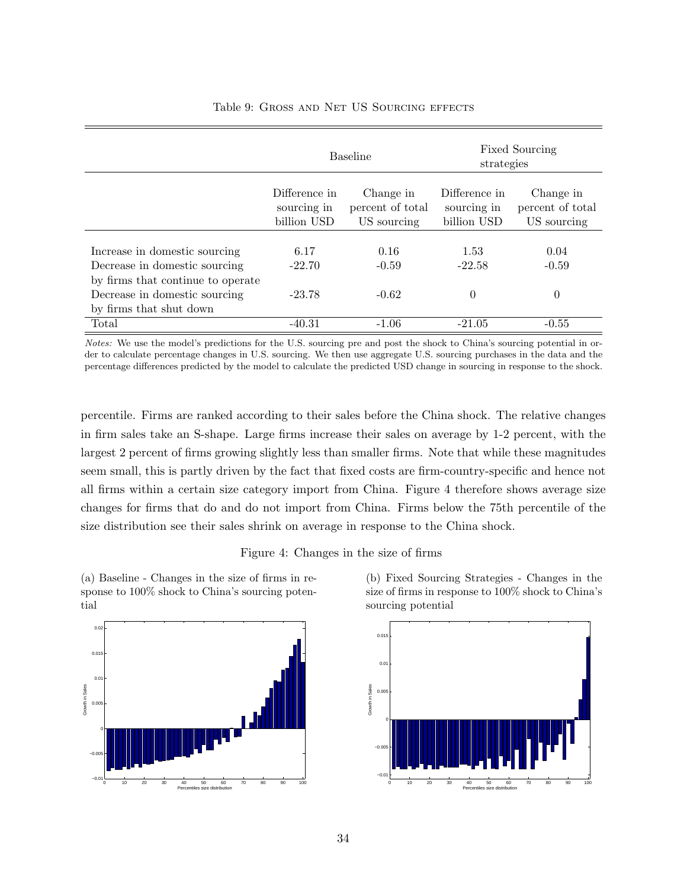|                                                                    |                                             | <b>Baseline</b>                              | strategies                                  | <b>Fixed Sourcing</b>                        |
|--------------------------------------------------------------------|---------------------------------------------|----------------------------------------------|---------------------------------------------|----------------------------------------------|
|                                                                    | Difference in<br>sourcing in<br>billion USD | Change in<br>percent of total<br>US sourcing | Difference in<br>sourcing in<br>billion USD | Change in<br>percent of total<br>US sourcing |
| Increase in domestic sourcing<br>Decrease in domestic sourcing     | 6.17<br>$-22.70$                            | 0.16<br>$-0.59$                              | 1.53<br>$-22.58$                            | 0.04<br>$-0.59$                              |
| by firms that continue to operate<br>Decrease in domestic sourcing | $-23.78$                                    | $-0.62$                                      | $\theta$                                    | $\theta$                                     |
| by firms that shut down<br>Total                                   | $-40.31$                                    | $-1.06$                                      | $-21.05$                                    | $-0.55$                                      |

# Table 9: Gross and Net US Sourcing effects

Notes: We use the model's predictions for the U.S. sourcing pre and post the shock to China's sourcing potential in order to calculate percentage changes in U.S. sourcing. We then use aggregate U.S. sourcing purchases in the data and the percentage differences predicted by the model to calculate the predicted USD change in sourcing in response to the shock.

percentile. Firms are ranked according to their sales before the China shock. The relative changes in firm sales take an S-shape. Large firms increase their sales on average by 1-2 percent, with the largest 2 percent of firms growing slightly less than smaller firms. Note that while these magnitudes seem small, this is partly driven by the fact that fixed costs are firm-country-specific and hence not all firms within a certain size category import from China. Figure 4 therefore shows average size changes for firms that do and do not import from China. Firms below the 75th percentile of the size distribution see their sales shrink on average in response to the China shock.

# Figure 4: Changes in the size of firms

(a) Baseline - Changes in the size of firms in response to 100% shock to China's sourcing potential



(b) Fixed Sourcing Strategies - Changes in the size of firms in response to 100% shock to China's sourcing potential

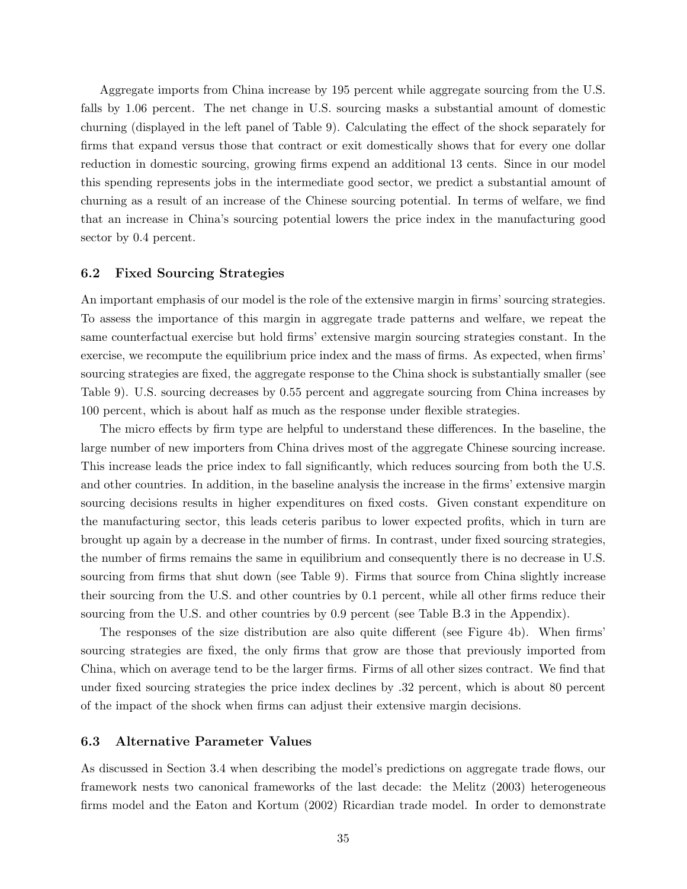Aggregate imports from China increase by 195 percent while aggregate sourcing from the U.S. falls by 1.06 percent. The net change in U.S. sourcing masks a substantial amount of domestic churning (displayed in the left panel of Table 9). Calculating the effect of the shock separately for firms that expand versus those that contract or exit domestically shows that for every one dollar reduction in domestic sourcing, growing firms expend an additional 13 cents. Since in our model this spending represents jobs in the intermediate good sector, we predict a substantial amount of churning as a result of an increase of the Chinese sourcing potential. In terms of welfare, we find that an increase in China's sourcing potential lowers the price index in the manufacturing good sector by 0.4 percent.

### 6.2 Fixed Sourcing Strategies

An important emphasis of our model is the role of the extensive margin in firms' sourcing strategies. To assess the importance of this margin in aggregate trade patterns and welfare, we repeat the same counterfactual exercise but hold firms' extensive margin sourcing strategies constant. In the exercise, we recompute the equilibrium price index and the mass of firms. As expected, when firms' sourcing strategies are fixed, the aggregate response to the China shock is substantially smaller (see Table 9). U.S. sourcing decreases by 0.55 percent and aggregate sourcing from China increases by 100 percent, which is about half as much as the response under flexible strategies.

The micro effects by firm type are helpful to understand these differences. In the baseline, the large number of new importers from China drives most of the aggregate Chinese sourcing increase. This increase leads the price index to fall significantly, which reduces sourcing from both the U.S. and other countries. In addition, in the baseline analysis the increase in the firms' extensive margin sourcing decisions results in higher expenditures on fixed costs. Given constant expenditure on the manufacturing sector, this leads ceteris paribus to lower expected profits, which in turn are brought up again by a decrease in the number of firms. In contrast, under fixed sourcing strategies, the number of firms remains the same in equilibrium and consequently there is no decrease in U.S. sourcing from firms that shut down (see Table 9). Firms that source from China slightly increase their sourcing from the U.S. and other countries by 0.1 percent, while all other firms reduce their sourcing from the U.S. and other countries by 0.9 percent (see Table B.3 in the Appendix).

The responses of the size distribution are also quite different (see Figure 4b). When firms' sourcing strategies are fixed, the only firms that grow are those that previously imported from China, which on average tend to be the larger firms. Firms of all other sizes contract. We find that under fixed sourcing strategies the price index declines by .32 percent, which is about 80 percent of the impact of the shock when firms can adjust their extensive margin decisions.

# 6.3 Alternative Parameter Values

As discussed in Section 3.4 when describing the model's predictions on aggregate trade flows, our framework nests two canonical frameworks of the last decade: the Melitz (2003) heterogeneous firms model and the Eaton and Kortum (2002) Ricardian trade model. In order to demonstrate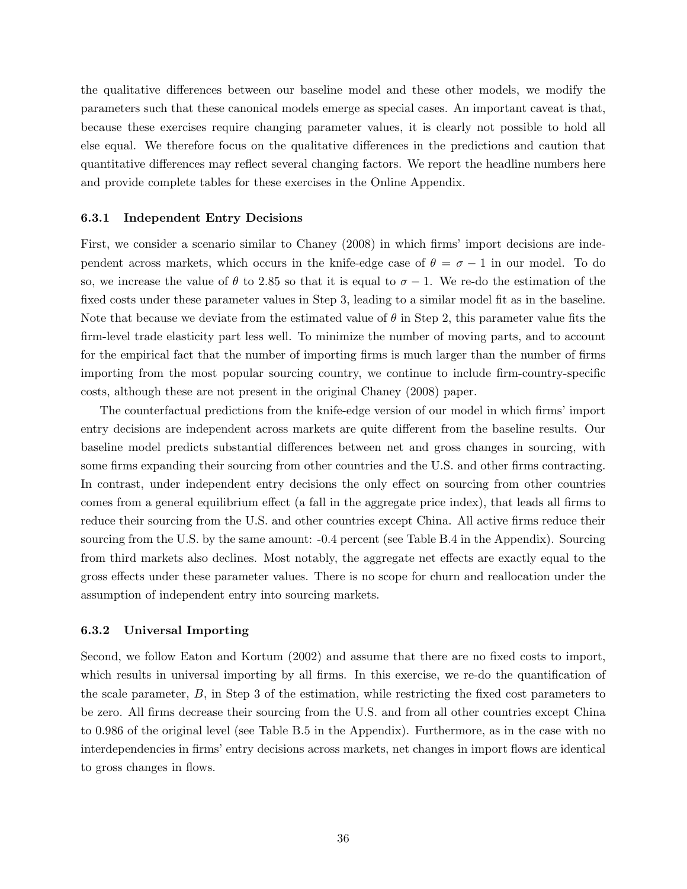the qualitative differences between our baseline model and these other models, we modify the parameters such that these canonical models emerge as special cases. An important caveat is that, because these exercises require changing parameter values, it is clearly not possible to hold all else equal. We therefore focus on the qualitative differences in the predictions and caution that quantitative differences may reflect several changing factors. We report the headline numbers here and provide complete tables for these exercises in the Online Appendix.

#### 6.3.1 Independent Entry Decisions

First, we consider a scenario similar to Chaney (2008) in which firms' import decisions are independent across markets, which occurs in the knife-edge case of  $\theta = \sigma - 1$  in our model. To do so, we increase the value of  $\theta$  to 2.85 so that it is equal to  $\sigma - 1$ . We re-do the estimation of the fixed costs under these parameter values in Step 3, leading to a similar model fit as in the baseline. Note that because we deviate from the estimated value of  $\theta$  in Step 2, this parameter value fits the firm-level trade elasticity part less well. To minimize the number of moving parts, and to account for the empirical fact that the number of importing firms is much larger than the number of firms importing from the most popular sourcing country, we continue to include firm-country-specific costs, although these are not present in the original Chaney (2008) paper.

The counterfactual predictions from the knife-edge version of our model in which firms' import entry decisions are independent across markets are quite different from the baseline results. Our baseline model predicts substantial differences between net and gross changes in sourcing, with some firms expanding their sourcing from other countries and the U.S. and other firms contracting. In contrast, under independent entry decisions the only effect on sourcing from other countries comes from a general equilibrium effect (a fall in the aggregate price index), that leads all firms to reduce their sourcing from the U.S. and other countries except China. All active firms reduce their sourcing from the U.S. by the same amount: -0.4 percent (see Table B.4 in the Appendix). Sourcing from third markets also declines. Most notably, the aggregate net effects are exactly equal to the gross effects under these parameter values. There is no scope for churn and reallocation under the assumption of independent entry into sourcing markets.

### 6.3.2 Universal Importing

Second, we follow Eaton and Kortum (2002) and assume that there are no fixed costs to import, which results in universal importing by all firms. In this exercise, we re-do the quantification of the scale parameter,  $B$ , in Step 3 of the estimation, while restricting the fixed cost parameters to be zero. All firms decrease their sourcing from the U.S. and from all other countries except China to 0.986 of the original level (see Table B.5 in the Appendix). Furthermore, as in the case with no interdependencies in firms' entry decisions across markets, net changes in import flows are identical to gross changes in flows.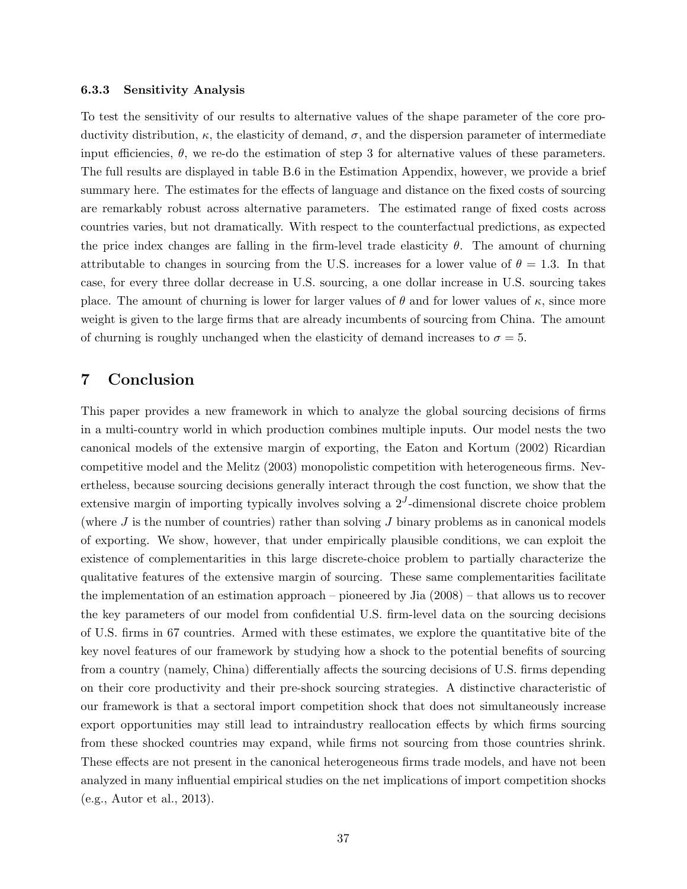#### 6.3.3 Sensitivity Analysis

To test the sensitivity of our results to alternative values of the shape parameter of the core productivity distribution, κ, the elasticity of demand, σ, and the dispersion parameter of intermediate input efficiencies,  $\theta$ , we re-do the estimation of step 3 for alternative values of these parameters. The full results are displayed in table B.6 in the Estimation Appendix, however, we provide a brief summary here. The estimates for the effects of language and distance on the fixed costs of sourcing are remarkably robust across alternative parameters. The estimated range of fixed costs across countries varies, but not dramatically. With respect to the counterfactual predictions, as expected the price index changes are falling in the firm-level trade elasticity  $\theta$ . The amount of churning attributable to changes in sourcing from the U.S. increases for a lower value of  $\theta = 1.3$ . In that case, for every three dollar decrease in U.S. sourcing, a one dollar increase in U.S. sourcing takes place. The amount of churning is lower for larger values of  $\theta$  and for lower values of  $\kappa$ , since more weight is given to the large firms that are already incumbents of sourcing from China. The amount of churning is roughly unchanged when the elasticity of demand increases to  $\sigma = 5$ .

# 7 Conclusion

This paper provides a new framework in which to analyze the global sourcing decisions of firms in a multi-country world in which production combines multiple inputs. Our model nests the two canonical models of the extensive margin of exporting, the Eaton and Kortum (2002) Ricardian competitive model and the Melitz (2003) monopolistic competition with heterogeneous firms. Nevertheless, because sourcing decisions generally interact through the cost function, we show that the extensive margin of importing typically involves solving a  $2<sup>J</sup>$ -dimensional discrete choice problem (where  $J$  is the number of countries) rather than solving  $J$  binary problems as in canonical models of exporting. We show, however, that under empirically plausible conditions, we can exploit the existence of complementarities in this large discrete-choice problem to partially characterize the qualitative features of the extensive margin of sourcing. These same complementarities facilitate the implementation of an estimation approach – pioneered by Jia (2008) – that allows us to recover the key parameters of our model from confidential U.S. firm-level data on the sourcing decisions of U.S. firms in 67 countries. Armed with these estimates, we explore the quantitative bite of the key novel features of our framework by studying how a shock to the potential benefits of sourcing from a country (namely, China) differentially affects the sourcing decisions of U.S. firms depending on their core productivity and their pre-shock sourcing strategies. A distinctive characteristic of our framework is that a sectoral import competition shock that does not simultaneously increase export opportunities may still lead to intraindustry reallocation effects by which firms sourcing from these shocked countries may expand, while firms not sourcing from those countries shrink. These effects are not present in the canonical heterogeneous firms trade models, and have not been analyzed in many influential empirical studies on the net implications of import competition shocks (e.g., Autor et al., 2013).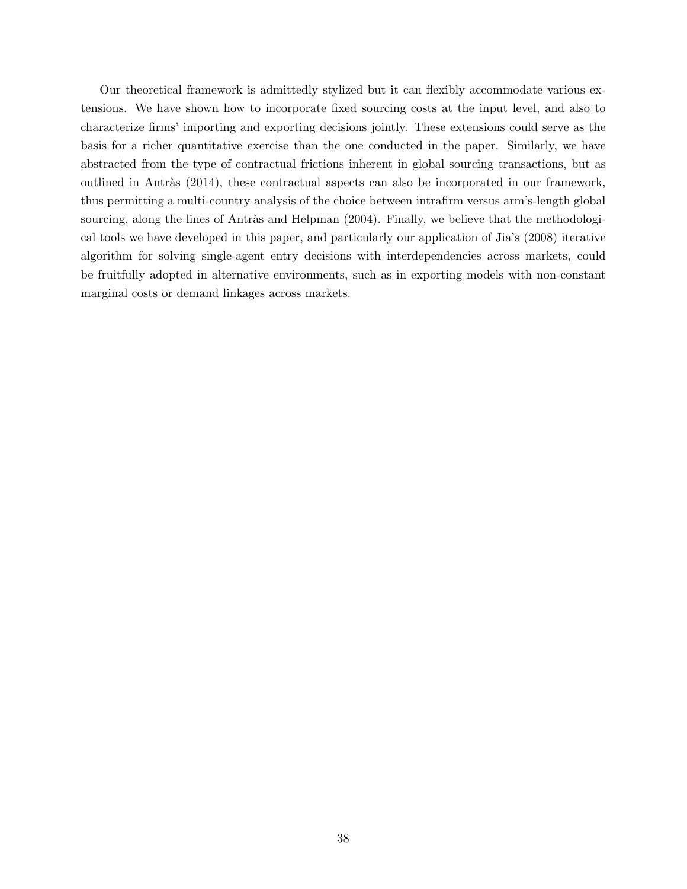Our theoretical framework is admittedly stylized but it can flexibly accommodate various extensions. We have shown how to incorporate fixed sourcing costs at the input level, and also to characterize firms' importing and exporting decisions jointly. These extensions could serve as the basis for a richer quantitative exercise than the one conducted in the paper. Similarly, we have abstracted from the type of contractual frictions inherent in global sourcing transactions, but as outlined in Antràs (2014), these contractual aspects can also be incorporated in our framework, thus permitting a multi-country analysis of the choice between intrafirm versus arm's-length global sourcing, along the lines of Antràs and Helpman (2004). Finally, we believe that the methodological tools we have developed in this paper, and particularly our application of Jia's (2008) iterative algorithm for solving single-agent entry decisions with interdependencies across markets, could be fruitfully adopted in alternative environments, such as in exporting models with non-constant marginal costs or demand linkages across markets.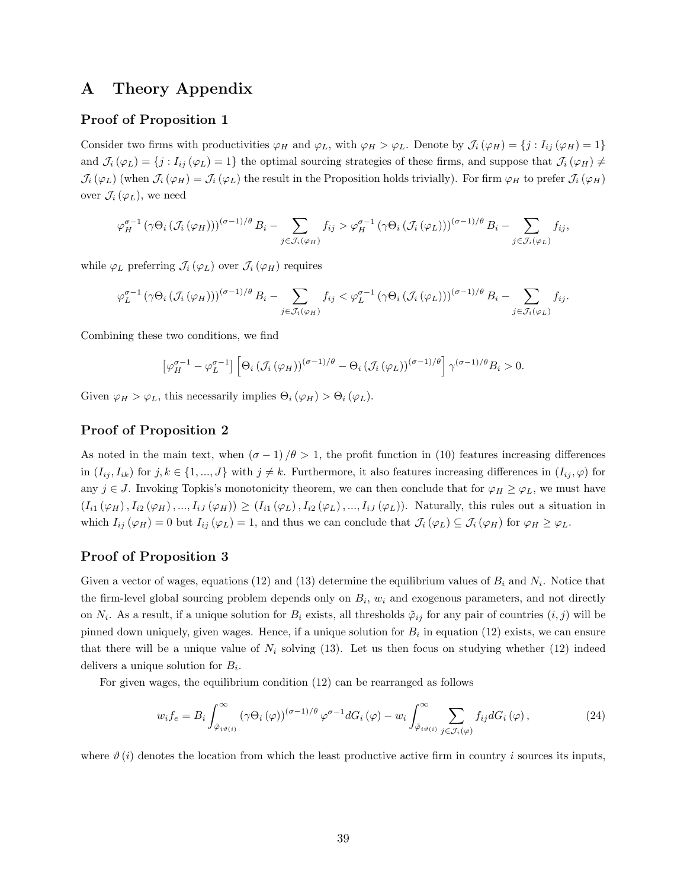# A Theory Appendix

# Proof of Proposition 1

Consider two firms with productivities  $\varphi_H$  and  $\varphi_L$ , with  $\varphi_H > \varphi_L$ . Denote by  $\mathcal{J}_i(\varphi_H) = \{j : I_{ij}(\varphi_H) = 1\}$ and  $\mathcal{J}_i(\varphi_L) = \{j : I_{ij}(\varphi_L) = 1\}$  the optimal sourcing strategies of these firms, and suppose that  $\mathcal{J}_i(\varphi_H) \neq \emptyset$  $\mathcal{J}_i(\varphi_L)$  (when  $\mathcal{J}_i(\varphi_H) = \mathcal{J}_i(\varphi_L)$  the result in the Proposition holds trivially). For firm  $\varphi_H$  to prefer  $\mathcal{J}_i(\varphi_H)$ over  $\mathcal{J}_i(\varphi_L)$ , we need

$$
\varphi_H^{\sigma-1} \left( \gamma \Theta_i \left( \mathcal{J}_i \left( \varphi_H \right) \right) \right)^{(\sigma-1)/\theta} B_i - \sum_{j \in \mathcal{J}_i(\varphi_H)} f_{ij} > \varphi_H^{\sigma-1} \left( \gamma \Theta_i \left( \mathcal{J}_i \left( \varphi_L \right) \right) \right)^{(\sigma-1)/\theta} B_i - \sum_{j \in \mathcal{J}_i(\varphi_L)} f_{ij},
$$

while  $\varphi_L$  preferring  $\mathcal{J}_i(\varphi_L)$  over  $\mathcal{J}_i(\varphi_H)$  requires

$$
\varphi_L^{\sigma-1} \left( \gamma \Theta_i \left( \mathcal{J}_i \left( \varphi_H \right) \right) \right)^{(\sigma-1)/\theta} B_i - \sum_{j \in \mathcal{J}_i(\varphi_H)} f_{ij} < \varphi_L^{\sigma-1} \left( \gamma \Theta_i \left( \mathcal{J}_i \left( \varphi_L \right) \right) \right)^{(\sigma-1)/\theta} B_i - \sum_{j \in \mathcal{J}_i(\varphi_L)} f_{ij}.
$$

Combining these two conditions, we find

$$
\left[\varphi_H^{\sigma-1} - \varphi_L^{\sigma-1}\right] \left[\Theta_i \left(\mathcal{J}_i\left(\varphi_H\right)\right)^{(\sigma-1)/\theta} - \Theta_i \left(\mathcal{J}_i\left(\varphi_L\right)\right)^{(\sigma-1)/\theta}\right] \gamma^{(\sigma-1)/\theta} B_i > 0.
$$

Given  $\varphi_H > \varphi_L$ , this necessarily implies  $\Theta_i(\varphi_H) > \Theta_i(\varphi_L)$ .

# Proof of Proposition 2

As noted in the main text, when  $(\sigma - 1)/\theta > 1$ , the profit function in (10) features increasing differences in  $(I_{ij}, I_{ik})$  for  $j, k \in \{1, ..., J\}$  with  $j \neq k$ . Furthermore, it also features increasing differences in  $(I_{ij}, \varphi)$  for any  $j \in J$ . Invoking Topkis's monotonicity theorem, we can then conclude that for  $\varphi_H \geq \varphi_L$ , we must have  $(I_{i1}(\varphi_H), I_{i2}(\varphi_H),...,I_{iJ}(\varphi_H)) \geq (I_{i1}(\varphi_L), I_{i2}(\varphi_L),...,I_{iJ}(\varphi_L)).$  Naturally, this rules out a situation in which  $I_{ij}(\varphi_H) = 0$  but  $I_{ij}(\varphi_L) = 1$ , and thus we can conclude that  $\mathcal{J}_i(\varphi_L) \subseteq \mathcal{J}_i(\varphi_H)$  for  $\varphi_H \geq \varphi_L$ .

# Proof of Proposition 3

Given a vector of wages, equations (12) and (13) determine the equilibrium values of  $B_i$  and  $N_i$ . Notice that the firm-level global sourcing problem depends only on  $B_i$ ,  $w_i$  and exogenous parameters, and not directly on  $N_i$ . As a result, if a unique solution for  $B_i$  exists, all thresholds  $\tilde{\varphi}_{ij}$  for any pair of countries  $(i, j)$  will be pinned down uniquely, given wages. Hence, if a unique solution for  $B_i$  in equation (12) exists, we can ensure that there will be a unique value of  $N_i$  solving (13). Let us then focus on studying whether (12) indeed delivers a unique solution for  $B_i$ .

For given wages, the equilibrium condition (12) can be rearranged as follows

$$
w_i f_e = B_i \int_{\tilde{\varphi}_{i\vartheta(i)}}^{\infty} (\gamma \Theta_i (\varphi))^{(\sigma - 1)/\theta} \varphi^{\sigma - 1} dG_i (\varphi) - w_i \int_{\tilde{\varphi}_{i\vartheta(i)}}^{\infty} \sum_{j \in \mathcal{J}_i(\varphi)} f_{ij} dG_i (\varphi), \tag{24}
$$

where  $\vartheta$  (i) denotes the location from which the least productive active firm in country i sources its inputs,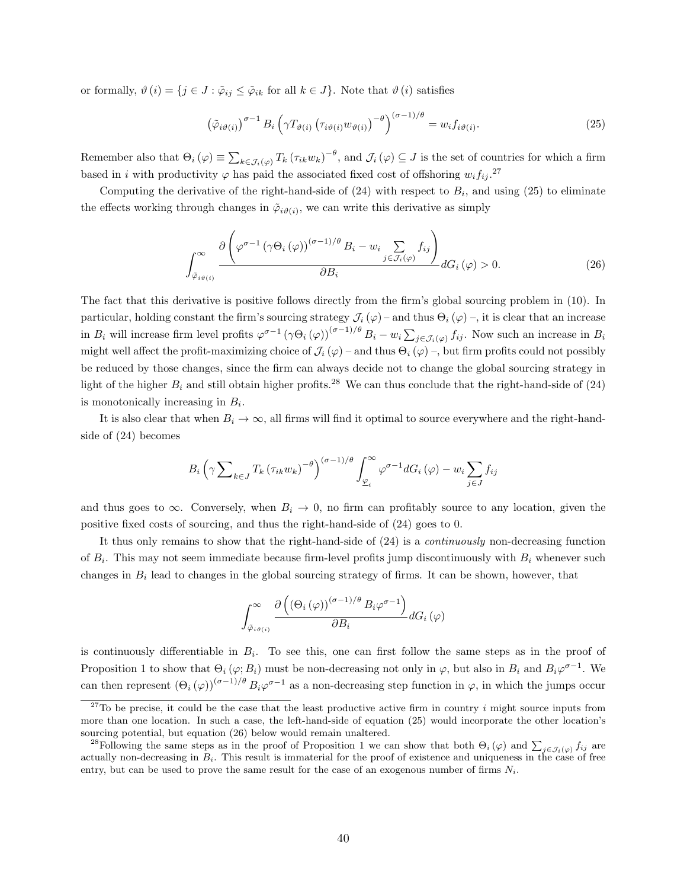or formally,  $\vartheta(i) = \{j \in J : \tilde{\varphi}_{ij} \leq \tilde{\varphi}_{ik} \text{ for all } k \in J\}$ . Note that  $\vartheta(i)$  satisfies

$$
\left(\tilde{\varphi}_{i\vartheta(i)}\right)^{\sigma-1} B_i \left(\gamma T_{\vartheta(i)} \left(\tau_{i\vartheta(i)} w_{\vartheta(i)}\right)^{-\theta}\right)^{(\sigma-1)/\theta} = w_i f_{i\vartheta(i)}.
$$
\n(25)

Remember also that  $\Theta_i(\varphi) \equiv \sum_{k \in \mathcal{J}_i(\varphi)} T_k (\tau_{ik} w_k)^{-\theta}$ , and  $\mathcal{J}_i(\varphi) \subseteq J$  is the set of countries for which a firm based in i with productivity  $\varphi$  has paid the associated fixed cost of offshoring  $w_i f_{ij}$ .<sup>27</sup>

Computing the derivative of the right-hand-side of  $(24)$  with respect to  $B_i$ , and using  $(25)$  to eliminate the effects working through changes in  $\tilde{\varphi}_{i\vartheta(i)}$ , we can write this derivative as simply

$$
\int_{\tilde{\varphi}_{i\vartheta(i)}}^{\infty} \frac{\partial \left(\varphi^{\sigma-1} \left(\gamma \Theta_i \left(\varphi\right)\right)^{(\sigma-1)/\theta} B_i - w_i \sum_{j \in \mathcal{J}_i(\varphi)} f_{ij}\right)}{\partial B_i} dG_i(\varphi) > 0.
$$
\n(26)

The fact that this derivative is positive follows directly from the firm's global sourcing problem in (10). In particular, holding constant the firm's sourcing strategy  $\mathcal{J}_i(\varphi)$  – and thus  $\Theta_i(\varphi)$  –, it is clear that an increase in  $B_i$  will increase firm level profits  $\varphi^{\sigma-1}(\gamma \Theta_i(\varphi))^{(\sigma-1)/\theta} B_i - w_i \sum_{j \in \mathcal{J}_i(\varphi)} f_{ij}$ . Now such an increase in  $B_i$ might well affect the profit-maximizing choice of  $\mathcal{J}_i(\varphi)$  – and thus  $\Theta_i(\varphi)$  –, but firm profits could not possibly be reduced by those changes, since the firm can always decide not to change the global sourcing strategy in light of the higher  $B_i$  and still obtain higher profits.<sup>28</sup> We can thus conclude that the right-hand-side of (24) is monotonically increasing in  $B_i$ .

It is also clear that when  $B_i \to \infty$ , all firms will find it optimal to source everywhere and the right-handside of (24) becomes

$$
B_i\left(\gamma \sum_{k\in J} T_k \left(\tau_{ik} w_k\right)^{-\theta}\right)^{(\sigma-1)/\theta} \int_{\underline{\varphi}_i}^{\infty} \varphi^{\sigma-1} dG_i\left(\varphi\right) - w_i \sum_{j\in J} f_{ij}
$$

and thus goes to  $\infty$ . Conversely, when  $B_i \to 0$ , no firm can profitably source to any location, given the positive fixed costs of sourcing, and thus the right-hand-side of (24) goes to 0.

It thus only remains to show that the right-hand-side of (24) is a continuously non-decreasing function of  $B_i$ . This may not seem immediate because firm-level profits jump discontinuously with  $B_i$  whenever such changes in  $B_i$  lead to changes in the global sourcing strategy of firms. It can be shown, however, that

$$
\int_{\tilde{\varphi}_{i\vartheta(i)}}^{\infty} \frac{\partial \left( \left(\Theta_i\left(\varphi\right)\right)^{(\sigma-1)/\theta} B_i \varphi^{\sigma-1} \right)}{\partial B_i} dG_i\left(\varphi\right)
$$

is continuously differentiable in  $B_i$ . To see this, one can first follow the same steps as in the proof of Proposition 1 to show that  $\Theta_i(\varphi; B_i)$  must be non-decreasing not only in  $\varphi$ , but also in  $B_i$  and  $B_i\varphi^{\sigma-1}$ . We can then represent  $(\Theta_i(\varphi))^{(\sigma-1)/\theta} B_i\varphi^{\sigma-1}$  as a non-decreasing step function in  $\varphi$ , in which the jumps occur

<sup>&</sup>lt;sup>27</sup>To be precise, it could be the case that the least productive active firm in country i might source inputs from more than one location. In such a case, the left-hand-side of equation (25) would incorporate the other location's sourcing potential, but equation (26) below would remain unaltered.

<sup>&</sup>lt;sup>28</sup>Following the same steps as in the proof of Proposition 1 we can show that both  $\Theta_i(\varphi)$  and  $\sum_{j\in\mathcal{J}_i(\varphi)}f_{ij}$  are actually non-decreasing in  $B_i$ . This result is immaterial for the proof of existence and uniqueness in the case of free entry, but can be used to prove the same result for the case of an exogenous number of firms  $N_i$ .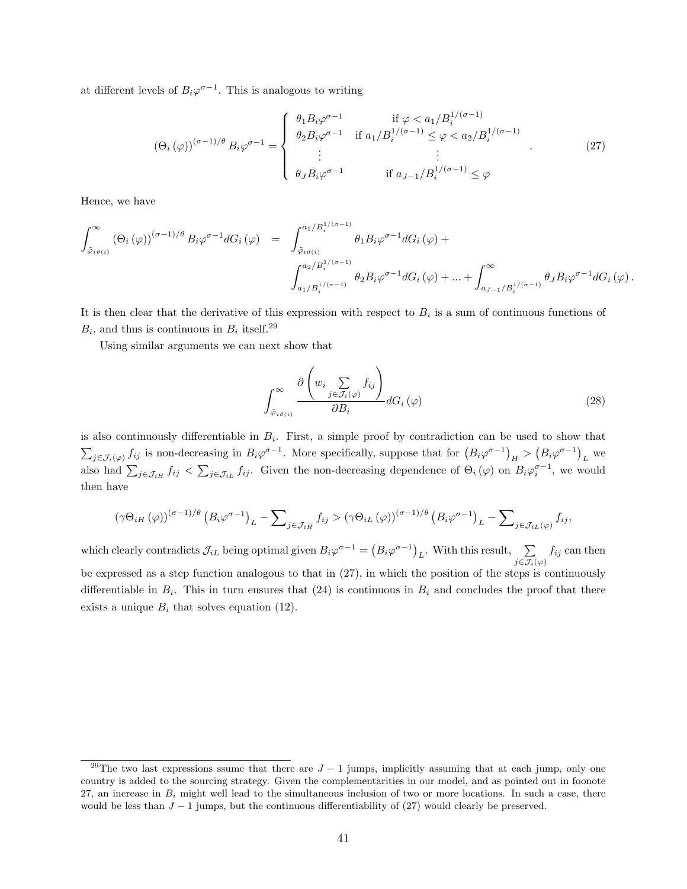at different levels of  $B_i\varphi^{\sigma-1}$ . This is analogous to writing

$$
(\Theta_i(\varphi))^{(\sigma-1)/\theta} B_i \varphi^{\sigma-1} = \begin{cases} \theta_1 B_i \varphi^{\sigma-1} & \text{if } \varphi < a_1 / B_i^{1/(\sigma-1)} \\ \theta_2 B_i \varphi^{\sigma-1} & \text{if } a_1 / B_i^{1/(\sigma-1)} \le \varphi < a_2 / B_i^{1/(\sigma-1)} \\ \vdots & \vdots \\ \theta_J B_i \varphi^{\sigma-1} & \text{if } a_{J-1} / B_i^{1/(\sigma-1)} \le \varphi \end{cases}
$$
(27)

Hence, we have

$$
\begin{array}{lcl} \displaystyle\int_{\tilde{\varphi}_{i\vartheta(i)}}^{\infty}\left(\Theta_{i}\left(\varphi\right)\right)^{(\sigma-1)/\theta}B_{i}\varphi^{\sigma-1}dG_{i}\left(\varphi\right) & \displaystyle = & \displaystyle\int_{\tilde{\varphi}_{i\vartheta(i)}}^{a_{1}/B^{1/(\sigma-1)}_{i}}\theta_{1}B_{i}\varphi^{\sigma-1}dG_{i}\left(\varphi\right)+ \\ & & \displaystyle\int_{a_{1}/B^{1/(\sigma-1)}_{i}}^{a_{2}/B^{1/(\sigma-1)}_{i}}\theta_{2}B_{i}\varphi^{\sigma-1}dG_{i}\left(\varphi\right)+...+\displaystyle\int_{a_{J-1}/B^{1/(\sigma-1)}_{i}}^{\infty}\theta_{J}B_{i}\varphi^{\sigma-1}dG_{i}\left(\varphi\right). \end{array}
$$

It is then clear that the derivative of this expression with respect to  $B_i$  is a sum of continuous functions of  $B_i$ , and thus is continuous in  $B_i$  itself.<sup>29</sup>

Using similar arguments we can next show that

$$
\int_{\tilde{\varphi}_{i\vartheta(i)}}^{\infty} \frac{\partial \left(w_i \sum_{j \in \mathcal{J}_i(\varphi)} f_{ij}\right)}{\partial B_i} dG_i(\varphi) \tag{28}
$$

is also continuously differentiable in  $B_i$ . First, a simple proof by contradiction can be used to show that  $\sum_{j\in\mathcal{J}_i(\varphi)} f_{ij}$  is non-decreasing in  $B_i\varphi^{\sigma-1}$ . More specifically, suppose that for  $(B_i\varphi^{\sigma-1})_H > (B_i\varphi^{\sigma-1})_L$  we also had  $\sum_{j\in\mathcal{J}_{iH}}f_{ij}<\sum_{j\in\mathcal{J}_{iL}}f_{ij}$ . Given the non-decreasing dependence of  $\Theta_i(\varphi)$  on  $B_i\varphi_i^{\sigma-1}$ , we would then have

$$
\left(\gamma\Theta_{iH}\left(\varphi\right)\right)^{(\sigma-1)/\theta}\left(B_i\varphi^{\sigma-1}\right)_L-\sum\nolimits_{j\in\mathcal{J}_{iH}}f_{ij}>\left(\gamma\Theta_{iL}\left(\varphi\right)\right)^{(\sigma-1)/\theta}\left(B_i\varphi^{\sigma-1}\right)_L-\sum\nolimits_{j\in\mathcal{J}_{iL}\left(\varphi\right)}f_{ij},
$$

which clearly contradicts  $\mathcal{J}_{iL}$  being optimal given  $B_i\varphi^{\sigma-1} = (B_i\varphi^{\sigma-1})_L$ . With this result,  $j\epsilon\mathcal{J}_i(\varphi)$  $f_{ij}$  can then be expressed as a step function analogous to that in (27), in which the position of the steps is continuously differentiable in  $B_i$ . This in turn ensures that (24) is continuous in  $B_i$  and concludes the proof that there exists a unique  $B_i$  that solves equation (12).

<sup>&</sup>lt;sup>29</sup>The two last expressions ssume that there are  $J-1$  jumps, implicitly assuming that at each jump, only one country is added to the sourcing strategy. Given the complementarities in our model, and as pointed out in foonote 27, an increase in  $B_i$  might well lead to the simultaneous inclusion of two or more locations. In such a case, there would be less than  $J - 1$  jumps, but the continuous differentiability of (27) would clearly be preserved.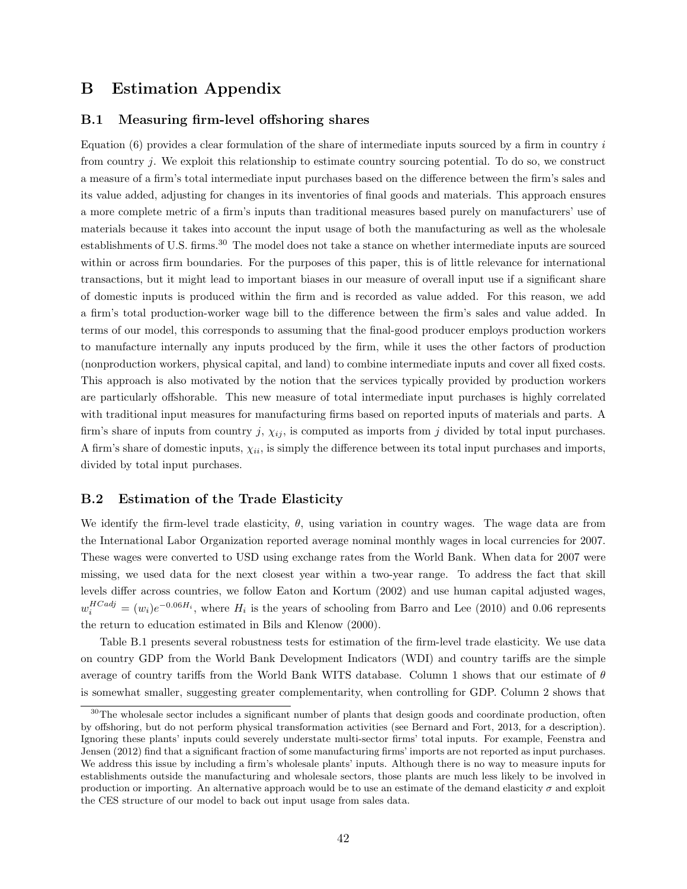# B Estimation Appendix

# B.1 Measuring firm-level offshoring shares

Equation  $(6)$  provides a clear formulation of the share of intermediate inputs sourced by a firm in country i from country j. We exploit this relationship to estimate country sourcing potential. To do so, we construct a measure of a firm's total intermediate input purchases based on the difference between the firm's sales and its value added, adjusting for changes in its inventories of final goods and materials. This approach ensures a more complete metric of a firm's inputs than traditional measures based purely on manufacturers' use of materials because it takes into account the input usage of both the manufacturing as well as the wholesale establishments of U.S. firms.<sup>30</sup> The model does not take a stance on whether intermediate inputs are sourced within or across firm boundaries. For the purposes of this paper, this is of little relevance for international transactions, but it might lead to important biases in our measure of overall input use if a significant share of domestic inputs is produced within the firm and is recorded as value added. For this reason, we add a firm's total production-worker wage bill to the difference between the firm's sales and value added. In terms of our model, this corresponds to assuming that the final-good producer employs production workers to manufacture internally any inputs produced by the firm, while it uses the other factors of production (nonproduction workers, physical capital, and land) to combine intermediate inputs and cover all fixed costs. This approach is also motivated by the notion that the services typically provided by production workers are particularly offshorable. This new measure of total intermediate input purchases is highly correlated with traditional input measures for manufacturing firms based on reported inputs of materials and parts. A firm's share of inputs from country j,  $\chi_{ij}$ , is computed as imports from j divided by total input purchases. A firm's share of domestic inputs,  $\chi_{ii}$ , is simply the difference between its total input purchases and imports, divided by total input purchases.

# B.2 Estimation of the Trade Elasticity

We identify the firm-level trade elasticity,  $\theta$ , using variation in country wages. The wage data are from the International Labor Organization reported average nominal monthly wages in local currencies for 2007. These wages were converted to USD using exchange rates from the World Bank. When data for 2007 were missing, we used data for the next closest year within a two-year range. To address the fact that skill levels differ across countries, we follow Eaton and Kortum (2002) and use human capital adjusted wages,  $w_i^{HCadj} = (w_i)e^{-0.06H_i}$ , where  $H_i$  is the years of schooling from Barro and Lee (2010) and 0.06 represents the return to education estimated in Bils and Klenow (2000).

Table B.1 presents several robustness tests for estimation of the firm-level trade elasticity. We use data on country GDP from the World Bank Development Indicators (WDI) and country tariffs are the simple average of country tariffs from the World Bank WITS database. Column 1 shows that our estimate of  $\theta$ is somewhat smaller, suggesting greater complementarity, when controlling for GDP. Column 2 shows that

<sup>&</sup>lt;sup>30</sup>The wholesale sector includes a significant number of plants that design goods and coordinate production, often by offshoring, but do not perform physical transformation activities (see Bernard and Fort, 2013, for a description). Ignoring these plants' inputs could severely understate multi-sector firms' total inputs. For example, Feenstra and Jensen (2012) find that a significant fraction of some manufacturing firms' imports are not reported as input purchases. We address this issue by including a firm's wholesale plants' inputs. Although there is no way to measure inputs for establishments outside the manufacturing and wholesale sectors, those plants are much less likely to be involved in production or importing. An alternative approach would be to use an estimate of the demand elasticity  $\sigma$  and exploit the CES structure of our model to back out input usage from sales data.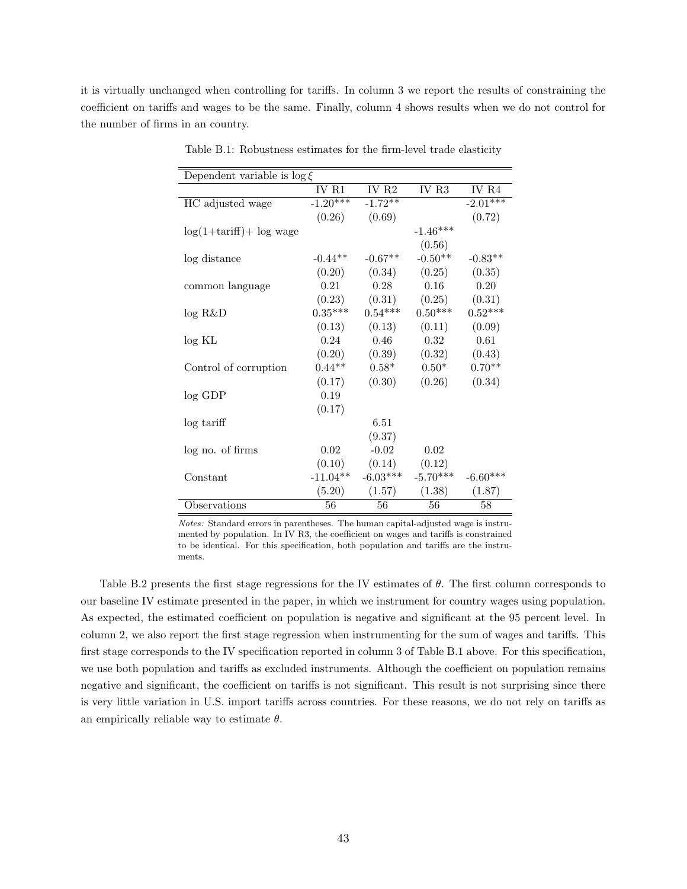it is virtually unchanged when controlling for tariffs. In column 3 we report the results of constraining the coefficient on tariffs and wages to be the same. Finally, column 4 shows results when we do not control for the number of firms in an country.

| Dependent variable is $\log \xi$ |                       |                   |            |            |
|----------------------------------|-----------------------|-------------------|------------|------------|
|                                  | IV R1                 | IV R <sub>2</sub> | IV R3      | IV R4      |
| HC adjusted wage                 | $-1.\overline{20***}$ | $-1.72**$         |            | $-2.01***$ |
|                                  | (0.26)                | (0.69)            |            | (0.72)     |
| $log(1+tariff)$ + $log$ wage     |                       |                   | $-1.46***$ |            |
|                                  |                       |                   | (0.56)     |            |
| log distance                     | $-0.44**$             | $-0.67**$         | $-0.50**$  | $-0.83**$  |
|                                  | (0.20)                | (0.34)            | (0.25)     | (0.35)     |
| common language                  | 0.21                  | 0.28              | 0.16       | 0.20       |
|                                  | (0.23)                | (0.31)            | (0.25)     | (0.31)     |
| log R&D                          | $0.35***$             | $0.54***$         | $0.50***$  | $0.52***$  |
|                                  | (0.13)                | (0.13)            | (0.11)     | (0.09)     |
| log KL                           | 0.24                  | 0.46              | 0.32       | 0.61       |
|                                  | (0.20)                | (0.39)            | (0.32)     | (0.43)     |
| Control of corruption            | $0.44**$              | $0.58*$           | $0.50*$    | $0.70**$   |
|                                  | (0.17)                | (0.30)            | (0.26)     | (0.34)     |
| $log$ GDP                        | 0.19                  |                   |            |            |
|                                  | (0.17)                |                   |            |            |
| log tariff                       |                       | 6.51              |            |            |
|                                  |                       | (9.37)            |            |            |
| log no. of firms                 | 0.02                  | $-0.02$           | 0.02       |            |
|                                  | (0.10)                | (0.14)            | (0.12)     |            |
| Constant                         | $-11.04**$            | $-6.03***$        | $-5.70***$ | $-6.60***$ |
|                                  | (5.20)                | (1.57)            | (1.38)     | (1.87)     |
| Observations                     | 56                    | 56                | 56         | 58         |

Table B.1: Robustness estimates for the firm-level trade elasticity

Notes: Standard errors in parentheses. The human capital-adjusted wage is instrumented by population. In IV R3, the coefficient on wages and tariffs is constrained to be identical. For this specification, both population and tariffs are the instruments.

Table B.2 presents the first stage regressions for the IV estimates of  $\theta$ . The first column corresponds to our baseline IV estimate presented in the paper, in which we instrument for country wages using population. As expected, the estimated coefficient on population is negative and significant at the 95 percent level. In column 2, we also report the first stage regression when instrumenting for the sum of wages and tariffs. This first stage corresponds to the IV specification reported in column 3 of Table B.1 above. For this specification, we use both population and tariffs as excluded instruments. Although the coefficient on population remains negative and significant, the coefficient on tariffs is not significant. This result is not surprising since there is very little variation in U.S. import tariffs across countries. For these reasons, we do not rely on tariffs as an empirically reliable way to estimate  $\theta$ .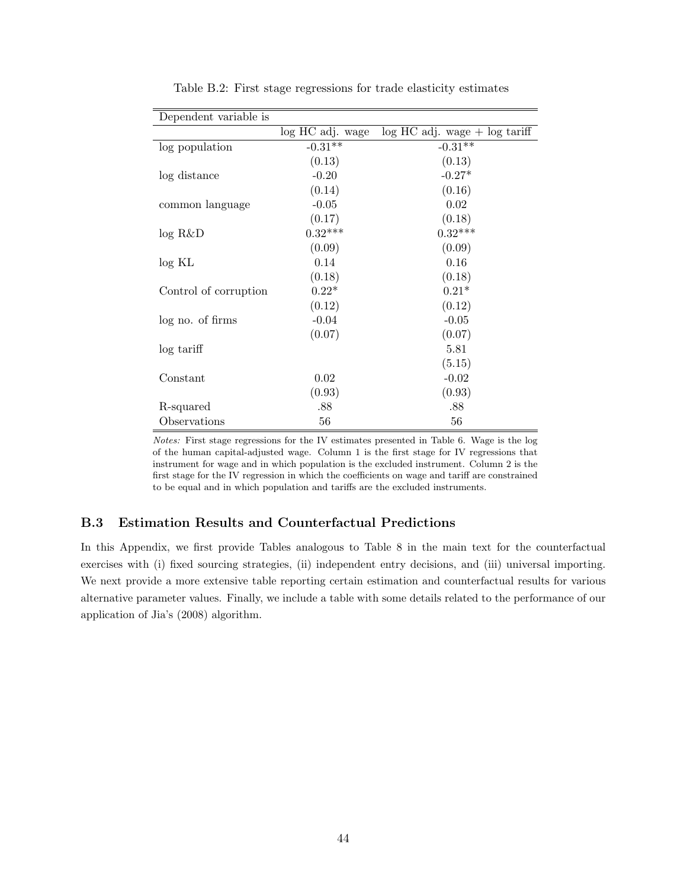| Dependent variable is |                  |                                   |
|-----------------------|------------------|-----------------------------------|
|                       | log HC adj. wage | $log HC$ adj. wage $+ log$ tariff |
| log population        | $-0.31**$        | $-0.31**$                         |
|                       | (0.13)           | (0.13)                            |
| log distance          | $-0.20$          | $-0.27*$                          |
|                       | (0.14)           | (0.16)                            |
| common language       | $-0.05$          | 0.02                              |
|                       | (0.17)           | (0.18)                            |
| log R&D               | $0.32***$        | $0.32***$                         |
|                       | (0.09)           | (0.09)                            |
| log KL                | 0.14             | 0.16                              |
|                       | (0.18)           | (0.18)                            |
| Control of corruption | $0.22*$          | $0.21*$                           |
|                       | (0.12)           | (0.12)                            |
| log no. of firms      | $-0.04$          | $-0.05$                           |
|                       | (0.07)           | (0.07)                            |
| log tariff            |                  | 5.81                              |
|                       |                  | (5.15)                            |
| Constant              | $0.02\,$         | $-0.02$                           |
|                       | (0.93)           | (0.93)                            |
| R-squared             | .88              | .88                               |
| Observations          | 56               | 56                                |

Table B.2: First stage regressions for trade elasticity estimates

Notes: First stage regressions for the IV estimates presented in Table 6. Wage is the log of the human capital-adjusted wage. Column 1 is the first stage for IV regressions that instrument for wage and in which population is the excluded instrument. Column 2 is the first stage for the IV regression in which the coefficients on wage and tariff are constrained to be equal and in which population and tariffs are the excluded instruments.

# B.3 Estimation Results and Counterfactual Predictions

In this Appendix, we first provide Tables analogous to Table 8 in the main text for the counterfactual exercises with (i) fixed sourcing strategies, (ii) independent entry decisions, and (iii) universal importing. We next provide a more extensive table reporting certain estimation and counterfactual results for various alternative parameter values. Finally, we include a table with some details related to the performance of our application of Jia's (2008) algorithm.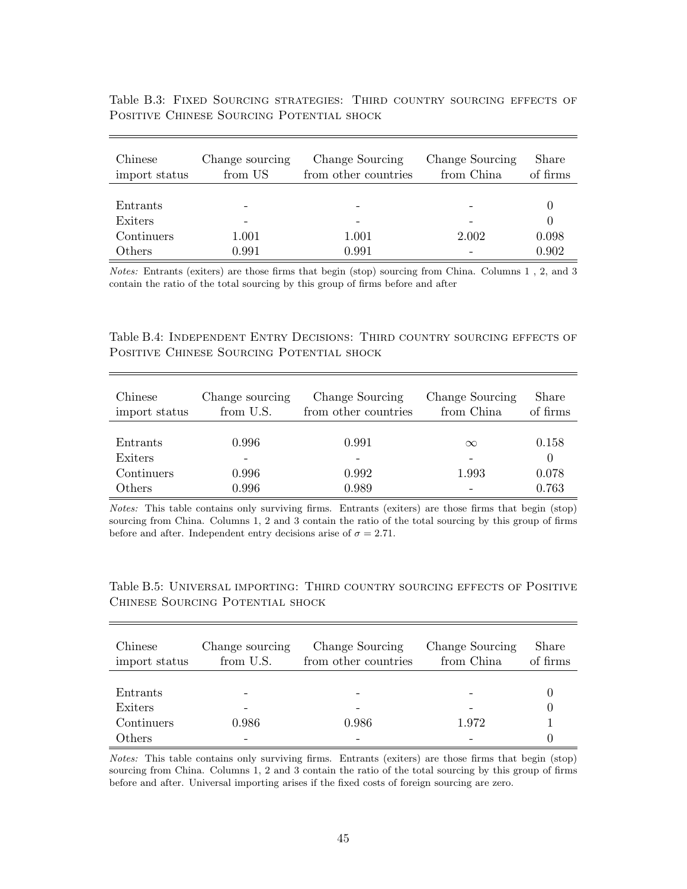| Chinese<br>import status | Change sourcing<br>from US | Change Sourcing<br>from other countries | Change Sourcing<br>from China | Share<br>of firms |
|--------------------------|----------------------------|-----------------------------------------|-------------------------------|-------------------|
|                          |                            |                                         |                               |                   |
| Entrants                 |                            |                                         |                               |                   |
| Exiters                  |                            |                                         |                               |                   |
| Continuers               | 1.001                      | 1.001                                   | 2.002                         | 0.098             |
| Others                   | 0.991                      | 0.991                                   |                               | 0.902             |

Table B.3: Fixed Sourcing strategies: Third country sourcing effects of Positive Chinese Sourcing Potential shock

Notes: Entrants (exiters) are those firms that begin (stop) sourcing from China. Columns 1 , 2, and 3 contain the ratio of the total sourcing by this group of firms before and after

Table B.4: Independent Entry Decisions: Third country sourcing effects of Positive Chinese Sourcing Potential shock

| Chinese<br>import status | Change sourcing<br>from U.S. | Change Sourcing<br>from other countries | Change Sourcing<br>from China | Share<br>of firms |  |
|--------------------------|------------------------------|-----------------------------------------|-------------------------------|-------------------|--|
|                          |                              |                                         |                               |                   |  |
| Entrants                 | 0.996                        | 0.991                                   | $\infty$                      | 0.158             |  |
| Exiters                  |                              |                                         |                               | $\left( \right)$  |  |
| Continuers               | 0.996                        | 0.992                                   | 1.993                         | 0.078             |  |
| Others                   | 0.996                        | 0.989                                   |                               | 0.763             |  |

Notes: This table contains only surviving firms. Entrants (exiters) are those firms that begin (stop) sourcing from China. Columns 1, 2 and 3 contain the ratio of the total sourcing by this group of firms before and after. Independent entry decisions arise of  $\sigma = 2.71$ .

Table B.5: Universal importing: Third country sourcing effects of Positive Chinese Sourcing Potential shock

| Chinese<br>import status | Change sourcing<br>from U.S. | Change Sourcing<br>from other countries | Change Sourcing<br>from China | Share<br>of firms |
|--------------------------|------------------------------|-----------------------------------------|-------------------------------|-------------------|
|                          |                              |                                         |                               |                   |
| Entrants                 |                              |                                         |                               |                   |
| Exiters                  |                              |                                         |                               |                   |
| Continuers               | 0.986                        | 0.986                                   | 1.972                         |                   |
| Others                   |                              |                                         |                               |                   |

Notes: This table contains only surviving firms. Entrants (exiters) are those firms that begin (stop) sourcing from China. Columns 1, 2 and 3 contain the ratio of the total sourcing by this group of firms before and after. Universal importing arises if the fixed costs of foreign sourcing are zero.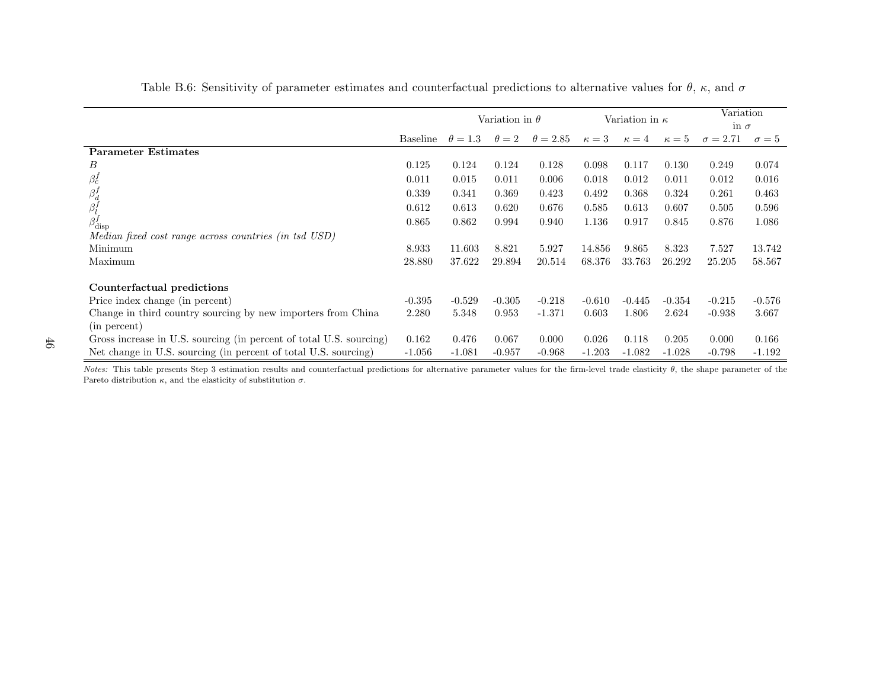|                                                                     |          | Variation in $\theta$ |              |                 | Variation in $\kappa$ |              |              | Variation<br>in $\sigma$ |              |
|---------------------------------------------------------------------|----------|-----------------------|--------------|-----------------|-----------------------|--------------|--------------|--------------------------|--------------|
|                                                                     | Baseline | $\theta = 1.3$        | $\theta = 2$ | $\theta = 2.85$ | $\kappa=3$            | $\kappa = 4$ | $\kappa = 5$ | $\sigma = 2.71$          | $\sigma = 5$ |
| <b>Parameter Estimates</b>                                          |          |                       |              |                 |                       |              |              |                          |              |
| В                                                                   | 0.125    | 0.124                 | 0.124        | 0.128           | 0.098                 | 0.117        | 0.130        | 0.249                    | 0.074        |
| $\beta_c^f$                                                         | 0.011    | 0.015                 | 0.011        | 0.006           | 0.018                 | 0.012        | 0.011        | 0.012                    | 0.016        |
|                                                                     | 0.339    | 0.341                 | 0.369        | 0.423           | 0.492                 | 0.368        | 0.324        | 0.261                    | 0.463        |
| $\overset{\beta^f_d}{\beta^f_l}$                                    | 0.612    | 0.613                 | 0.620        | 0.676           | 0.585                 | 0.613        | 0.607        | 0.505                    | 0.596        |
| $\beta_{\rm disp}^f$                                                | 0.865    | 0.862                 | 0.994        | 0.940           | 1.136                 | 0.917        | 0.845        | 0.876                    | 1.086        |
| Median fixed cost range across countries (in tsd USD)               |          |                       |              |                 |                       |              |              |                          |              |
| Minimum                                                             | 8.933    | 11.603                | 8.821        | 5.927           | 14.856                | 9.865        | 8.323        | 7.527                    | 13.742       |
| Maximum                                                             | 28.880   | 37.622                | 29.894       | 20.514          | 68.376                | 33.763       | 26.292       | 25.205                   | 58.567       |
| Counterfactual predictions                                          |          |                       |              |                 |                       |              |              |                          |              |
| Price index change (in percent)                                     | $-0.395$ | $-0.529$              | $-0.305$     | $-0.218$        | $-0.610$              | $-0.445$     | $-0.354$     | $-0.215$                 | $-0.576$     |
| Change in third country sourcing by new importers from China        | 2.280    | 5.348                 | 0.953        | $-1.371$        | 0.603                 | 1.806        | 2.624        | $-0.938$                 | 3.667        |
| (in percent)                                                        |          |                       |              |                 |                       |              |              |                          |              |
| Gross increase in U.S. sourcing (in percent of total U.S. sourcing) | 0.162    | 0.476                 | 0.067        | 0.000           | 0.026                 | 0.118        | 0.205        | 0.000                    | 0.166        |
| Net change in U.S. sourcing (in percent of total U.S. sourcing)     | $-1.056$ | $-1.081$              | $-0.957$     | $-0.968$        | $-1.203$              | $-1.082$     | $-1.028$     | $-0.798$                 | $-1.192$     |

Notes: This table presents Step 3 estimation results and counterfactual predictions for alternative parameter values for the firm-level trade elasticity  $\theta$ , the shape parameter of the Pareto distribution  $\kappa$ , and the elasticity of substitution  $\sigma$ .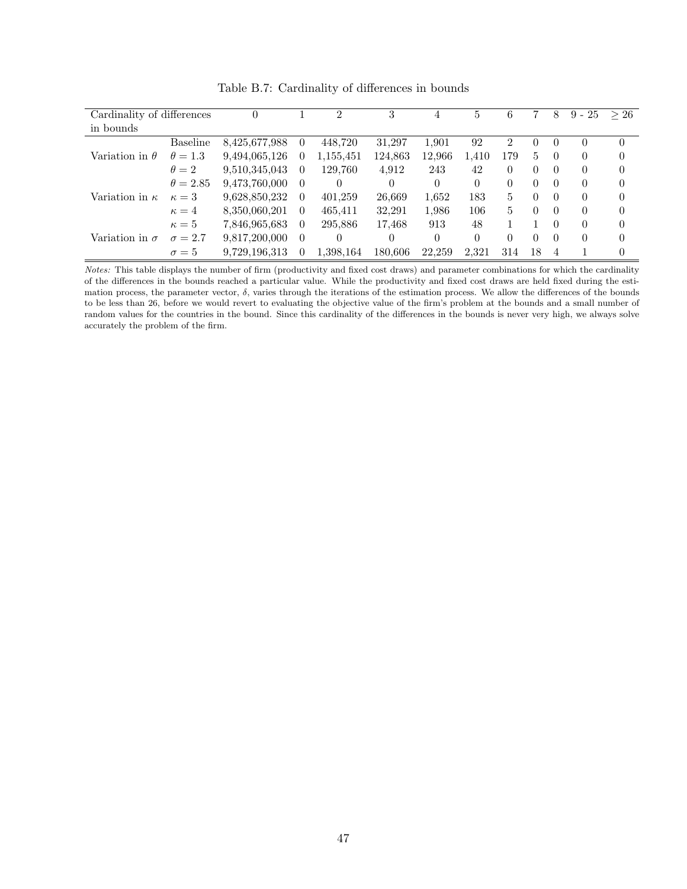| Cardinality of differences |                 | 0             |          | $\overline{2}$ | 3        | 4      | 5        | 6              |    | 8        | $9 - 25$ | >26      |
|----------------------------|-----------------|---------------|----------|----------------|----------|--------|----------|----------------|----|----------|----------|----------|
| in bounds                  |                 |               |          |                |          |        |          |                |    |          |          |          |
| Variation in $\theta$      | <b>Baseline</b> | 8,425,677,988 | 0        | 448,720        | 31,297   | 1.901  | 92       | $\overline{2}$ |    | 0        | 0        | $\Omega$ |
|                            | $\theta=1.3$    | 9,494,065,126 | $\theta$ | 1,155,451      | 124,863  | 12,966 | 1.410    | 179            | 5. | $\theta$ | $\theta$ | $\Omega$ |
|                            | $\theta = 2$    | 9,510,345,043 | $\theta$ | 129.760        | 4.912    | 243    | 42       | 0              | 0  | $\theta$ | $\theta$ | $\Omega$ |
| Variation in $\kappa$      | $\theta = 2.85$ | 9.473.760,000 | $\theta$ | 0              | $\theta$ | 0      | $\Omega$ | $\Omega$       | 0  | $\theta$ | $\theta$ | $\Omega$ |
|                            | $\kappa=3$      | 9,628,850,232 | $\Omega$ | 401,259        | 26,669   | 1,652  | 183      | 5              | 0  | $\theta$ | $\theta$ | $\Omega$ |
|                            | $\kappa=4$      | 8,350,060,201 | $\theta$ | 465,411        | 32,291   | 1,986  | 106      | 5              | 0  | $\theta$ | $\Omega$ | $\Omega$ |
| Variation in $\sigma$      | $\kappa = 5$    | 7,846,965,683 | $\theta$ | 295,886        | 17,468   | 913    | 48       |                |    | $\Omega$ | $\Omega$ | $\Omega$ |
|                            | $\sigma = 2.7$  | 9.817,200,000 | $\Omega$ | 0              | 0        | 0      | $\theta$ | 0              | 0  | $\theta$ | $\Omega$ | 0        |
|                            | $\sigma = 5$    | 9.729.196.313 | 0        | 1.398.164      | 180.606  | 22,259 | 2.321    | 314            | 18 | 4        |          | 0        |

Table B.7: Cardinality of differences in bounds

Notes: This table displays the number of firm (productivity and fixed cost draws) and parameter combinations for which the cardinality of the differences in the bounds reached a particular value. While the productivity and fixed cost draws are held fixed during the estimation process, the parameter vector,  $\delta$ , varies through the iterations of the estimation process. We allow the differences of the bounds to be less than 26, before we would revert to evaluating the objective value of the firm's problem at the bounds and a small number of random values for the countries in the bound. Since this cardinality of the differences in the bounds is never very high, we always solve accurately the problem of the firm.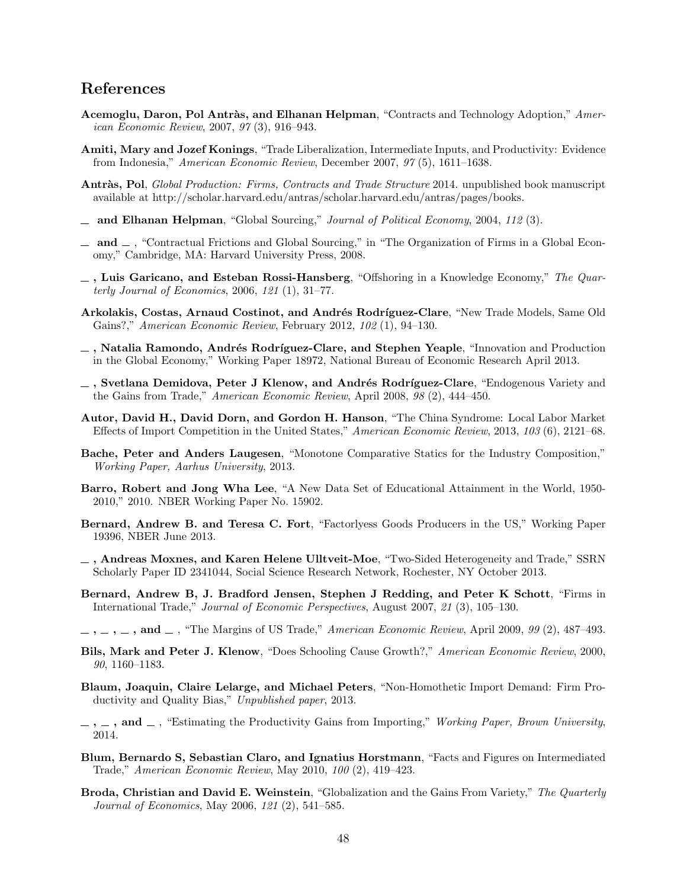# References

- Acemoglu, Daron, Pol Antràs, and Elhanan Helpman, "Contracts and Technology Adoption," American Economic Review, 2007, 97 (3), 916–943.
- Amiti, Mary and Jozef Konings, "Trade Liberalization, Intermediate Inputs, and Productivity: Evidence from Indonesia," American Economic Review, December 2007, 97 (5), 1611–1638.
- Antràs, Pol, Global Production: Firms, Contracts and Trade Structure 2014. unpublished book manuscript available at http://scholar.harvard.edu/antras/scholar.harvard.edu/antras/pages/books.
- $\Delta$  and Elhanan Helpman, "Global Sourcing," Journal of Political Economy, 2004, 112 (3).
- $\Box$  and  $\Box$ , "Contractual Frictions and Global Sourcing," in "The Organization of Firms in a Global Economy," Cambridge, MA: Harvard University Press, 2008.
- $-$ , Luis Garicano, and Esteban Rossi-Hansberg, "Offshoring in a Knowledge Economy," The Quarterly Journal of Economics, 2006, 121 (1), 31–77.
- Arkolakis, Costas, Arnaud Costinot, and Andrés Rodríguez-Clare, "New Trade Models, Same Old Gains?," American Economic Review, February 2012, 102 (1), 94–130.
- $\overline{\phantom{a}}$ , Natalia Ramondo, Andrés Rodríguez-Clare, and Stephen Yeaple, "Innovation and Production in the Global Economy," Working Paper 18972, National Bureau of Economic Research April 2013.
- $-$ , Svetlana Demidova, Peter J Klenow, and Andrés Rodríguez-Clare, "Endogenous Variety and the Gains from Trade," American Economic Review, April 2008, 98 (2), 444–450.
- Autor, David H., David Dorn, and Gordon H. Hanson, "The China Syndrome: Local Labor Market Effects of Import Competition in the United States," American Economic Review, 2013, 103 (6), 2121–68.
- Bache, Peter and Anders Laugesen, "Monotone Comparative Statics for the Industry Composition," Working Paper, Aarhus University, 2013.
- Barro, Robert and Jong Wha Lee, "A New Data Set of Educational Attainment in the World, 1950- 2010," 2010. NBER Working Paper No. 15902.
- Bernard, Andrew B. and Teresa C. Fort, "Factorlyess Goods Producers in the US," Working Paper 19396, NBER June 2013.
- $\overline{\phantom{a}}$ , Andreas Moxnes, and Karen Helene Ulltveit-Moe, "Two-Sided Heterogeneity and Trade," SSRN Scholarly Paper ID 2341044, Social Science Research Network, Rochester, NY October 2013.
- Bernard, Andrew B, J. Bradford Jensen, Stephen J Redding, and Peter K Schott, "Firms in International Trade," Journal of Economic Perspectives, August 2007, 21 (3), 105–130.
- $, \ldots, \ldots, \text{ and } \ldots$ , "The Margins of US Trade," American Economic Review, April 2009, 99 (2), 487–493.
- Bils, Mark and Peter J. Klenow, "Does Schooling Cause Growth?," American Economic Review, 2000, 90, 1160–1183.
- Blaum, Joaquin, Claire Lelarge, and Michael Peters, "Non-Homothetic Import Demand: Firm Productivity and Quality Bias," Unpublished paper, 2013.
- $\ldots$ , and  $\ldots$ , "Estimating the Productivity Gains from Importing," Working Paper, Brown University, 2014.
- Blum, Bernardo S, Sebastian Claro, and Ignatius Horstmann, "Facts and Figures on Intermediated Trade," American Economic Review, May 2010, 100 (2), 419–423.
- Broda, Christian and David E. Weinstein, "Globalization and the Gains From Variety," The Quarterly Journal of Economics, May 2006, 121 (2), 541–585.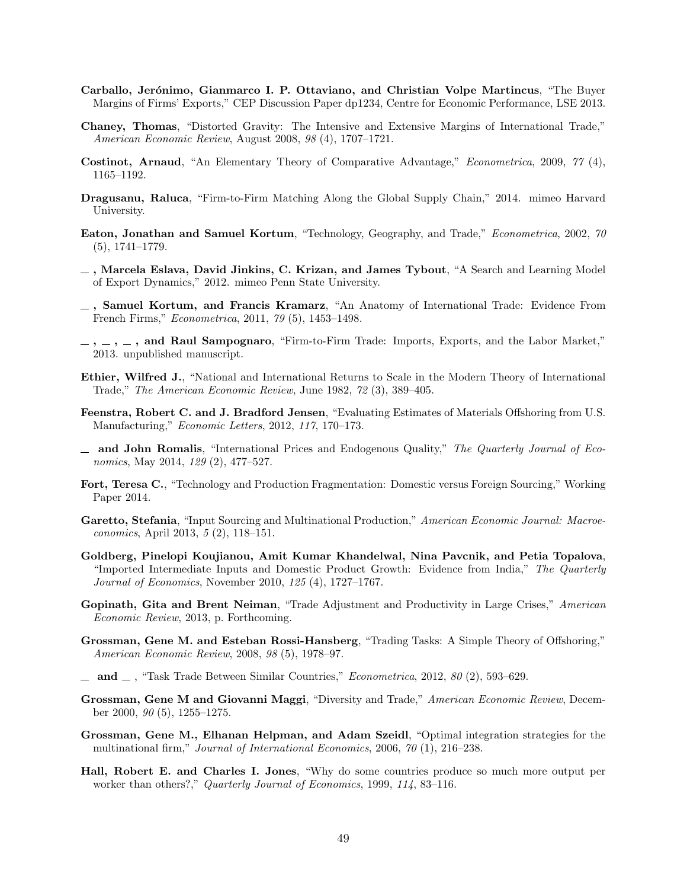- Carballo, Jerónimo, Gianmarco I. P. Ottaviano, and Christian Volpe Martincus, "The Buyer Margins of Firms' Exports," CEP Discussion Paper dp1234, Centre for Economic Performance, LSE 2013.
- Chaney, Thomas, "Distorted Gravity: The Intensive and Extensive Margins of International Trade," American Economic Review, August 2008, 98 (4), 1707–1721.
- Costinot, Arnaud, "An Elementary Theory of Comparative Advantage," Econometrica, 2009, 77 (4), 1165–1192.
- Dragusanu, Raluca, "Firm-to-Firm Matching Along the Global Supply Chain," 2014. mimeo Harvard University.
- Eaton, Jonathan and Samuel Kortum, "Technology, Geography, and Trade," Econometrica, 2002, 70 (5), 1741–1779.
- $\Box$ , Marcela Eslava, David Jinkins, C. Krizan, and James Tybout, "A Search and Learning Model of Export Dynamics," 2012. mimeo Penn State University.
- , Samuel Kortum, and Francis Kramarz, "An Anatomy of International Trade: Evidence From French Firms," Econometrica, 2011, 79 (5), 1453–1498.
- $\sim$ ,  $\sim$ , and Raul Sampognaro, "Firm-to-Firm Trade: Imports, Exports, and the Labor Market," 2013. unpublished manuscript.
- Ethier, Wilfred J., "National and International Returns to Scale in the Modern Theory of International Trade," The American Economic Review, June 1982, 72 (3), 389–405.
- Feenstra, Robert C. and J. Bradford Jensen, "Evaluating Estimates of Materials Offshoring from U.S. Manufacturing," Economic Letters, 2012, 117, 170–173.
- $\Delta$  and John Romalis, "International Prices and Endogenous Quality," The Quarterly Journal of Economics, May 2014, 129 (2), 477-527.
- Fort, Teresa C., "Technology and Production Fragmentation: Domestic versus Foreign Sourcing," Working Paper 2014.
- Garetto, Stefania, "Input Sourcing and Multinational Production," American Economic Journal: Macroeconomics, April 2013, 5 (2), 118–151.
- Goldberg, Pinelopi Koujianou, Amit Kumar Khandelwal, Nina Pavcnik, and Petia Topalova, "Imported Intermediate Inputs and Domestic Product Growth: Evidence from India," The Quarterly Journal of Economics, November 2010, 125 (4), 1727–1767.
- Gopinath, Gita and Brent Neiman, "Trade Adjustment and Productivity in Large Crises," American Economic Review, 2013, p. Forthcoming.
- Grossman, Gene M. and Esteban Rossi-Hansberg, "Trading Tasks: A Simple Theory of Offshoring," American Economic Review, 2008, 98 (5), 1978–97.
- $\mu$  and  $\mu$ , "Task Trade Between Similar Countries," *Econometrica*, 2012, 80 (2), 593–629.
- Grossman, Gene M and Giovanni Maggi, "Diversity and Trade," American Economic Review, December 2000, 90 (5), 1255–1275.
- Grossman, Gene M., Elhanan Helpman, and Adam Szeidl, "Optimal integration strategies for the multinational firm," Journal of International Economics, 2006, 70 (1), 216–238.
- Hall, Robert E. and Charles I. Jones, "Why do some countries produce so much more output per worker than others?," Quarterly Journal of Economics, 1999, 114, 83–116.